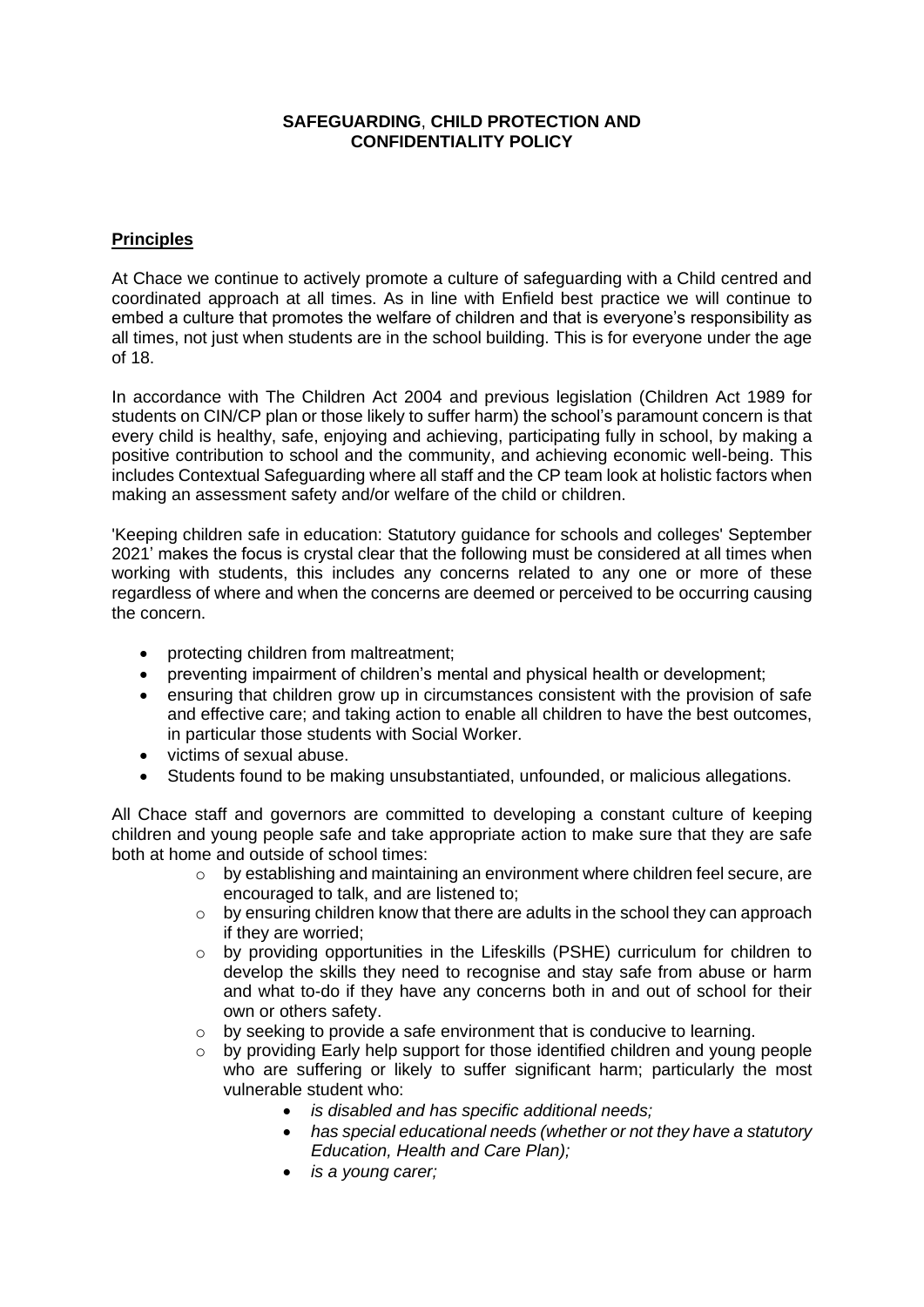#### **SAFEGUARDING**, **CHILD PROTECTION AND CONFIDENTIALITY POLICY**

#### **Principles**

At Chace we continue to actively promote a culture of safeguarding with a Child centred and coordinated approach at all times. As in line with Enfield best practice we will continue to embed a culture that promotes the welfare of children and that is everyone's responsibility as all times, not just when students are in the school building. This is for everyone under the age of 18.

In accordance with The Children Act 2004 and previous legislation (Children Act 1989 for students on CIN/CP plan or those likely to suffer harm) the school's paramount concern is that every child is healthy, safe, enjoying and achieving, participating fully in school, by making a positive contribution to school and the community, and achieving economic well-being. This includes Contextual Safeguarding where all staff and the CP team look at holistic factors when making an assessment safety and/or welfare of the child or children.

'Keeping children safe in education: Statutory guidance for schools and colleges' September 2021' makes the focus is crystal clear that the following must be considered at all times when working with students, this includes any concerns related to any one or more of these regardless of where and when the concerns are deemed or perceived to be occurring causing the concern.

- protecting children from maltreatment;
- preventing impairment of children's mental and physical health or development;
- ensuring that children grow up in circumstances consistent with the provision of safe and effective care; and taking action to enable all children to have the best outcomes, in particular those students with Social Worker.
- victims of sexual abuse.
- Students found to be making unsubstantiated, unfounded, or malicious allegations.

All Chace staff and governors are committed to developing a constant culture of keeping children and young people safe and take appropriate action to make sure that they are safe both at home and outside of school times:

- o by establishing and maintaining an environment where children feel secure, are encouraged to talk, and are listened to;
- o by ensuring children know that there are adults in the school they can approach if they are worried;
- o by providing opportunities in the Lifeskills (PSHE) curriculum for children to develop the skills they need to recognise and stay safe from abuse or harm and what to-do if they have any concerns both in and out of school for their own or others safety.
- o by seeking to provide a safe environment that is conducive to learning.
- $\circ$  by providing Early help support for those identified children and young people who are suffering or likely to suffer significant harm; particularly the most vulnerable student who:
	- *is disabled and has specific additional needs;*
		- *has special educational needs (whether or not they have a statutory Education, Health and Care Plan);*
	- *is a young carer;*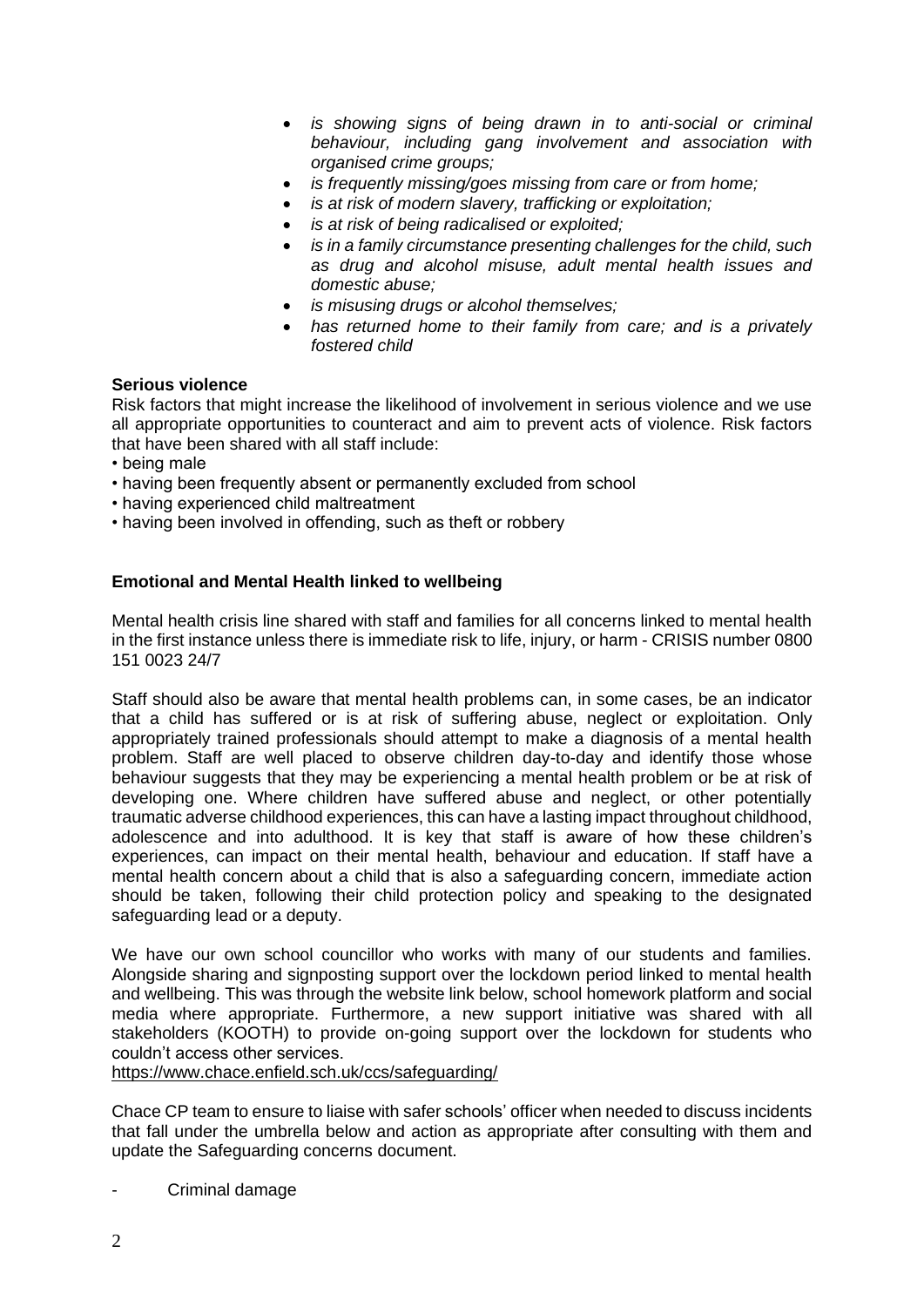- *is showing signs of being drawn in to anti-social or criminal behaviour, including gang involvement and association with organised crime groups;*
- *is frequently missing/goes missing from care or from home;*
- *is at risk of modern slavery, trafficking or exploitation;*
- *is at risk of being radicalised or exploited;*
- *is in a family circumstance presenting challenges for the child, such as drug and alcohol misuse, adult mental health issues and domestic abuse;*
- *is misusing drugs or alcohol themselves;*
- *has returned home to their family from care; and is a privately fostered child*

#### **Serious violence**

Risk factors that might increase the likelihood of involvement in serious violence and we use all appropriate opportunities to counteract and aim to prevent acts of violence. Risk factors that have been shared with all staff include:

- being male
- having been frequently absent or permanently excluded from school
- having experienced child maltreatment
- having been involved in offending, such as theft or robbery

# **Emotional and Mental Health linked to wellbeing**

Mental health crisis line shared with staff and families for all concerns linked to mental health in the first instance unless there is immediate risk to life, injury, or harm - CRISIS number 0800 151 0023 24/7

Staff should also be aware that mental health problems can, in some cases, be an indicator that a child has suffered or is at risk of suffering abuse, neglect or exploitation. Only appropriately trained professionals should attempt to make a diagnosis of a mental health problem. Staff are well placed to observe children day-to-day and identify those whose behaviour suggests that they may be experiencing a mental health problem or be at risk of developing one. Where children have suffered abuse and neglect, or other potentially traumatic adverse childhood experiences, this can have a lasting impact throughout childhood, adolescence and into adulthood. It is key that staff is aware of how these children's experiences, can impact on their mental health, behaviour and education. If staff have a mental health concern about a child that is also a safeguarding concern, immediate action should be taken, following their child protection policy and speaking to the designated safeguarding lead or a deputy.

We have our own school councillor who works with many of our students and families. Alongside sharing and signposting support over the lockdown period linked to mental health and wellbeing. This was through the website link below, school homework platform and social media where appropriate. Furthermore, a new support initiative was shared with all stakeholders (KOOTH) to provide on-going support over the lockdown for students who couldn't access other services.

<https://www.chace.enfield.sch.uk/ccs/safeguarding/>

Chace CP team to ensure to liaise with safer schools' officer when needed to discuss incidents that fall under the umbrella below and action as appropriate after consulting with them and update the Safeguarding concerns document.

Criminal damage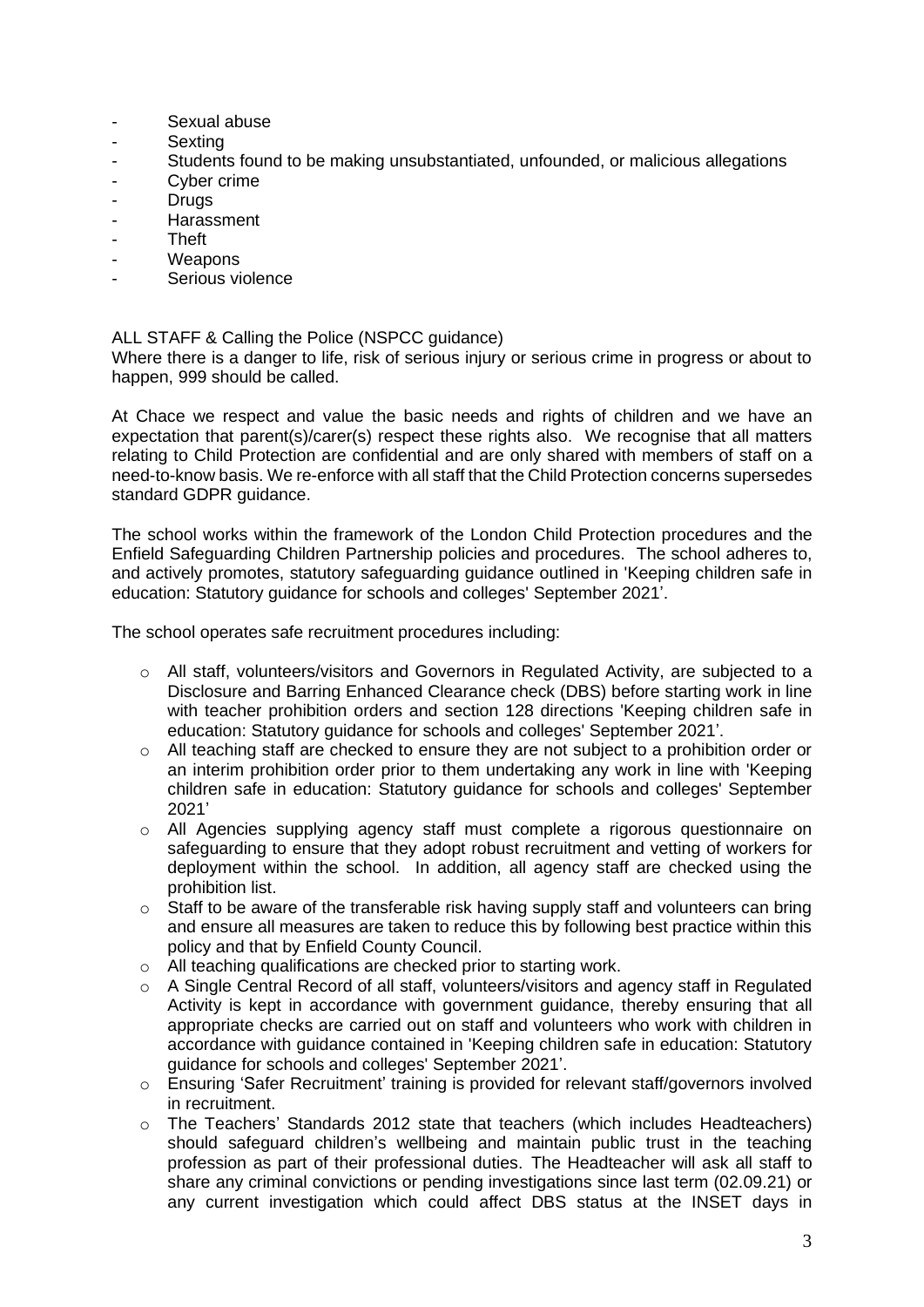- Sexual abuse
- Sexting
- Students found to be making unsubstantiated, unfounded, or malicious allegations<br>- Cyber crime
- Cyber crime
- Drugs
- Harassment
- Theft
- Weapons
- Serious violence

#### ALL STAFF & Calling the Police (NSPCC guidance)

Where there is a danger to life, risk of serious injury or serious crime in progress or about to happen, 999 should be called.

At Chace we respect and value the basic needs and rights of children and we have an expectation that parent(s)/carer(s) respect these rights also. We recognise that all matters relating to Child Protection are confidential and are only shared with members of staff on a need-to-know basis. We re-enforce with all staff that the Child Protection concerns supersedes standard GDPR guidance.

The school works within the framework of the London Child Protection procedures and the Enfield Safeguarding Children Partnership policies and procedures. The school adheres to, and actively promotes, statutory safeguarding guidance outlined in 'Keeping children safe in education: Statutory guidance for schools and colleges' September 2021'.

The school operates safe recruitment procedures including:

- $\circ$  All staff, volunteers/visitors and Governors in Regulated Activity, are subjected to a Disclosure and Barring Enhanced Clearance check (DBS) before starting work in line with teacher prohibition orders and section 128 directions 'Keeping children safe in education: Statutory guidance for schools and colleges' September 2021'.
- $\circ$  All teaching staff are checked to ensure they are not subject to a prohibition order or an interim prohibition order prior to them undertaking any work in line with 'Keeping children safe in education: Statutory guidance for schools and colleges' September 2021'
- o All Agencies supplying agency staff must complete a rigorous questionnaire on safeguarding to ensure that they adopt robust recruitment and vetting of workers for deployment within the school. In addition, all agency staff are checked using the prohibition list.
- o Staff to be aware of the transferable risk having supply staff and volunteers can bring and ensure all measures are taken to reduce this by following best practice within this policy and that by Enfield County Council.
- o All teaching qualifications are checked prior to starting work.
- o A Single Central Record of all staff, volunteers/visitors and agency staff in Regulated Activity is kept in accordance with government guidance, thereby ensuring that all appropriate checks are carried out on staff and volunteers who work with children in accordance with guidance contained in 'Keeping children safe in education: Statutory guidance for schools and colleges' September 2021'.
- o Ensuring 'Safer Recruitment' training is provided for relevant staff/governors involved in recruitment.
- $\circ$  The Teachers' Standards 2012 state that teachers (which includes Headteachers) should safeguard children's wellbeing and maintain public trust in the teaching profession as part of their professional duties. The Headteacher will ask all staff to share any criminal convictions or pending investigations since last term (02.09.21) or any current investigation which could affect DBS status at the INSET days in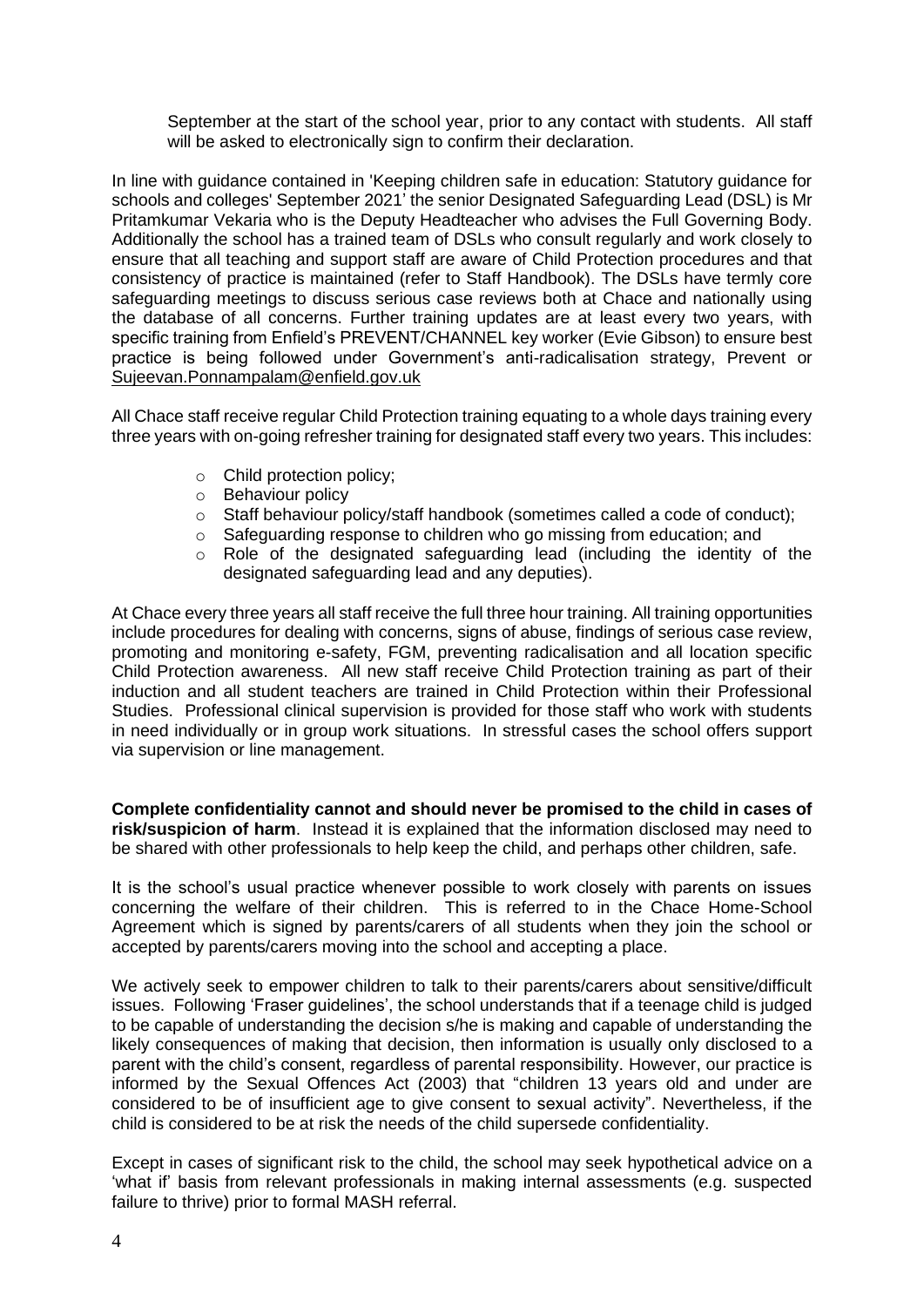September at the start of the school year, prior to any contact with students. All staff will be asked to electronically sign to confirm their declaration.

In line with guidance contained in 'Keeping children safe in education: Statutory guidance for schools and colleges' September 2021' the senior Designated Safeguarding Lead (DSL) is Mr Pritamkumar Vekaria who is the Deputy Headteacher who advises the Full Governing Body. Additionally the school has a trained team of DSLs who consult regularly and work closely to ensure that all teaching and support staff are aware of Child Protection procedures and that consistency of practice is maintained (refer to Staff Handbook). The DSLs have termly core safeguarding meetings to discuss serious case reviews both at Chace and nationally using the database of all concerns. Further training updates are at least every two years, with specific training from Enfield's PREVENT/CHANNEL key worker (Evie Gibson) to ensure best practice is being followed under Government's anti-radicalisation strategy, Prevent or [Sujeevan.Ponnampalam@enfield.gov.uk](mailto:Sujeevan.Ponnampalam@enfield.gov.uk)

All Chace staff receive regular Child Protection training equating to a whole days training every three years with on-going refresher training for designated staff every two years. This includes:

- o Child protection policy;
- o Behaviour policy
- $\circ$  Staff behaviour policy/staff handbook (sometimes called a code of conduct);
- o Safeguarding response to children who go missing from education; and
- $\circ$  Role of the designated safeguarding lead (including the identity of the designated safeguarding lead and any deputies).

At Chace every three years all staff receive the full three hour training. All training opportunities include procedures for dealing with concerns, signs of abuse, findings of serious case review, promoting and monitoring e-safety, FGM, preventing radicalisation and all location specific Child Protection awareness. All new staff receive Child Protection training as part of their induction and all student teachers are trained in Child Protection within their Professional Studies. Professional clinical supervision is provided for those staff who work with students in need individually or in group work situations. In stressful cases the school offers support via supervision or line management.

**Complete confidentiality cannot and should never be promised to the child in cases of risk/suspicion of harm**. Instead it is explained that the information disclosed may need to be shared with other professionals to help keep the child, and perhaps other children, safe.

It is the school's usual practice whenever possible to work closely with parents on issues concerning the welfare of their children. This is referred to in the Chace Home-School Agreement which is signed by parents/carers of all students when they join the school or accepted by parents/carers moving into the school and accepting a place.

We actively seek to empower children to talk to their parents/carers about sensitive/difficult issues. Following 'Fraser guidelines', the school understands that if a teenage child is judged to be capable of understanding the decision s/he is making and capable of understanding the likely consequences of making that decision, then information is usually only disclosed to a parent with the child's consent, regardless of parental responsibility. However, our practice is informed by the Sexual Offences Act (2003) that "children 13 years old and under are considered to be of insufficient age to give consent to sexual activity". Nevertheless, if the child is considered to be at risk the needs of the child supersede confidentiality.

Except in cases of significant risk to the child, the school may seek hypothetical advice on a 'what if' basis from relevant professionals in making internal assessments (e.g. suspected failure to thrive) prior to formal MASH referral.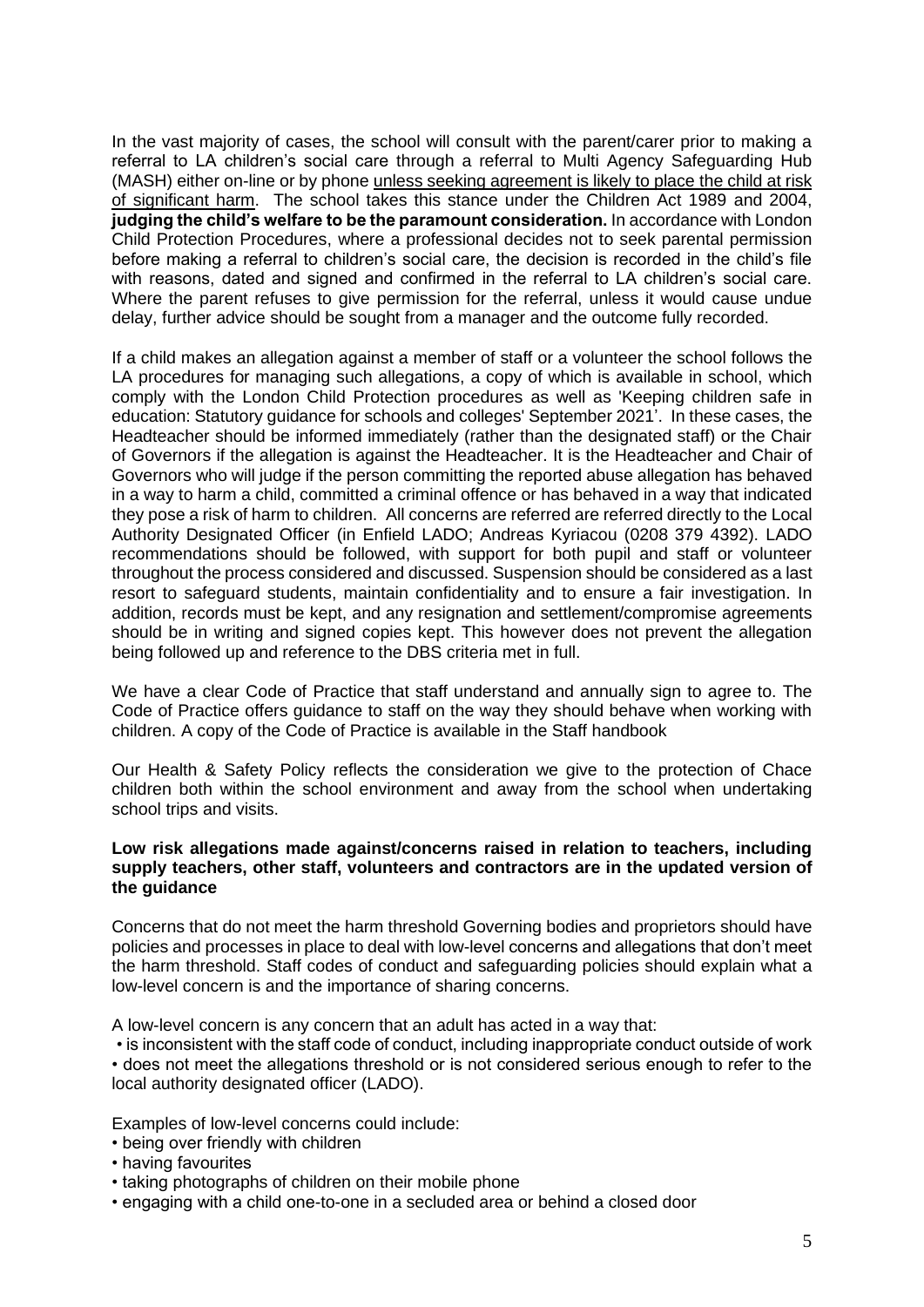In the vast majority of cases, the school will consult with the parent/carer prior to making a referral to LA children's social care through a referral to Multi Agency Safeguarding Hub (MASH) either on-line or by phone unless seeking agreement is likely to place the child at risk of significant harm. The school takes this stance under the Children Act 1989 and 2004, **judging the child's welfare to be the paramount consideration.** In accordance with London Child Protection Procedures, where a professional decides not to seek parental permission before making a referral to children's social care, the decision is recorded in the child's file with reasons, dated and signed and confirmed in the referral to LA children's social care. Where the parent refuses to give permission for the referral, unless it would cause undue delay, further advice should be sought from a manager and the outcome fully recorded.

If a child makes an allegation against a member of staff or a volunteer the school follows the LA procedures for managing such allegations, a copy of which is available in school, which comply with the London Child Protection procedures as well as 'Keeping children safe in education: Statutory guidance for schools and colleges' September 2021'. In these cases, the Headteacher should be informed immediately (rather than the designated staff) or the Chair of Governors if the allegation is against the Headteacher. It is the Headteacher and Chair of Governors who will judge if the person committing the reported abuse allegation has behaved in a way to harm a child, committed a criminal offence or has behaved in a way that indicated they pose a risk of harm to children. All concerns are referred are referred directly to the Local Authority Designated Officer (in Enfield LADO; Andreas Kyriacou (0208 379 4392). LADO recommendations should be followed, with support for both pupil and staff or volunteer throughout the process considered and discussed. Suspension should be considered as a last resort to safeguard students, maintain confidentiality and to ensure a fair investigation. In addition, records must be kept, and any resignation and settlement/compromise agreements should be in writing and signed copies kept. This however does not prevent the allegation being followed up and reference to the DBS criteria met in full.

We have a clear Code of Practice that staff understand and annually sign to agree to. The Code of Practice offers guidance to staff on the way they should behave when working with children. A copy of the Code of Practice is available in the Staff handbook

Our Health & Safety Policy reflects the consideration we give to the protection of Chace children both within the school environment and away from the school when undertaking school trips and visits.

#### **Low risk allegations made against/concerns raised in relation to teachers, including supply teachers, other staff, volunteers and contractors are in the updated version of the guidance**

Concerns that do not meet the harm threshold Governing bodies and proprietors should have policies and processes in place to deal with low-level concerns and allegations that don't meet the harm threshold. Staff codes of conduct and safeguarding policies should explain what a low-level concern is and the importance of sharing concerns.

A low-level concern is any concern that an adult has acted in a way that:

• is inconsistent with the staff code of conduct, including inappropriate conduct outside of work • does not meet the allegations threshold or is not considered serious enough to refer to the local authority designated officer (LADO).

Examples of low-level concerns could include:

- being over friendly with children
- having favourites
- taking photographs of children on their mobile phone
- engaging with a child one-to-one in a secluded area or behind a closed door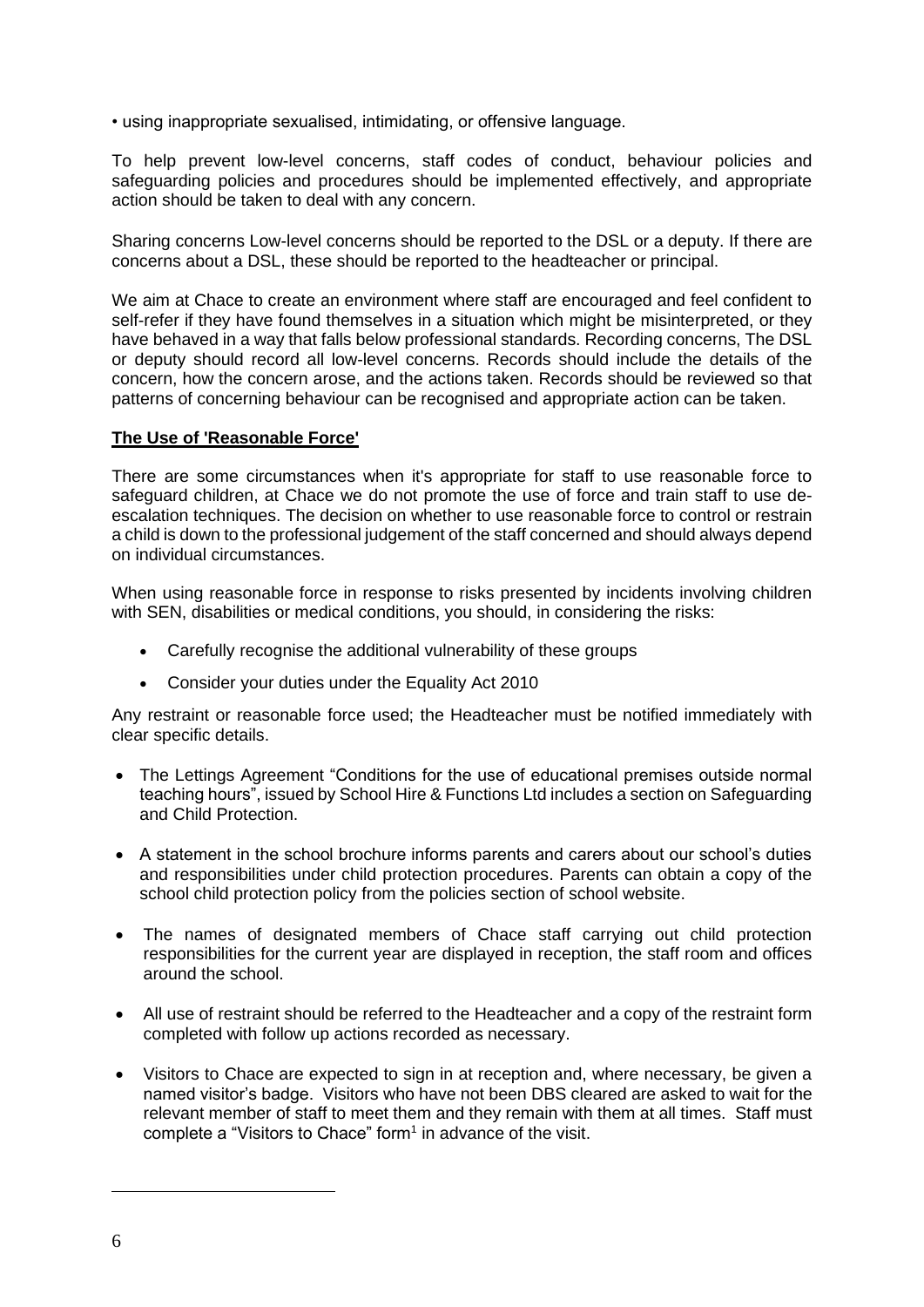• using inappropriate sexualised, intimidating, or offensive language.

To help prevent low-level concerns, staff codes of conduct, behaviour policies and safeguarding policies and procedures should be implemented effectively, and appropriate action should be taken to deal with any concern.

Sharing concerns Low-level concerns should be reported to the DSL or a deputy. If there are concerns about a DSL, these should be reported to the headteacher or principal.

We aim at Chace to create an environment where staff are encouraged and feel confident to self-refer if they have found themselves in a situation which might be misinterpreted, or they have behaved in a way that falls below professional standards. Recording concerns, The DSL or deputy should record all low-level concerns. Records should include the details of the concern, how the concern arose, and the actions taken. Records should be reviewed so that patterns of concerning behaviour can be recognised and appropriate action can be taken.

#### **The Use of 'Reasonable Force'**

There are some circumstances when it's appropriate for staff to use reasonable force to safeguard children, at Chace we do not promote the use of force and train staff to use deescalation techniques. The decision on whether to use reasonable force to control or restrain a child is down to the professional judgement of the staff concerned and should always depend on individual circumstances.

When using reasonable force in response to risks presented by incidents involving children with SEN, disabilities or medical conditions, you should, in considering the risks:

- Carefully recognise the additional vulnerability of these groups
- Consider your duties under the Equality Act 2010

Any restraint or reasonable force used; the Headteacher must be notified immediately with clear specific details.

- The Lettings Agreement "Conditions for the use of educational premises outside normal teaching hours", issued by School Hire & Functions Ltd includes a section on Safeguarding and Child Protection.
- A statement in the school brochure informs parents and carers about our school's duties and responsibilities under child protection procedures. Parents can obtain a copy of the school child protection policy from the policies section of school website.
- The names of designated members of Chace staff carrying out child protection responsibilities for the current year are displayed in reception, the staff room and offices around the school.
- All use of restraint should be referred to the Headteacher and a copy of the restraint form completed with follow up actions recorded as necessary.
- Visitors to Chace are expected to sign in at reception and, where necessary, be given a named visitor's badge. Visitors who have not been DBS cleared are asked to wait for the relevant member of staff to meet them and they remain with them at all times. Staff must complete a "Visitors to Chace" form $<sup>1</sup>$  in advance of the visit.</sup>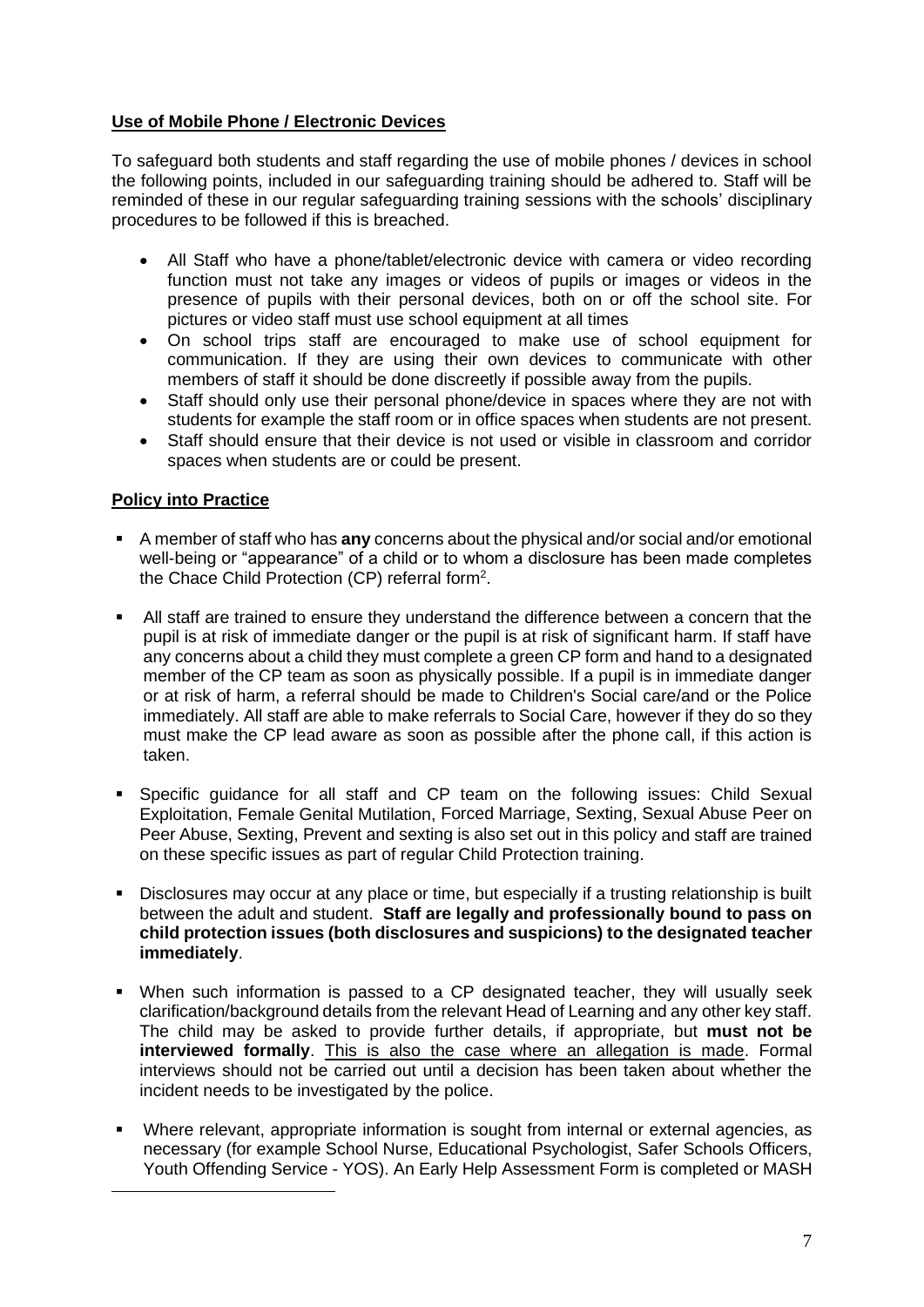# **Use of Mobile Phone / Electronic Devices**

To safeguard both students and staff regarding the use of mobile phones / devices in school the following points, included in our safeguarding training should be adhered to. Staff will be reminded of these in our regular safeguarding training sessions with the schools' disciplinary procedures to be followed if this is breached.

- All Staff who have a phone/tablet/electronic device with camera or video recording function must not take any images or videos of pupils or images or videos in the presence of pupils with their personal devices, both on or off the school site. For pictures or video staff must use school equipment at all times
- On school trips staff are encouraged to make use of school equipment for communication. If they are using their own devices to communicate with other members of staff it should be done discreetly if possible away from the pupils.
- Staff should only use their personal phone/device in spaces where they are not with students for example the staff room or in office spaces when students are not present.
- Staff should ensure that their device is not used or visible in classroom and corridor spaces when students are or could be present.

# **Policy into Practice**

- A member of staff who has **any** concerns about the physical and/or social and/or emotional well-being or "appearance" of a child or to whom a disclosure has been made completes the Chace Child Protection (CP) referral form<sup>2</sup>.
- All staff are trained to ensure they understand the difference between a concern that the pupil is at risk of immediate danger or the pupil is at risk of significant harm. If staff have any concerns about a child they must complete a green CP form and hand to a designated member of the CP team as soon as physically possible. If a pupil is in immediate danger or at risk of harm, a referral should be made to Children's Social care/and or the Police immediately. All staff are able to make referrals to Social Care, however if they do so they must make the CP lead aware as soon as possible after the phone call, if this action is taken.
- Specific guidance for all staff and CP team on the following issues: Child Sexual Exploitation, Female Genital Mutilation, Forced Marriage, Sexting, Sexual Abuse Peer on Peer Abuse, Sexting, Prevent and sexting is also set out in this policy and staff are trained on these specific issues as part of regular Child Protection training.
- Disclosures may occur at any place or time, but especially if a trusting relationship is built between the adult and student. **Staff are legally and professionally bound to pass on child protection issues (both disclosures and suspicions) to the designated teacher immediately**.
- When such information is passed to a CP designated teacher, they will usually seek clarification/background details from the relevant Head of Learning and any other key staff. The child may be asked to provide further details, if appropriate, but **must not be interviewed formally**. This is also the case where an allegation is made. Formal interviews should not be carried out until a decision has been taken about whether the incident needs to be investigated by the police.
- Where relevant, appropriate information is sought from internal or external agencies, as necessary (for example School Nurse, Educational Psychologist, Safer Schools Officers, Youth Offending Service - YOS). An Early Help Assessment Form is completed or MASH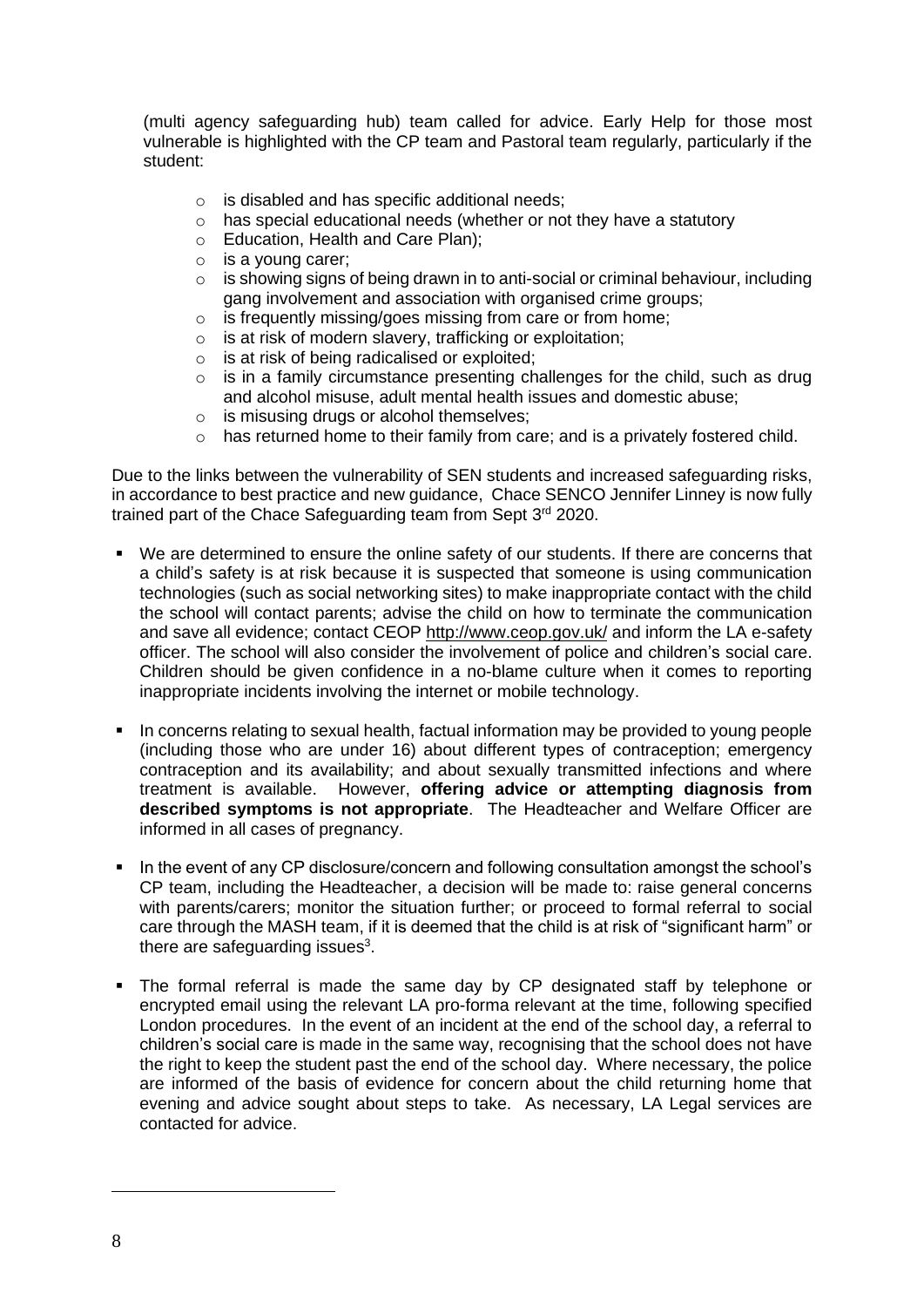(multi agency safeguarding hub) team called for advice. Early Help for those most vulnerable is highlighted with the CP team and Pastoral team regularly, particularly if the student:

- $\circ$  is disabled and has specific additional needs:
- o has special educational needs (whether or not they have a statutory
- o Education, Health and Care Plan);
- o is a young carer;
- $\circ$  is showing signs of being drawn in to anti-social or criminal behaviour, including gang involvement and association with organised crime groups;
- o is frequently missing/goes missing from care or from home;
- o is at risk of modern slavery, trafficking or exploitation;
- o is at risk of being radicalised or exploited;
- $\circ$  is in a family circumstance presenting challenges for the child, such as drug and alcohol misuse, adult mental health issues and domestic abuse;
- o is misusing drugs or alcohol themselves;
- o has returned home to their family from care; and is a privately fostered child.

Due to the links between the vulnerability of SEN students and increased safeguarding risks, in accordance to best practice and new guidance, Chace SENCO Jennifer Linney is now fully trained part of the Chace Safeguarding team from Sept 3rd 2020.

- We are determined to ensure the online safety of our students. If there are concerns that a child's safety is at risk because it is suspected that someone is using communication technologies (such as social networking sites) to make inappropriate contact with the child the school will contact parents; advise the child on how to terminate the communication and save all evidence; contact CEOP<http://www.ceop.gov.uk/> and inform the LA e-safety officer. The school will also consider the involvement of police and children's social care. Children should be given confidence in a no-blame culture when it comes to reporting inappropriate incidents involving the internet or mobile technology.
- In concerns relating to sexual health, factual information may be provided to young people (including those who are under 16) about different types of contraception; emergency contraception and its availability; and about sexually transmitted infections and where treatment is available. However, **offering advice or attempting diagnosis from described symptoms is not appropriate**. The Headteacher and Welfare Officer are informed in all cases of pregnancy.
- In the event of any CP disclosure/concern and following consultation amongst the school's CP team, including the Headteacher, a decision will be made to: raise general concerns with parents/carers; monitor the situation further; or proceed to formal referral to social care through the MASH team, if it is deemed that the child is at risk of "significant harm" or there are safeguarding issues $3$ .
- The formal referral is made the same day by CP designated staff by telephone or encrypted email using the relevant LA pro-forma relevant at the time, following specified London procedures. In the event of an incident at the end of the school day, a referral to children's social care is made in the same way, recognising that the school does not have the right to keep the student past the end of the school day. Where necessary, the police are informed of the basis of evidence for concern about the child returning home that evening and advice sought about steps to take. As necessary, LA Legal services are contacted for advice.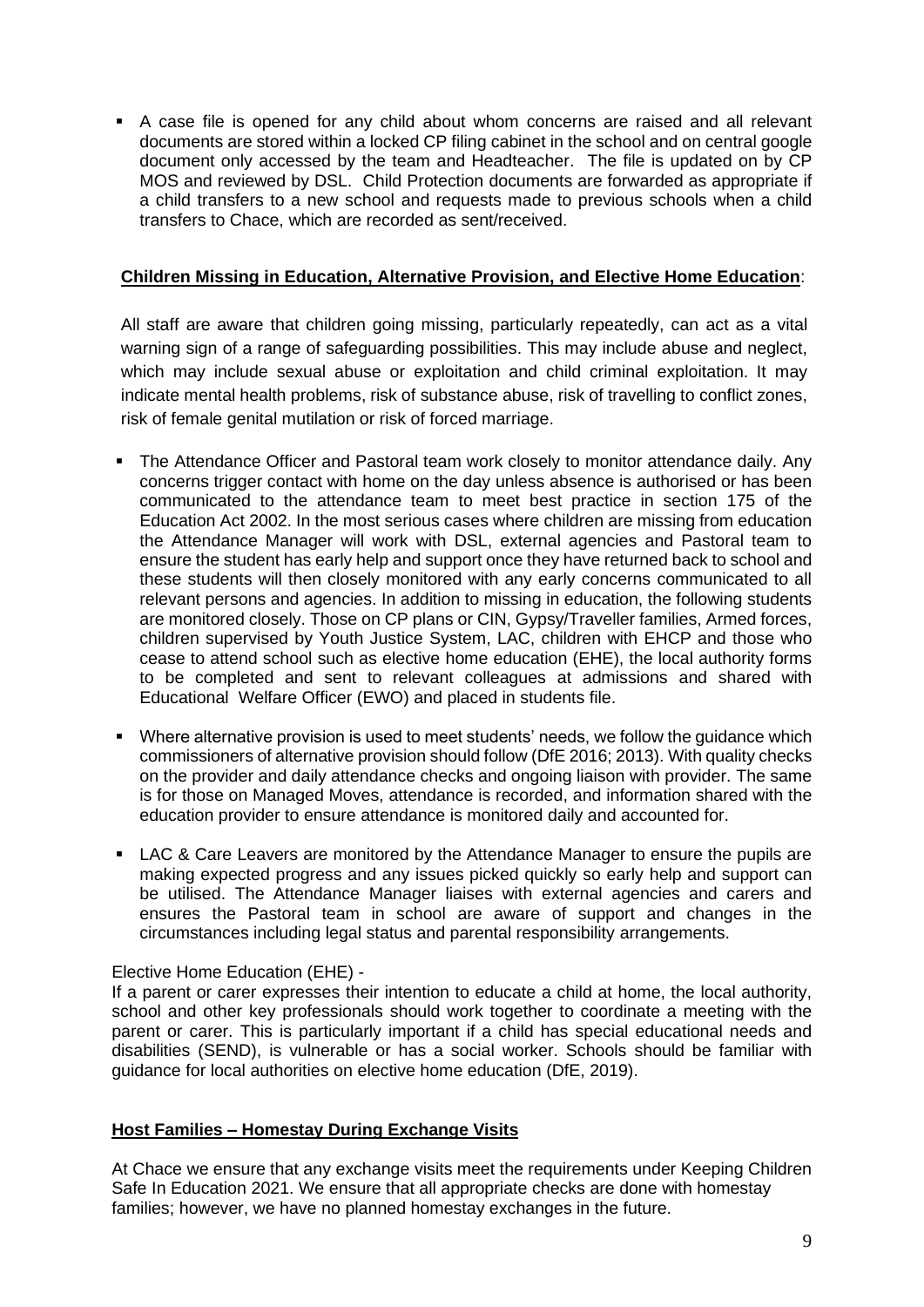▪ A case file is opened for any child about whom concerns are raised and all relevant documents are stored within a locked CP filing cabinet in the school and on central google document only accessed by the team and Headteacher. The file is updated on by CP MOS and reviewed by DSL. Child Protection documents are forwarded as appropriate if a child transfers to a new school and requests made to previous schools when a child transfers to Chace, which are recorded as sent/received.

# **Children Missing in Education, Alternative Provision, and Elective Home Education**:

All staff are aware that children going missing, particularly repeatedly, can act as a vital warning sign of a range of safeguarding possibilities. This may include abuse and neglect, which may include sexual abuse or exploitation and child criminal exploitation. It may indicate mental health problems, risk of substance abuse, risk of travelling to conflict zones, risk of female genital mutilation or risk of forced marriage.

- **The Attendance Officer and Pastoral team work closely to monitor attendance daily. Any** concerns trigger contact with home on the day unless absence is authorised or has been communicated to the attendance team to meet best practice in section 175 of the Education Act 2002. In the most serious cases where children are missing from education the Attendance Manager will work with DSL, external agencies and Pastoral team to ensure the student has early help and support once they have returned back to school and these students will then closely monitored with any early concerns communicated to all relevant persons and agencies. In addition to missing in education, the following students are monitored closely. Those on CP plans or CIN, Gypsy/Traveller families, Armed forces, children supervised by Youth Justice System, LAC, children with EHCP and those who cease to attend school such as elective home education (EHE), the local authority forms to be completed and sent to relevant colleagues at admissions and shared with Educational Welfare Officer (EWO) and placed in students file.
- Where alternative provision is used to meet students' needs, we follow the quidance which commissioners of alternative provision should follow (DfE 2016; 2013). With quality checks on the provider and daily attendance checks and ongoing liaison with provider. The same is for those on Managed Moves, attendance is recorded, and information shared with the education provider to ensure attendance is monitored daily and accounted for.
- LAC & Care Leavers are monitored by the Attendance Manager to ensure the pupils are making expected progress and any issues picked quickly so early help and support can be utilised. The Attendance Manager liaises with external agencies and carers and ensures the Pastoral team in school are aware of support and changes in the circumstances including legal status and parental responsibility arrangements.

#### Elective Home Education (EHE) -

If a parent or carer expresses their intention to educate a child at home, the local authority, school and other key professionals should work together to coordinate a meeting with the parent or carer. This is particularly important if a child has special educational needs and disabilities (SEND), is vulnerable or has a social worker. Schools should be familiar with guidance for local authorities on elective home education (DfE, 2019).

#### **Host Families – Homestay During Exchange Visits**

At Chace we ensure that any exchange visits meet the requirements under Keeping Children Safe In Education 2021. We ensure that all appropriate checks are done with homestay families; however, we have no planned homestay exchanges in the future.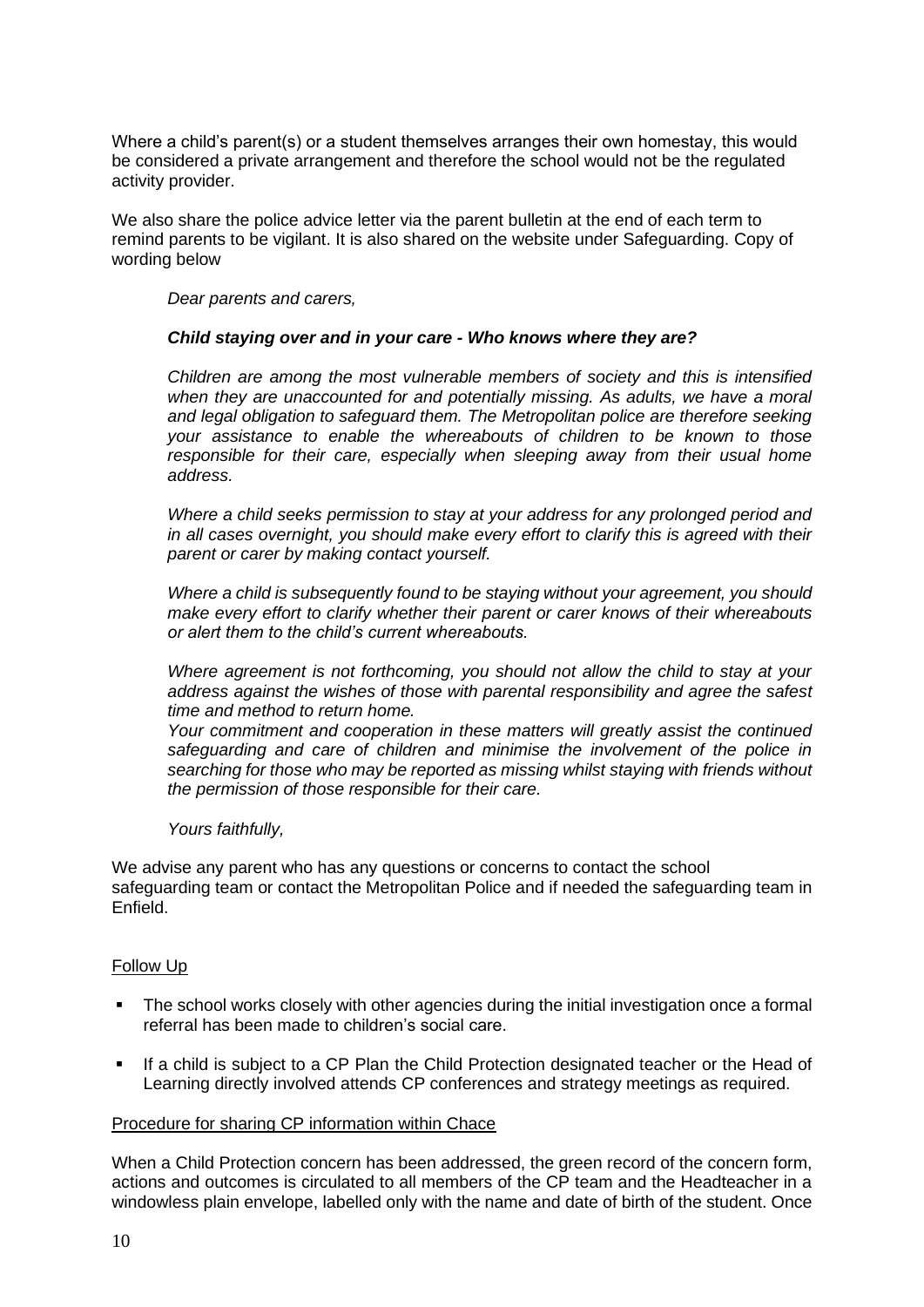Where a child's parent(s) or a student themselves arranges their own homestay, this would be considered a private arrangement and therefore the school would not be the regulated activity provider.

We also share the police advice letter via the parent bulletin at the end of each term to remind parents to be vigilant. It is also shared on the website under Safeguarding. Copy of wording below

*Dear parents and carers,*

#### *Child staying over and in your care - Who knows where they are?*

*Children are among the most vulnerable members of society and this is intensified*  when they are unaccounted for and potentially missing. As adults, we have a moral *and legal obligation to safeguard them. The Metropolitan police are therefore seeking your assistance to enable the whereabouts of children to be known to those*  responsible for their care, especially when sleeping away from their usual home *address.* 

*Where a child seeks permission to stay at your address for any prolonged period and in all cases overnight, you should make every effort to clarify this is agreed with their parent or carer by making contact yourself.*

*Where a child is subsequently found to be staying without your agreement, you should make every effort to clarify whether their parent or carer knows of their whereabouts or alert them to the child's current whereabouts.*

*Where agreement is not forthcoming, you should not allow the child to stay at your address against the wishes of those with parental responsibility and agree the safest time and method to return home.*

*Your commitment and cooperation in these matters will greatly assist the continued safeguarding and care of children and minimise the involvement of the police in searching for those who may be reported as missing whilst staying with friends without the permission of those responsible for their care.* 

#### *Yours faithfully,*

We advise any parent who has any questions or concerns to contact the school safeguarding team or contact the Metropolitan Police and if needed the safeguarding team in Enfield.

#### Follow Up

- **•** The school works closely with other agencies during the initial investigation once a formal referral has been made to children's social care.
- If a child is subject to a CP Plan the Child Protection designated teacher or the Head of Learning directly involved attends CP conferences and strategy meetings as required.

#### Procedure for sharing CP information within Chace

When a Child Protection concern has been addressed, the green record of the concern form, actions and outcomes is circulated to all members of the CP team and the Headteacher in a windowless plain envelope, labelled only with the name and date of birth of the student. Once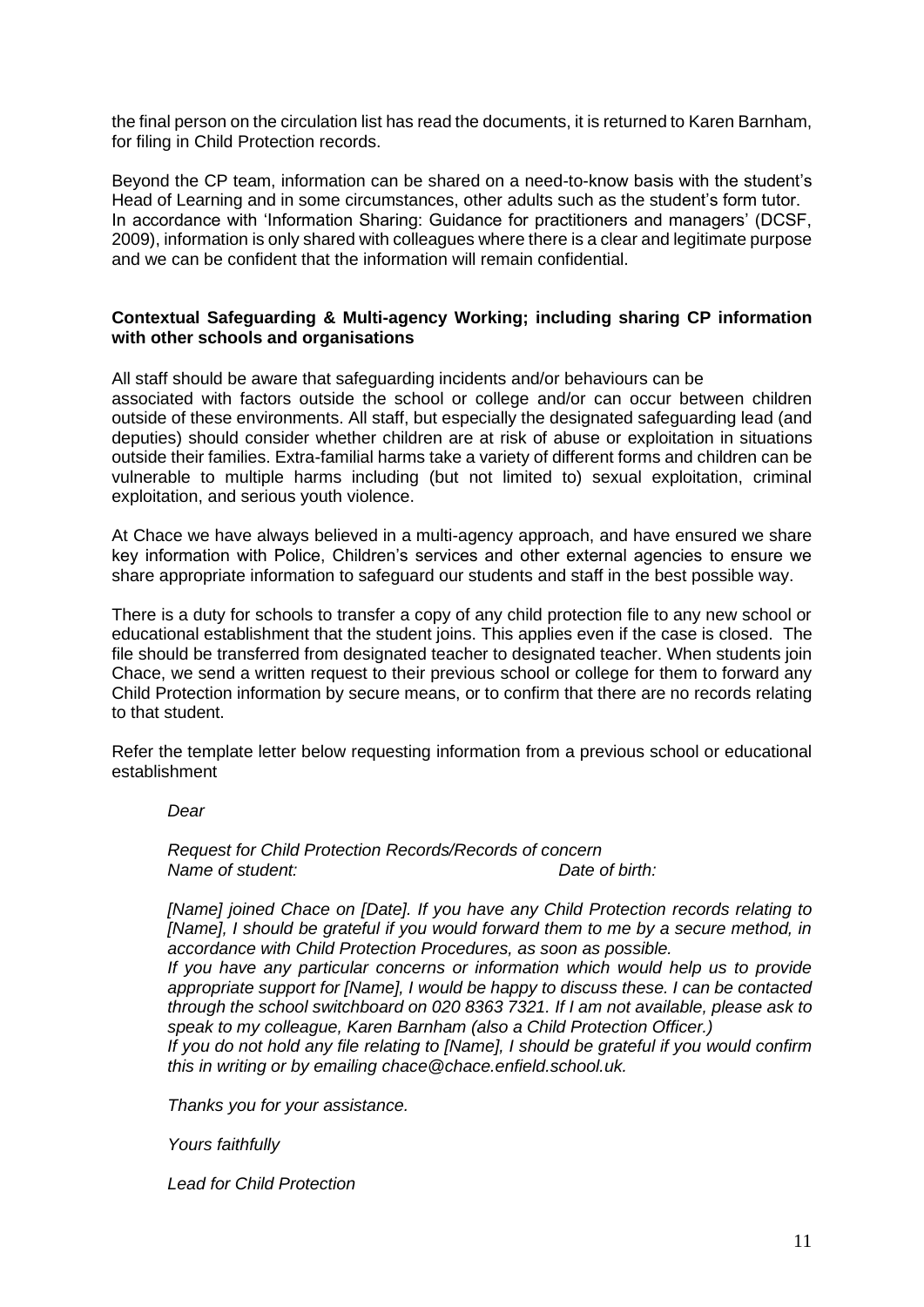the final person on the circulation list has read the documents, it is returned to Karen Barnham, for filing in Child Protection records.

Beyond the CP team, information can be shared on a need-to-know basis with the student's Head of Learning and in some circumstances, other adults such as the student's form tutor. In accordance with 'Information Sharing: Guidance for practitioners and managers' (DCSF, 2009), information is only shared with colleagues where there is a clear and legitimate purpose and we can be confident that the information will remain confidential.

#### **Contextual Safeguarding & Multi-agency Working; including sharing CP information with other schools and organisations**

All staff should be aware that safeguarding incidents and/or behaviours can be associated with factors outside the school or college and/or can occur between children outside of these environments. All staff, but especially the designated safeguarding lead (and deputies) should consider whether children are at risk of abuse or exploitation in situations outside their families. Extra-familial harms take a variety of different forms and children can be vulnerable to multiple harms including (but not limited to) sexual exploitation, criminal exploitation, and serious youth violence.

At Chace we have always believed in a multi-agency approach, and have ensured we share key information with Police, Children's services and other external agencies to ensure we share appropriate information to safeguard our students and staff in the best possible way.

There is a duty for schools to transfer a copy of any child protection file to any new school or educational establishment that the student joins. This applies even if the case is closed. The file should be transferred from designated teacher to designated teacher. When students join Chace, we send a written request to their previous school or college for them to forward any Child Protection information by secure means, or to confirm that there are no records relating to that student.

Refer the template letter below requesting information from a previous school or educational establishment

*Dear* 

*Request for Child Protection Records/Records of concern Name of student: Date of birth:*

*[Name] joined Chace on [Date]. If you have any Child Protection records relating to [Name], I should be grateful if you would forward them to me by a secure method, in accordance with Child Protection Procedures, as soon as possible.*

*If you have any particular concerns or information which would help us to provide appropriate support for [Name], I would be happy to discuss these. I can be contacted through the school switchboard on 020 8363 7321. If I am not available, please ask to speak to my colleague, Karen Barnham (also a Child Protection Officer.)*

*If you do not hold any file relating to [Name], I should be grateful if you would confirm this in writing or by emailing chace@chace.enfield.school.uk.*

*Thanks you for your assistance.*

*Yours faithfully*

*Lead for Child Protection*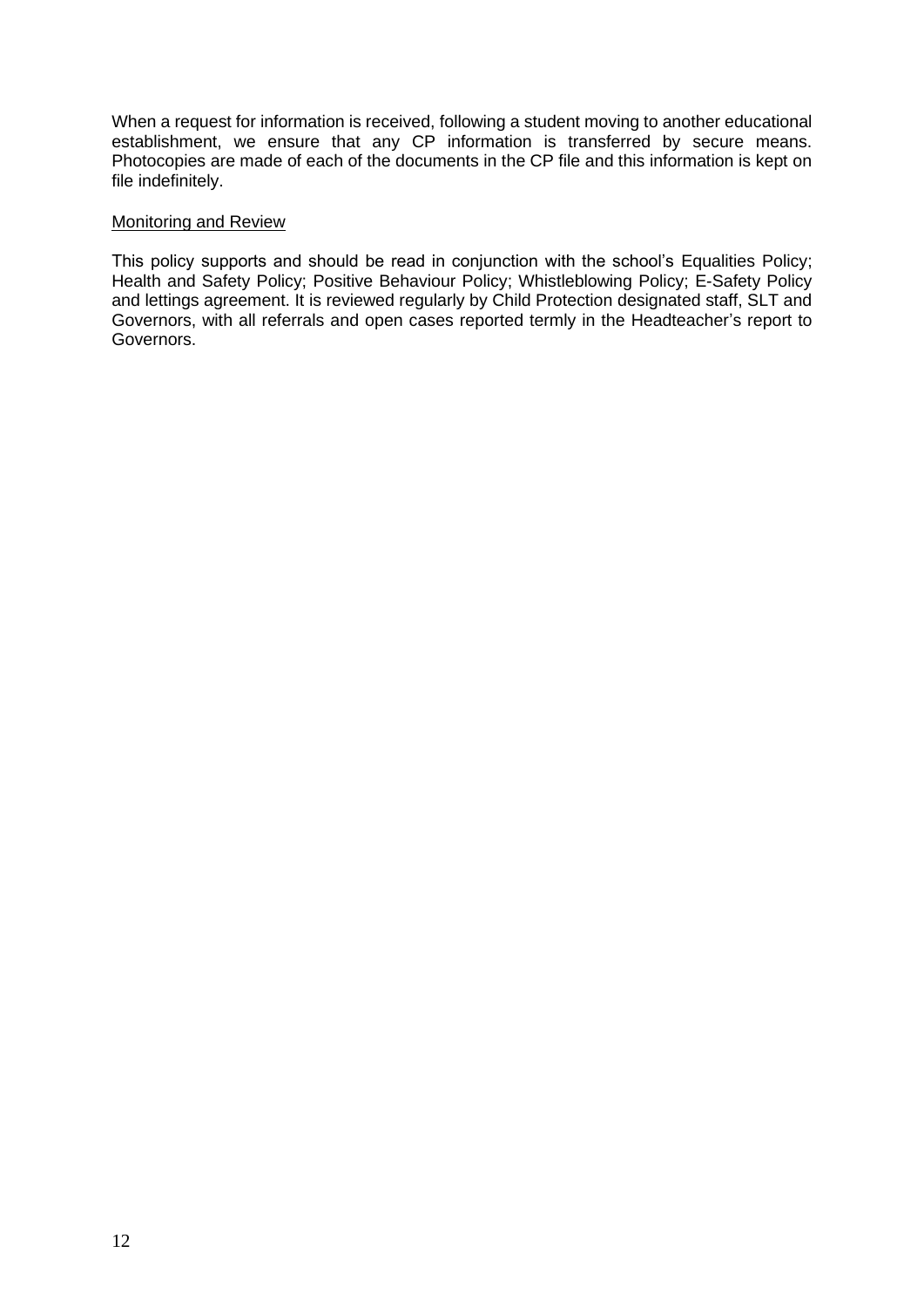When a request for information is received, following a student moving to another educational establishment, we ensure that any CP information is transferred by secure means. Photocopies are made of each of the documents in the CP file and this information is kept on file indefinitely.

#### Monitoring and Review

This policy supports and should be read in conjunction with the school's Equalities Policy; Health and Safety Policy; Positive Behaviour Policy; Whistleblowing Policy; E-Safety Policy and lettings agreement. It is reviewed regularly by Child Protection designated staff, SLT and Governors, with all referrals and open cases reported termly in the Headteacher's report to Governors.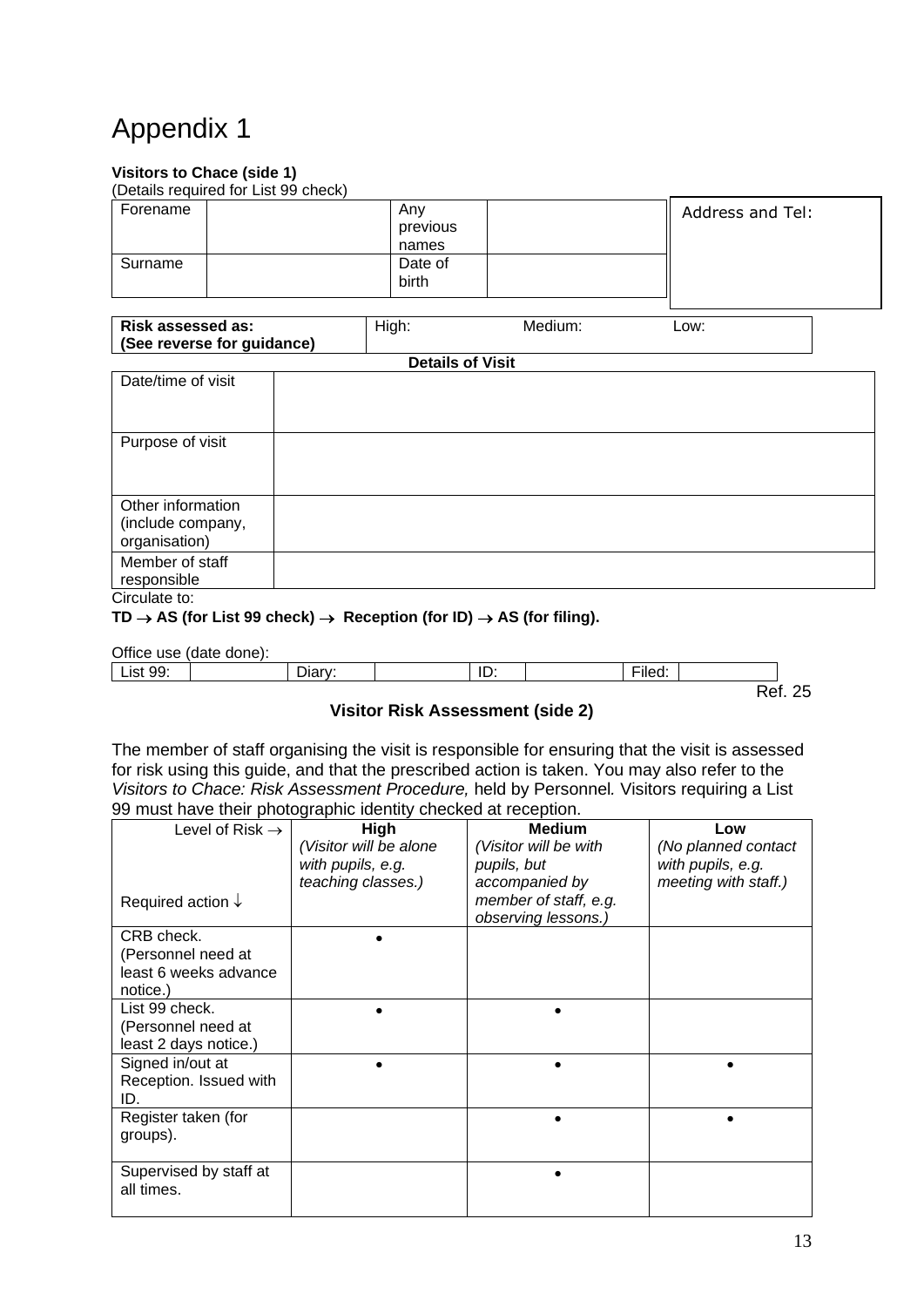# Appendix 1

# **Visitors to Chace (side 1)**

|          | (Details required for List 99 check) |                  |
|----------|--------------------------------------|------------------|
| Forename | Anv<br>previous<br>names             | Address and Tel: |
| Surname  | Date of<br>birth                     |                  |

| <b>Risk assessed as:</b><br>(See reverse for guidance) | High. | Medium: | -ow: |  |
|--------------------------------------------------------|-------|---------|------|--|
| <b>Details of Visit</b>                                |       |         |      |  |

|                                                         | <b>DETAILS UP VISIL</b> |
|---------------------------------------------------------|-------------------------|
| Date/time of visit                                      |                         |
| Purpose of visit                                        |                         |
| Other information<br>(include company,<br>organisation) |                         |
| Member of staff<br>responsible                          |                         |
| Circulate to:                                           |                         |

#### **TD** → **AS (for List 99 check)** → **Reception (for ID)** → **AS (for filing).**

| Office use (date done):    |                       |      |        |           |
|----------------------------|-----------------------|------|--------|-----------|
| $I$ ict $QQ$<br>JJ.<br>∟⊍ບ | າion"<br><b>Diaiv</b> | י שו | Filed. |           |
|                            |                       |      |        | Ref.<br>້ |

# **Visitor Risk Assessment (side 2)**

The member of staff organising the visit is responsible for ensuring that the visit is assessed for risk using this guide, and that the prescribed action is taken. You may also refer to the *Visitors to Chace: Risk Assessment Procedure,* held by Personnel*.* Visitors requiring a List 99 must have their photographic identity checked at reception.

| Level of Risk $\rightarrow$  | High                   | <b>Medium</b>         | Low                  |
|------------------------------|------------------------|-----------------------|----------------------|
|                              | (Visitor will be alone | (Visitor will be with | (No planned contact  |
|                              | with pupils, e.g.      | pupils, but           | with pupils, e.g.    |
|                              | teaching classes.)     | accompanied by        | meeting with staff.) |
|                              |                        |                       |                      |
| Required action $\downarrow$ |                        | member of staff, e.g. |                      |
|                              |                        | observing lessons.)   |                      |
| CRB check.                   |                        |                       |                      |
| (Personnel need at           |                        |                       |                      |
| least 6 weeks advance        |                        |                       |                      |
|                              |                        |                       |                      |
| notice.)                     |                        |                       |                      |
| List 99 check.               |                        |                       |                      |
| (Personnel need at           |                        |                       |                      |
| least 2 days notice.)        |                        |                       |                      |
| Signed in/out at             |                        |                       |                      |
| Reception. Issued with       |                        |                       |                      |
| ID.                          |                        |                       |                      |
|                              |                        |                       |                      |
| Register taken (for          |                        |                       |                      |
| groups).                     |                        |                       |                      |
|                              |                        |                       |                      |
| Supervised by staff at       |                        |                       |                      |
| all times.                   |                        |                       |                      |
|                              |                        |                       |                      |
|                              |                        |                       |                      |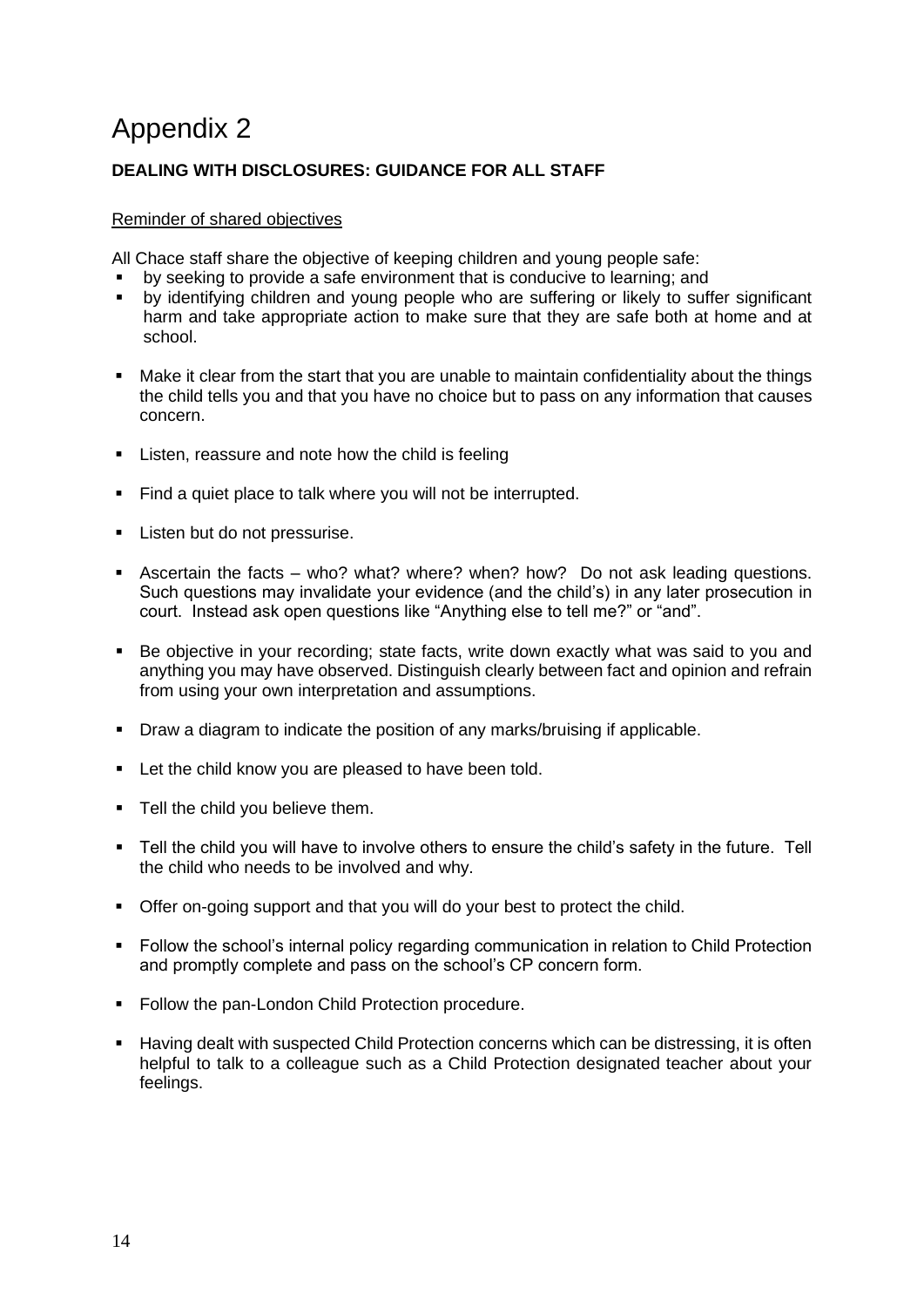# Appendix 2

# **DEALING WITH DISCLOSURES: GUIDANCE FOR ALL STAFF**

## Reminder of shared objectives

All Chace staff share the objective of keeping children and young people safe:

- by seeking to provide a safe environment that is conducive to learning; and
- by identifying children and young people who are suffering or likely to suffer significant harm and take appropriate action to make sure that they are safe both at home and at school.
- Make it clear from the start that you are unable to maintain confidentiality about the things the child tells you and that you have no choice but to pass on any information that causes concern.
- Listen, reassure and note how the child is feeling
- Find a quiet place to talk where you will not be interrupted.
- Listen but do not pressurise.
- Ascertain the facts who? what? where? when? how? Do not ask leading questions. Such questions may invalidate your evidence (and the child's) in any later prosecution in court. Instead ask open questions like "Anything else to tell me?" or "and".
- Be objective in your recording; state facts, write down exactly what was said to you and anything you may have observed. Distinguish clearly between fact and opinion and refrain from using your own interpretation and assumptions.
- Draw a diagram to indicate the position of any marks/bruising if applicable.
- Let the child know you are pleased to have been told.
- Tell the child you believe them.
- Tell the child you will have to involve others to ensure the child's safety in the future. Tell the child who needs to be involved and why.
- Offer on-going support and that you will do your best to protect the child.
- Follow the school's internal policy regarding communication in relation to Child Protection and promptly complete and pass on the school's CP concern form.
- Follow the pan-London Child Protection procedure.
- Having dealt with suspected Child Protection concerns which can be distressing, it is often helpful to talk to a colleague such as a Child Protection designated teacher about your feelings.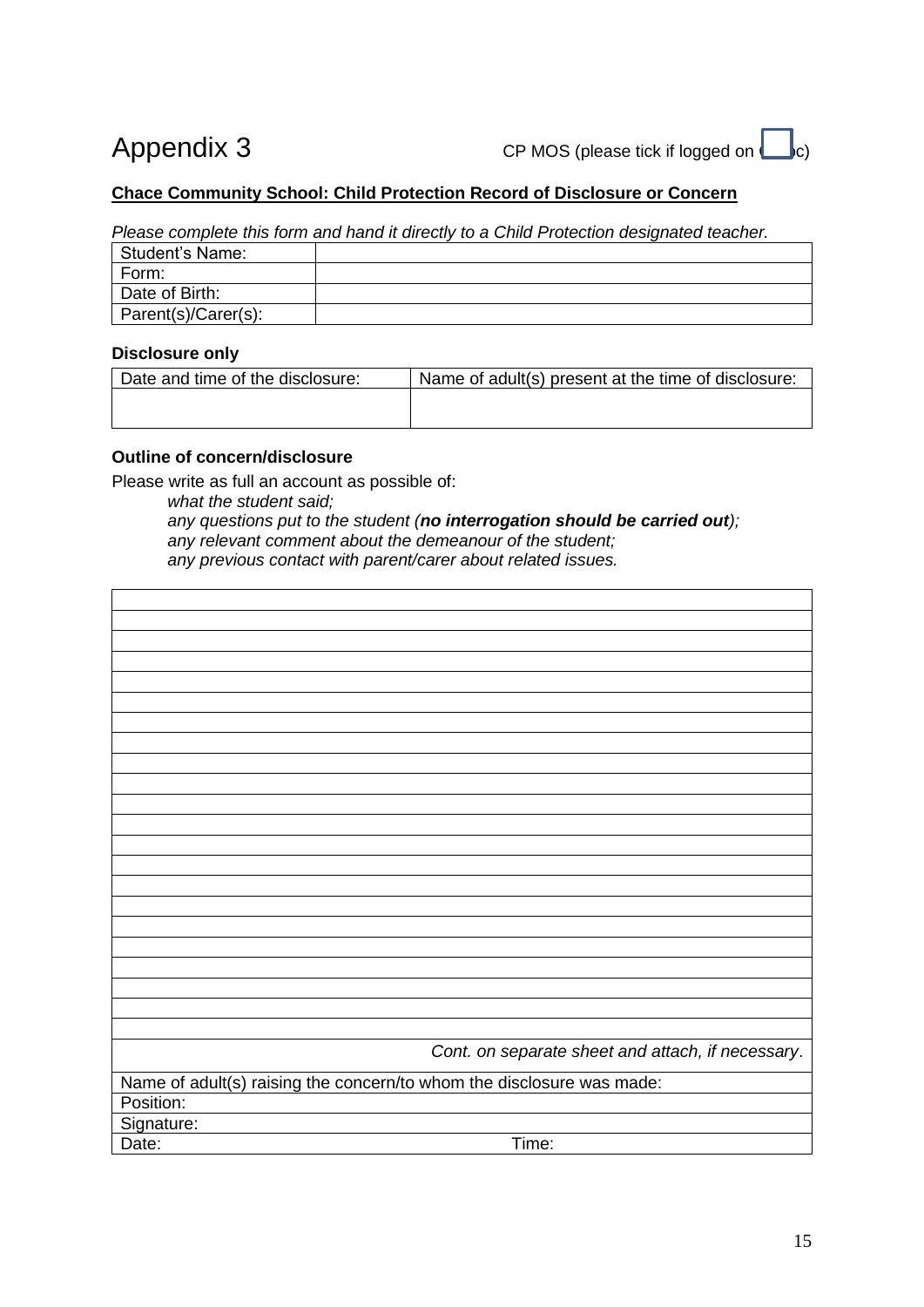$\Delta$ ppendix 3 CP MOS (please tick if logged on  $\Box$ c)

# **Chace Community School: Child Protection Record of Disclosure or Concern**

*Please complete this form and hand it directly to a Child Protection designated teacher.*

| Student's Name:     |  |
|---------------------|--|
| Form:               |  |
| Date of Birth:      |  |
| Parent(s)/Carer(s): |  |

#### **Disclosure only**

| Date and time of the disclosure: | Name of adult(s) present at the time of disclosure: |
|----------------------------------|-----------------------------------------------------|
|                                  |                                                     |
|                                  |                                                     |

# **Outline of concern/disclosure**

Please write as full an account as possible of:

*what the student said;*

*any questions put to the student (no interrogation should be carried out); any relevant comment about the demeanour of the student; any previous contact with parent/carer about related issues.*

| Cont. on separate sheet and attach, if necessary.                     |
|-----------------------------------------------------------------------|
| Name of adult(s) raising the concern/to whom the disclosure was made: |
| Position:                                                             |
| Signature:                                                            |
| Time:<br>Date:                                                        |
|                                                                       |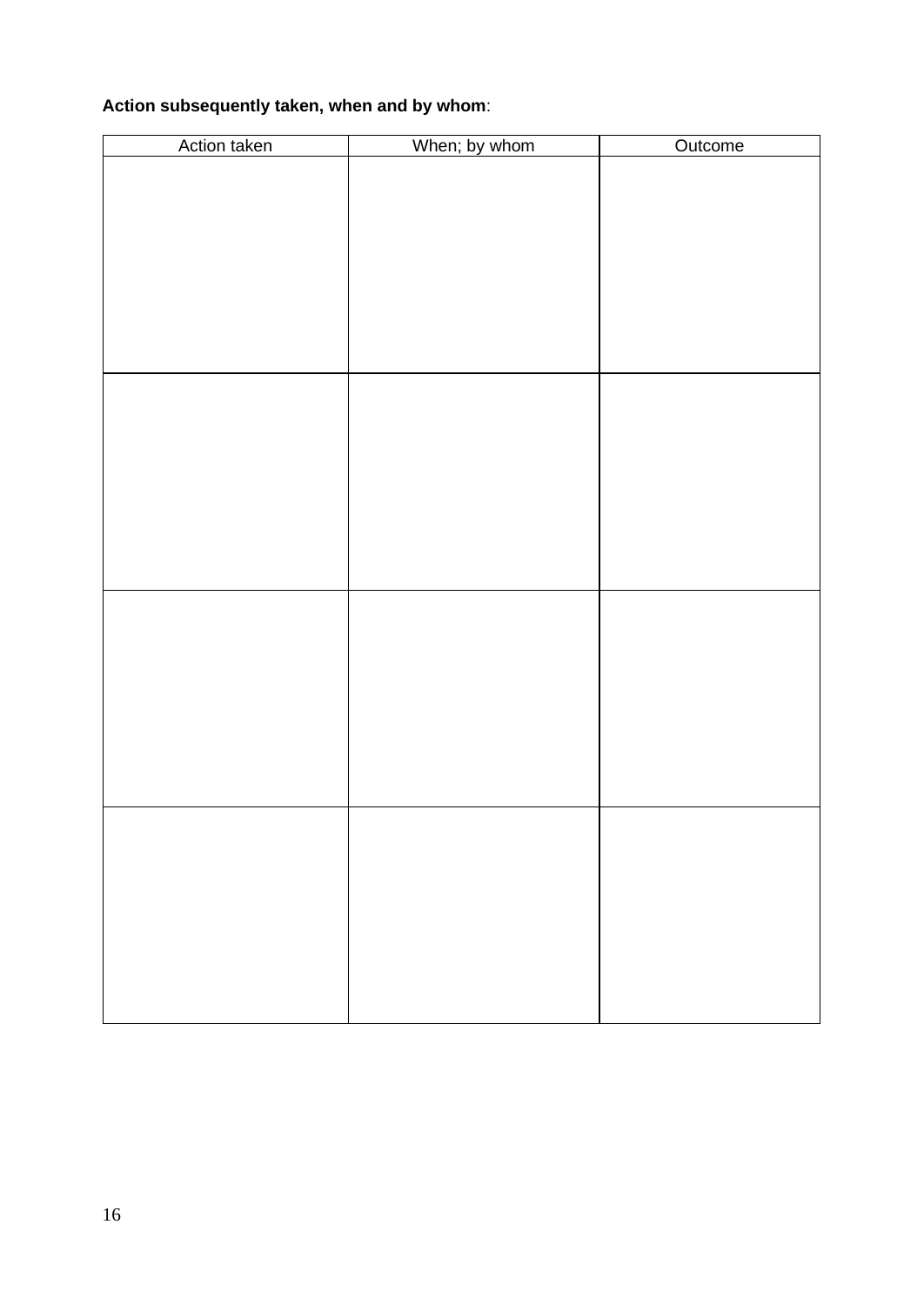# **Action subsequently taken, when and by whom**:

| Action taken | When; by whom | Outcome |
|--------------|---------------|---------|
|              |               |         |
|              |               |         |
|              |               |         |
|              |               |         |
|              |               |         |
|              |               |         |
|              |               |         |
|              |               |         |
|              |               |         |
|              |               |         |
|              |               |         |
|              |               |         |
|              |               |         |
|              |               |         |
|              |               |         |
|              |               |         |
|              |               |         |
|              |               |         |
|              |               |         |
|              |               |         |
|              |               |         |
|              |               |         |
|              |               |         |
|              |               |         |
|              |               |         |
|              |               |         |
|              |               |         |
|              |               |         |
|              |               |         |
|              |               |         |
|              |               |         |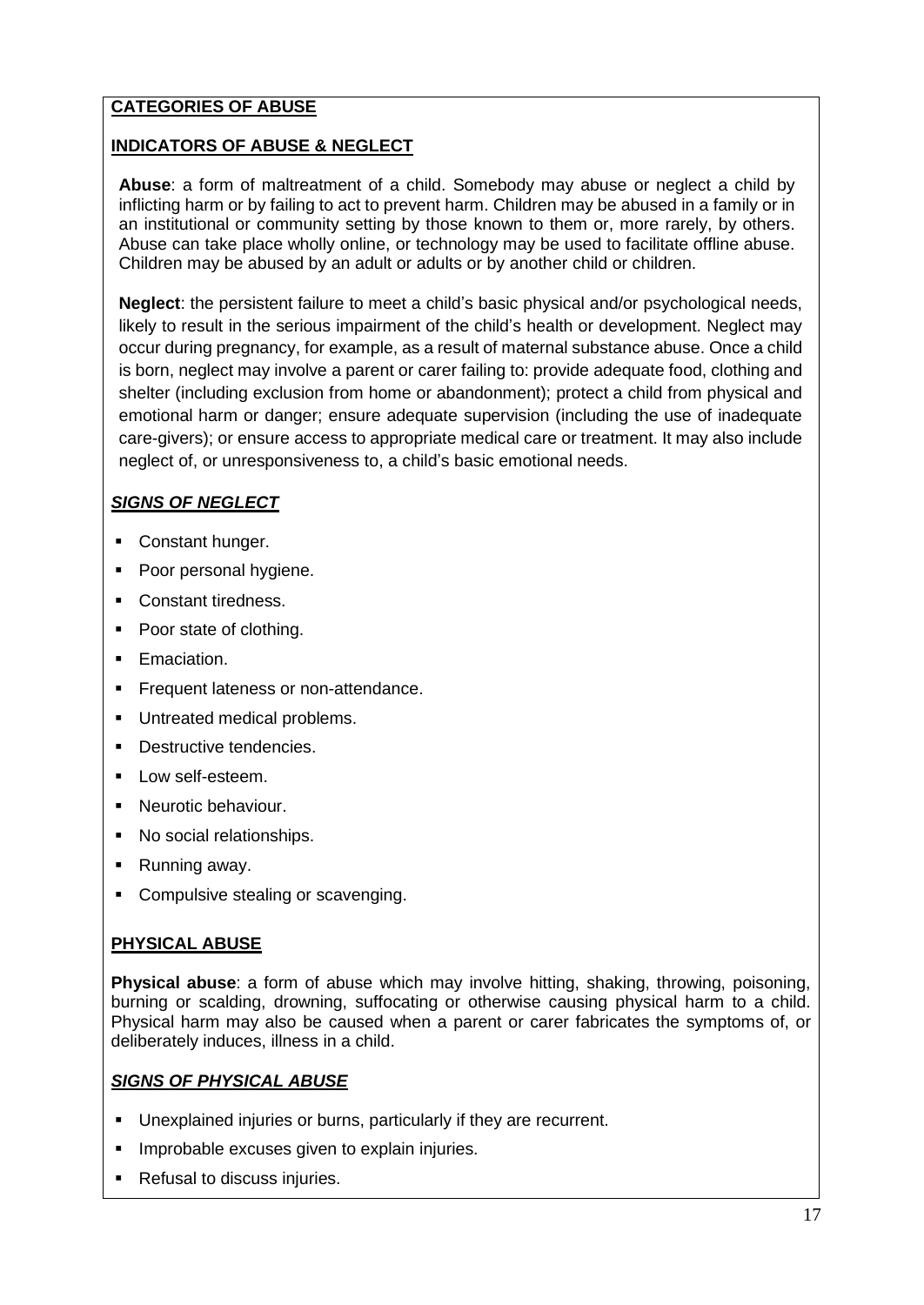# **CATEGORIES OF ABUSE**

# **INDICATORS OF ABUSE & NEGLECT**

**Abuse**: a form of maltreatment of a child. Somebody may abuse or neglect a child by inflicting harm or by failing to act to prevent harm. Children may be abused in a family or in an institutional or community setting by those known to them or, more rarely, by others. Abuse can take place wholly online, or technology may be used to facilitate offline abuse. Children may be abused by an adult or adults or by another child or children.

**Neglect**: the persistent failure to meet a child's basic physical and/or psychological needs, likely to result in the serious impairment of the child's health or development. Neglect may occur during pregnancy, for example, as a result of maternal substance abuse. Once a child is born, neglect may involve a parent or carer failing to: provide adequate food, clothing and shelter (including exclusion from home or abandonment); protect a child from physical and emotional harm or danger; ensure adequate supervision (including the use of inadequate care-givers); or ensure access to appropriate medical care or treatment. It may also include neglect of, or unresponsiveness to, a child's basic emotional needs.

# *SIGNS OF NEGLECT*

- Constant hunger.
- Poor personal hygiene.
- Constant tiredness.
- Poor state of clothing.
- **Emaciation**
- **•** Frequent lateness or non-attendance.
- Untreated medical problems.
- Destructive tendencies.
- Low self-esteem.
- Neurotic behaviour.
- No social relationships.
- Running away.
- Compulsive stealing or scavenging.

# **PHYSICAL ABUSE**

**Physical abuse**: a form of abuse which may involve hitting, shaking, throwing, poisoning, burning or scalding, drowning, suffocating or otherwise causing physical harm to a child. Physical harm may also be caused when a parent or carer fabricates the symptoms of, or deliberately induces, illness in a child.

# *SIGNS OF PHYSICAL ABUSE*

- Unexplained injuries or burns, particularly if they are recurrent.
- **•** Improbable excuses given to explain injuries.
- Refusal to discuss injuries.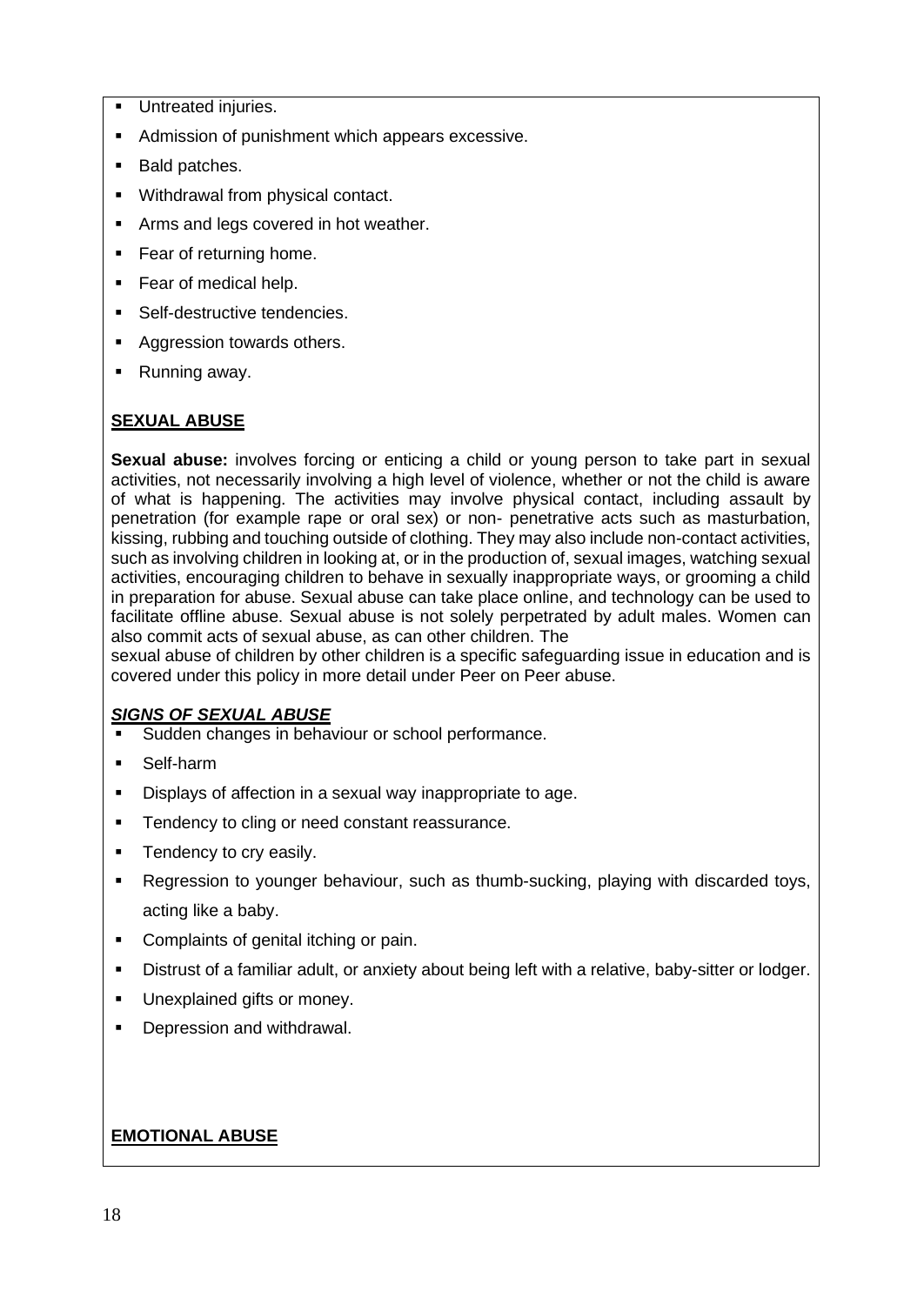- **■** Untreated injuries.
- Admission of punishment which appears excessive.
- Bald patches.
- Withdrawal from physical contact.
- **EXE** Arms and legs covered in hot weather.
- Fear of returning home.
- Fear of medical help.
- Self-destructive tendencies.
- Aggression towards others.
- Running away.

# **SEXUAL ABUSE**

**Sexual abuse:** involves forcing or enticing a child or young person to take part in sexual activities, not necessarily involving a high level of violence, whether or not the child is aware of what is happening. The activities may involve physical contact, including assault by penetration (for example rape or oral sex) or non- penetrative acts such as masturbation, kissing, rubbing and touching outside of clothing. They may also include non-contact activities, such as involving children in looking at, or in the production of, sexual images, watching sexual activities, encouraging children to behave in sexually inappropriate ways, or grooming a child in preparation for abuse. Sexual abuse can take place online, and technology can be used to facilitate offline abuse. Sexual abuse is not solely perpetrated by adult males. Women can also commit acts of sexual abuse, as can other children. The

sexual abuse of children by other children is a specific safeguarding issue in education and is covered under this policy in more detail under Peer on Peer abuse.

# *SIGNS OF SEXUAL ABUSE*

- Sudden changes in behaviour or school performance.
- Self-harm
- Displays of affection in a sexual way inappropriate to age.
- Tendency to cling or need constant reassurance.
- Tendency to cry easily.
- **EXECT** Regression to younger behaviour, such as thumb-sucking, playing with discarded toys, acting like a baby.
- Complaints of genital itching or pain.
- Distrust of a familiar adult, or anxiety about being left with a relative, baby-sitter or lodger.
- **■** Unexplained gifts or money.
- Depression and withdrawal.

# **EMOTIONAL ABUSE**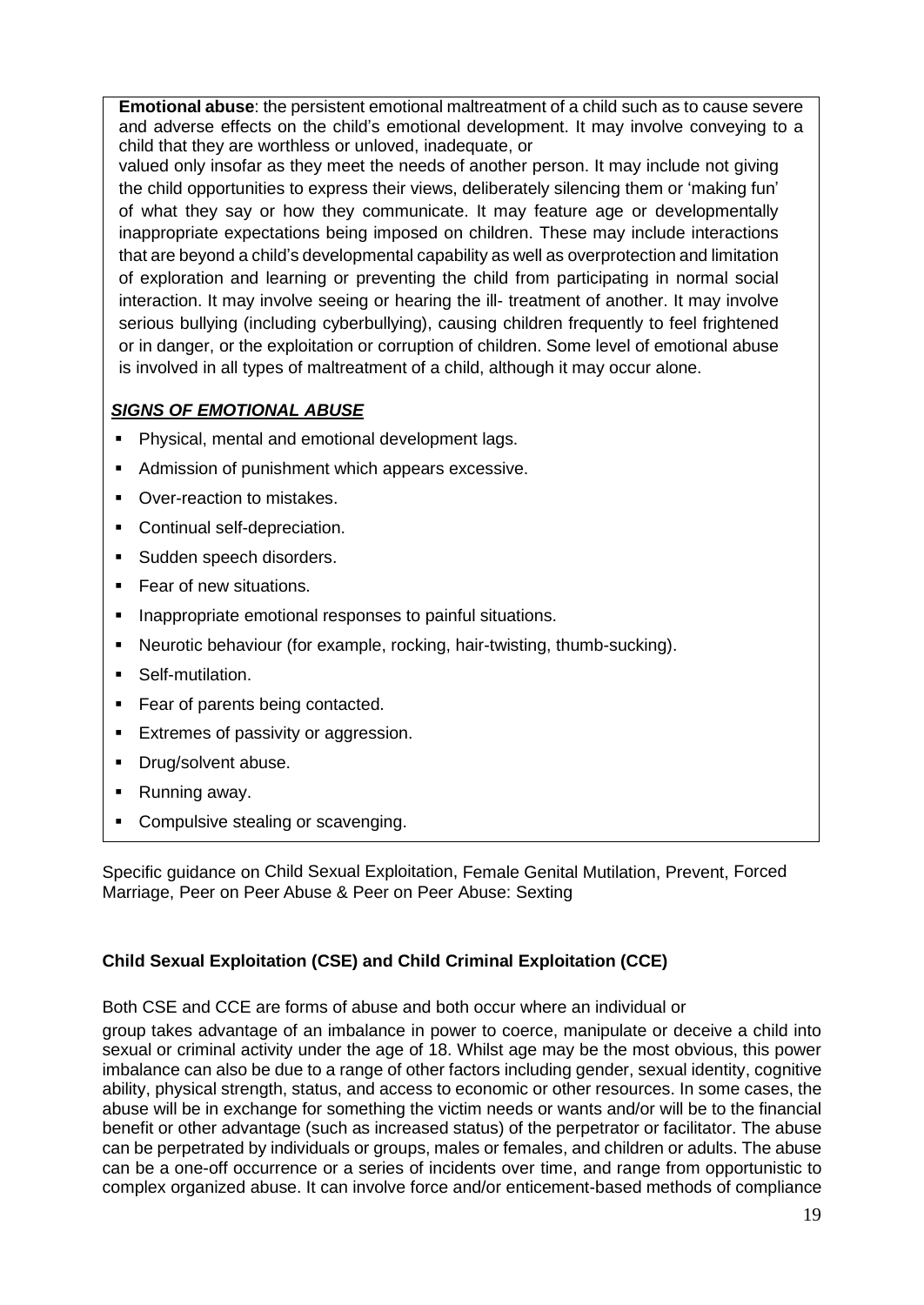**Emotional abuse**: the persistent emotional maltreatment of a child such as to cause severe and adverse effects on the child's emotional development. It may involve conveying to a child that they are worthless or unloved, inadequate, or

valued only insofar as they meet the needs of another person. It may include not giving the child opportunities to express their views, deliberately silencing them or 'making fun' of what they say or how they communicate. It may feature age or developmentally inappropriate expectations being imposed on children. These may include interactions that are beyond a child's developmental capability as well as overprotection and limitation of exploration and learning or preventing the child from participating in normal social interaction. It may involve seeing or hearing the ill- treatment of another. It may involve serious bullying (including cyberbullying), causing children frequently to feel frightened or in danger, or the exploitation or corruption of children. Some level of emotional abuse is involved in all types of maltreatment of a child, although it may occur alone.

# *SIGNS OF EMOTIONAL ABUSE*

- **Physical, mental and emotional development lags.**
- Admission of punishment which appears excessive.
- Over-reaction to mistakes.
- **•** Continual self-depreciation.
- **EXEC** Sudden speech disorders.
- Fear of new situations.
- Inappropriate emotional responses to painful situations.
- Neurotic behaviour (for example, rocking, hair-twisting, thumb-sucking).
- Self-mutilation.
- Fear of parents being contacted.
- **Extremes of passivity or aggression.**
- Drug/solvent abuse.
- Running away.
- Compulsive stealing or scavenging.

Specific guidance on Child Sexual Exploitation, Female Genital Mutilation, Prevent, Forced Marriage, Peer on Peer Abuse & Peer on Peer Abuse: Sexting

# **Child Sexual Exploitation (CSE) and Child Criminal Exploitation (CCE)**

#### Both CSE and CCE are forms of abuse and both occur where an individual or

group takes advantage of an imbalance in power to coerce, manipulate or deceive a child into sexual or criminal activity under the age of 18. Whilst age may be the most obvious, this power imbalance can also be due to a range of other factors including gender, sexual identity, cognitive ability, physical strength, status, and access to economic or other resources. In some cases, the abuse will be in exchange for something the victim needs or wants and/or will be to the financial benefit or other advantage (such as increased status) of the perpetrator or facilitator. The abuse can be perpetrated by individuals or groups, males or females, and children or adults. The abuse can be a one-off occurrence or a series of incidents over time, and range from opportunistic to complex organized abuse. It can involve force and/or enticement-based methods of compliance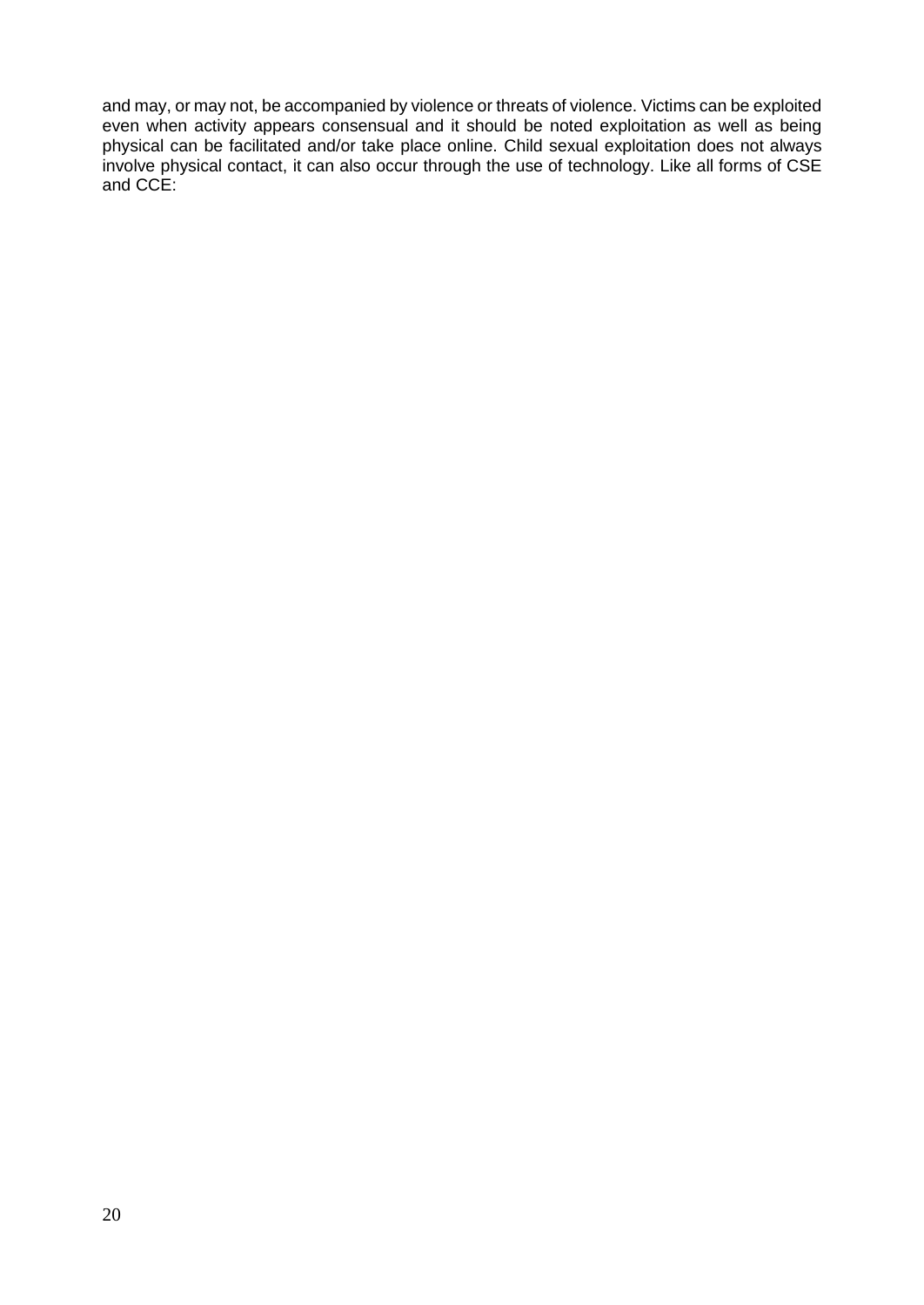and may, or may not, be accompanied by violence or threats of violence. Victims can be exploited even when activity appears consensual and it should be noted exploitation as well as being physical can be facilitated and/or take place online. Child sexual exploitation does not always involve physical contact, it can also occur through the use of technology. Like all forms of CSE and CCE: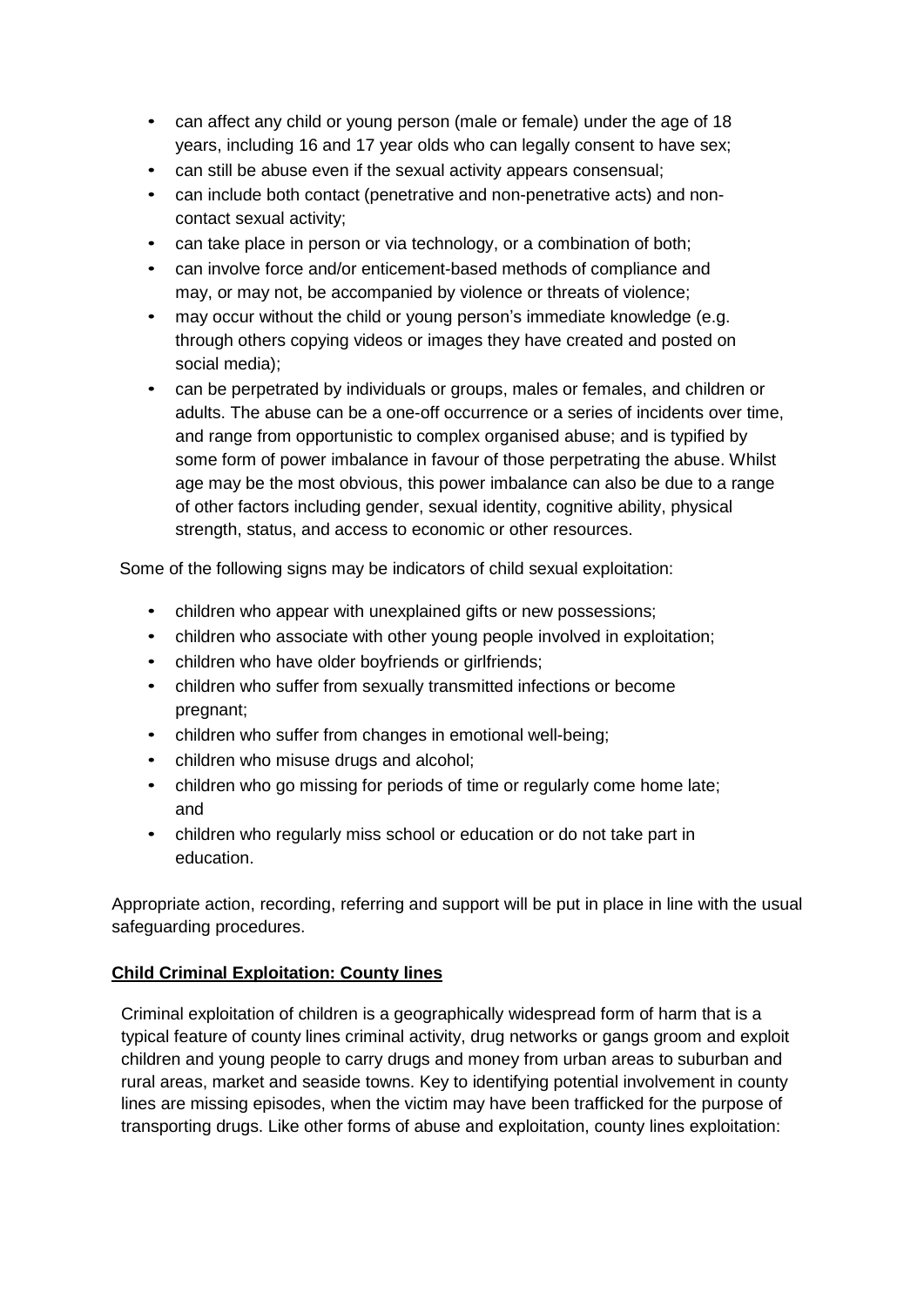- can affect any child or young person (male or female) under the age of 18 years, including 16 and 17 year olds who can legally consent to have sex;
- can still be abuse even if the sexual activity appears consensual;
- can include both contact (penetrative and non-penetrative acts) and noncontact sexual activity;
- can take place in person or via technology, or a combination of both;
- can involve force and/or enticement-based methods of compliance and may, or may not, be accompanied by violence or threats of violence;
- may occur without the child or young person's immediate knowledge (e.g. through others copying videos or images they have created and posted on social media);
- can be perpetrated by individuals or groups, males or females, and children or adults. The abuse can be a one-off occurrence or a series of incidents over time, and range from opportunistic to complex organised abuse; and is typified by some form of power imbalance in favour of those perpetrating the abuse. Whilst age may be the most obvious, this power imbalance can also be due to a range of other factors including gender, sexual identity, cognitive ability, physical strength, status, and access to economic or other resources.

Some of the following signs may be indicators of child sexual exploitation:

- children who appear with unexplained gifts or new possessions;
- children who associate with other young people involved in exploitation;
- children who have older boyfriends or girlfriends;
- children who suffer from sexually transmitted infections or become pregnant;
- children who suffer from changes in emotional well-being;
- children who misuse drugs and alcohol;
- children who go missing for periods of time or regularly come home late; and
- children who regularly miss school or education or do not take part in education.

Appropriate action, recording, referring and support will be put in place in line with the usual safeguarding procedures.

# **Child Criminal Exploitation: County lines**

Criminal exploitation of children is a geographically widespread form of harm that is a typical feature of county lines criminal activity, drug networks or gangs groom and exploit children and young people to carry drugs and money from urban areas to suburban and rural areas, market and seaside towns. Key to identifying potential involvement in county lines are missing episodes, when the victim may have been trafficked for the purpose of transporting drugs. Like other forms of abuse and exploitation, county lines exploitation: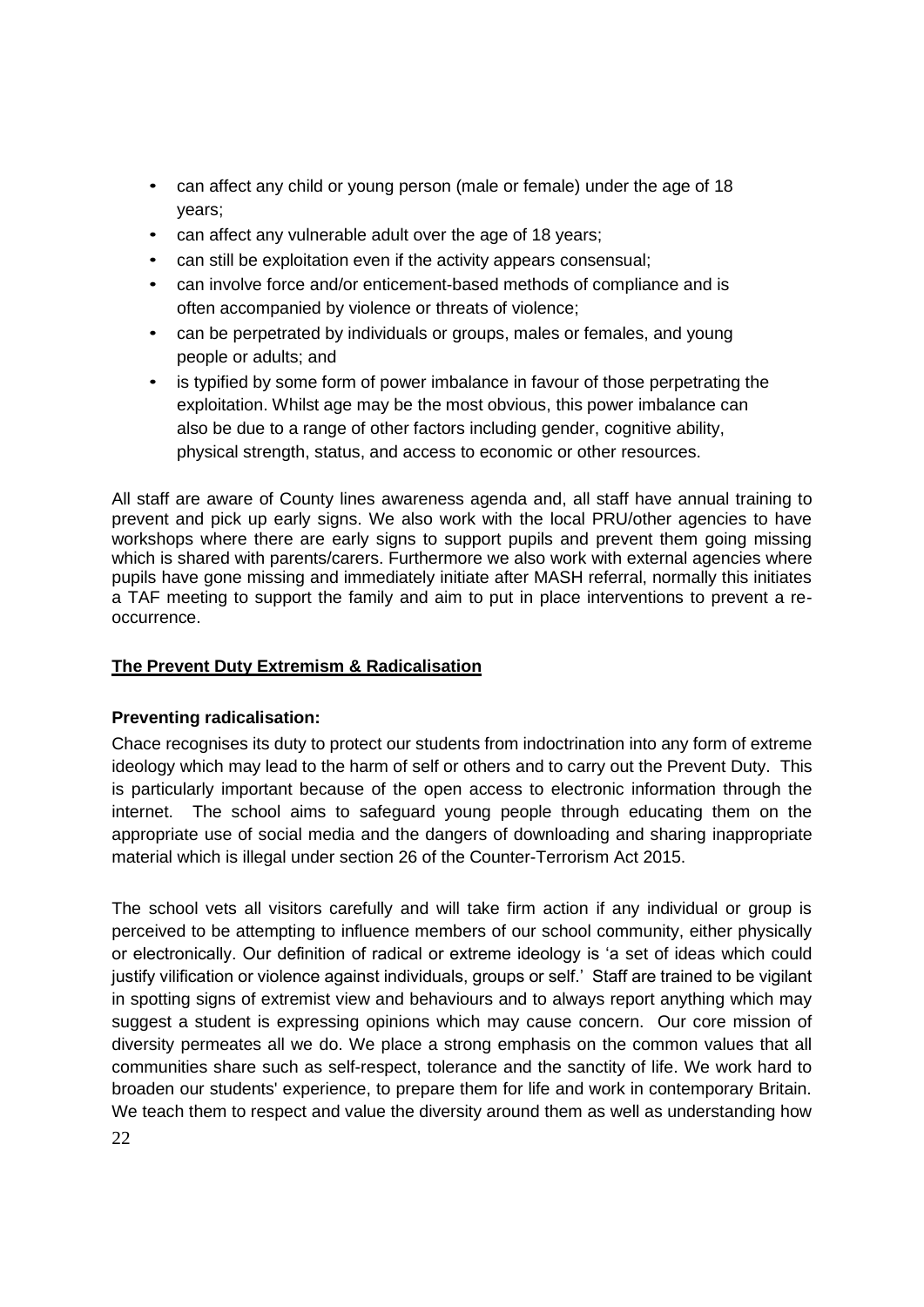- can affect any child or young person (male or female) under the age of 18 years;
- can affect any vulnerable adult over the age of 18 years;
- $\cdot$  can still be exploitation even if the activity appears consensual;
- can involve force and/or enticement-based methods of compliance and is often accompanied by violence or threats of violence;
- can be perpetrated by individuals or groups, males or females, and young people or adults; and
- is typified by some form of power imbalance in favour of those perpetrating the exploitation. Whilst age may be the most obvious, this power imbalance can also be due to a range of other factors including gender, cognitive ability, physical strength, status, and access to economic or other resources.

All staff are aware of County lines awareness agenda and, all staff have annual training to prevent and pick up early signs. We also work with the local PRU/other agencies to have workshops where there are early signs to support pupils and prevent them going missing which is shared with parents/carers. Furthermore we also work with external agencies where pupils have gone missing and immediately initiate after MASH referral, normally this initiates a TAF meeting to support the family and aim to put in place interventions to prevent a reoccurrence.

# **The Prevent Duty Extremism & Radicalisation**

# **Preventing radicalisation:**

Chace recognises its duty to protect our students from indoctrination into any form of extreme ideology which may lead to the harm of self or others and to carry out the Prevent Duty. This is particularly important because of the open access to electronic information through the internet. The school aims to safeguard young people through educating them on the appropriate use of social media and the dangers of downloading and sharing inappropriate material which is illegal under section 26 of the Counter-Terrorism Act 2015.

22 The school vets all visitors carefully and will take firm action if any individual or group is perceived to be attempting to influence members of our school community, either physically or electronically. Our definition of radical or extreme ideology is 'a set of ideas which could justify vilification or violence against individuals, groups or self.' Staff are trained to be vigilant in spotting signs of extremist view and behaviours and to always report anything which may suggest a student is expressing opinions which may cause concern. Our core mission of diversity permeates all we do. We place a strong emphasis on the common values that all communities share such as self-respect, tolerance and the sanctity of life. We work hard to broaden our students' experience, to prepare them for life and work in contemporary Britain. We teach them to respect and value the diversity around them as well as understanding how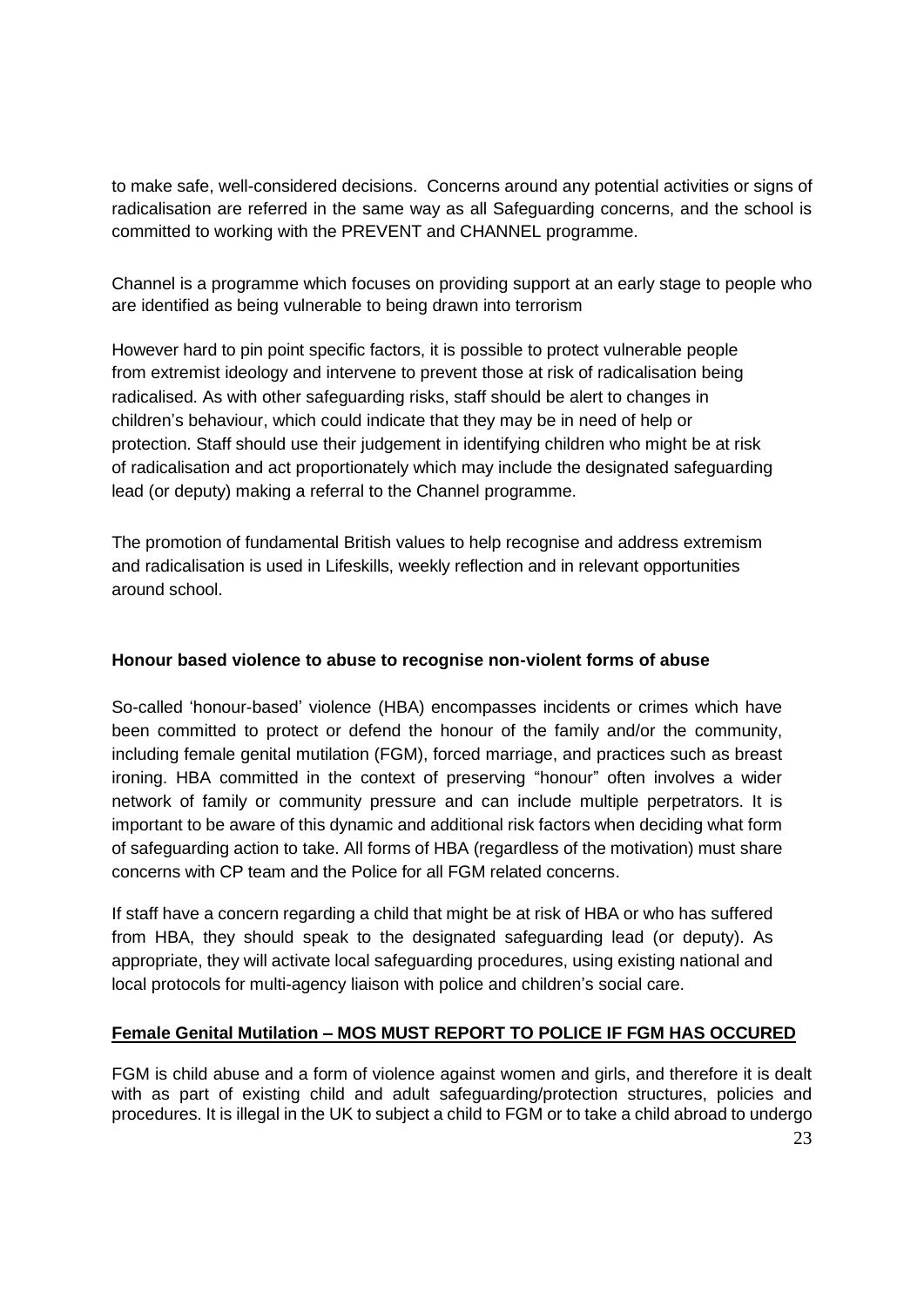to make safe, well-considered decisions. Concerns around any potential activities or signs of radicalisation are referred in the same way as all Safeguarding concerns, and the school is committed to working with the PREVENT and CHANNEL programme.

Channel is a programme which focuses on providing support at an early stage to people who are identified as being vulnerable to being drawn into terrorism

However hard to pin point specific factors, it is possible to protect vulnerable people from extremist ideology and intervene to prevent those at risk of radicalisation being radicalised. As with other safeguarding risks, staff should be alert to changes in children's behaviour, which could indicate that they may be in need of help or protection. Staff should use their judgement in identifying children who might be at risk of radicalisation and act proportionately which may include the designated safeguarding lead (or deputy) making a referral to the Channel programme.

The promotion of fundamental British values to help recognise and address extremism and radicalisation is used in Lifeskills, weekly reflection and in relevant opportunities around school.

## **Honour based violence to abuse to recognise non-violent forms of abuse**

So-called 'honour-based' violence (HBA) encompasses incidents or crimes which have been committed to protect or defend the honour of the family and/or the community, including female genital mutilation (FGM), forced marriage, and practices such as breast ironing. HBA committed in the context of preserving "honour" often involves a wider network of family or community pressure and can include multiple perpetrators. It is important to be aware of this dynamic and additional risk factors when deciding what form of safeguarding action to take. All forms of HBA (regardless of the motivation) must share concerns with CP team and the Police for all FGM related concerns.

If staff have a concern regarding a child that might be at risk of HBA or who has suffered from HBA, they should speak to the designated safeguarding lead (or deputy). As appropriate, they will activate local safeguarding procedures, using existing national and local protocols for multi-agency liaison with police and children's social care.

# **Female Genital Mutilation – MOS MUST REPORT TO POLICE IF FGM HAS OCCURED**

FGM is child abuse and a form of violence against women and girls, and therefore it is dealt with as part of existing child and adult safeguarding/protection structures, policies and procedures. It is illegal in the UK to subject a child to FGM or to take a child abroad to undergo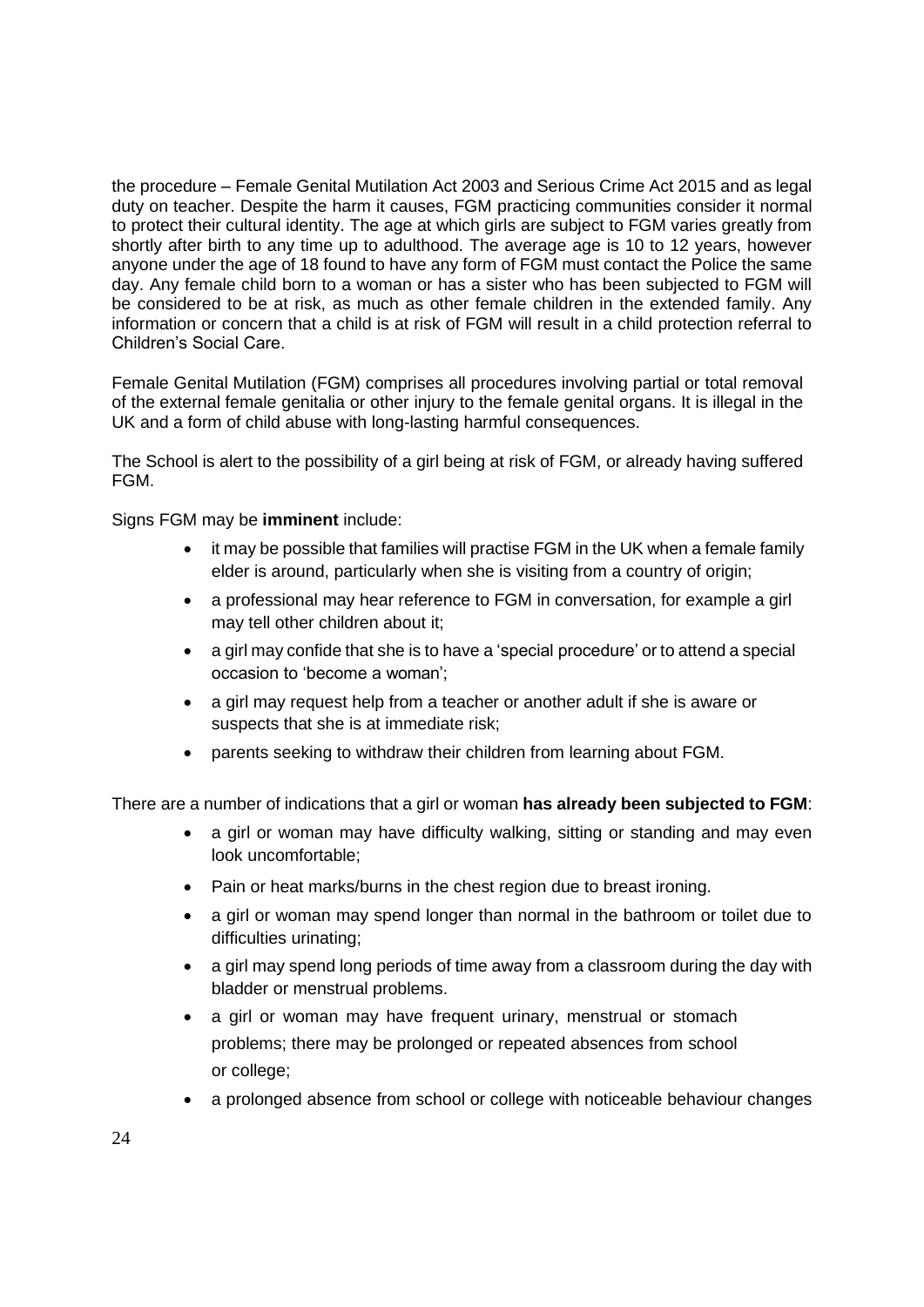the procedure – Female Genital Mutilation Act 2003 and Serious Crime Act 2015 and as legal duty on teacher. Despite the harm it causes, FGM practicing communities consider it normal to protect their cultural identity. The age at which girls are subject to FGM varies greatly from shortly after birth to any time up to adulthood. The average age is 10 to 12 years, however anyone under the age of 18 found to have any form of FGM must contact the Police the same day. Any female child born to a woman or has a sister who has been subjected to FGM will be considered to be at risk, as much as other female children in the extended family. Any information or concern that a child is at risk of FGM will result in a child protection referral to Children's Social Care.

Female Genital Mutilation (FGM) comprises all procedures involving partial or total removal of the external female genitalia or other injury to the female genital organs. It is illegal in the UK and a form of child abuse with long-lasting harmful consequences.

The School is alert to the possibility of a girl being at risk of FGM, or already having suffered FGM.

Signs FGM may be **imminent** include:

- it may be possible that families will practise FGM in the UK when a female family elder is around, particularly when she is visiting from a country of origin;
- a professional may hear reference to FGM in conversation, for example a girl may tell other children about it;
- a girl may confide that she is to have a 'special procedure' or to attend a special occasion to 'become a woman';
- a girl may request help from a teacher or another adult if she is aware or suspects that she is at immediate risk;
- parents seeking to withdraw their children from learning about FGM.

There are a number of indications that a girl or woman **has already been subjected to FGM**:

- a girl or woman may have difficulty walking, sitting or standing and may even look uncomfortable;
- Pain or heat marks/burns in the chest region due to breast ironing.
- a girl or woman may spend longer than normal in the bathroom or toilet due to difficulties urinating;
- a girl may spend long periods of time away from a classroom during the day with bladder or menstrual problems.
- a girl or woman may have frequent urinary, menstrual or stomach problems; there may be prolonged or repeated absences from school or college;
- a prolonged absence from school or college with noticeable behaviour changes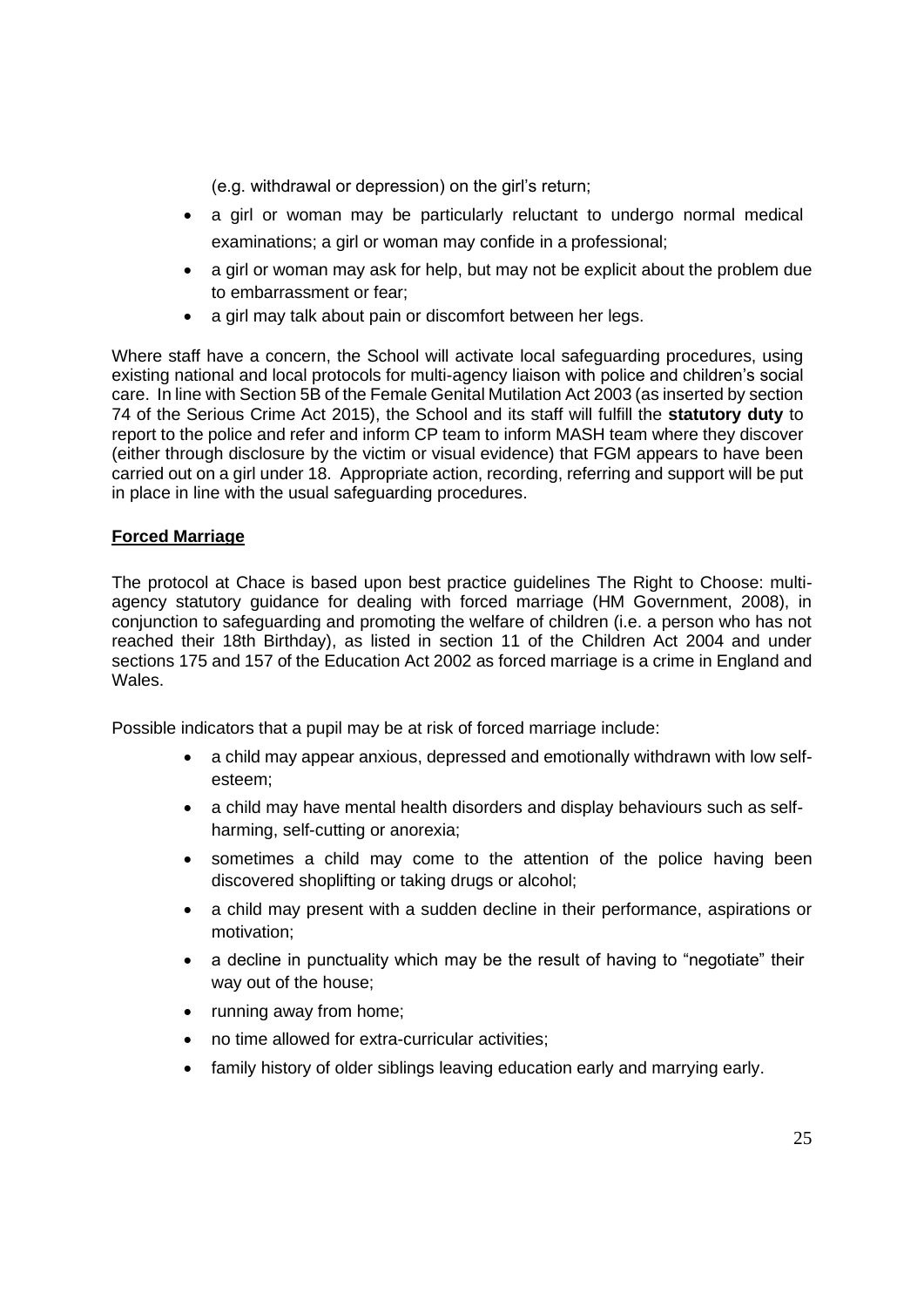(e.g. withdrawal or depression) on the girl's return;

- a girl or woman may be particularly reluctant to undergo normal medical examinations; a girl or woman may confide in a professional;
- a girl or woman may ask for help, but may not be explicit about the problem due to embarrassment or fear;
- a girl may talk about pain or discomfort between her legs.

Where staff have a concern, the School will activate local safeguarding procedures, using existing national and local protocols for multi-agency liaison with police and children's social care. In line with Section 5B of the Female Genital Mutilation Act 2003 (as inserted by section 74 of the Serious Crime Act 2015), the School and its staff will fulfill the **statutory duty** to report to the police and refer and inform CP team to inform MASH team where they discover (either through disclosure by the victim or visual evidence) that FGM appears to have been carried out on a girl under 18. Appropriate action, recording, referring and support will be put in place in line with the usual safeguarding procedures.

# **Forced Marriage**

The protocol at Chace is based upon best practice guidelines The Right to Choose: multiagency statutory guidance for dealing with forced marriage (HM Government, 2008), in conjunction to safeguarding and promoting the welfare of children (i.e. a person who has not reached their 18th Birthday), as listed in section 11 of the Children Act 2004 and under sections 175 and 157 of the Education Act 2002 as forced marriage is a crime in England and Wales.

Possible indicators that a pupil may be at risk of forced marriage include:

- a child may appear anxious, depressed and emotionally withdrawn with low selfesteem;
- a child may have mental health disorders and display behaviours such as selfharming, self-cutting or anorexia;
- sometimes a child may come to the attention of the police having been discovered shoplifting or taking drugs or alcohol;
- a child may present with a sudden decline in their performance, aspirations or motivation;
- a decline in punctuality which may be the result of having to "negotiate" their way out of the house;
- running away from home;
- no time allowed for extra-curricular activities;
- family history of older siblings leaving education early and marrying early.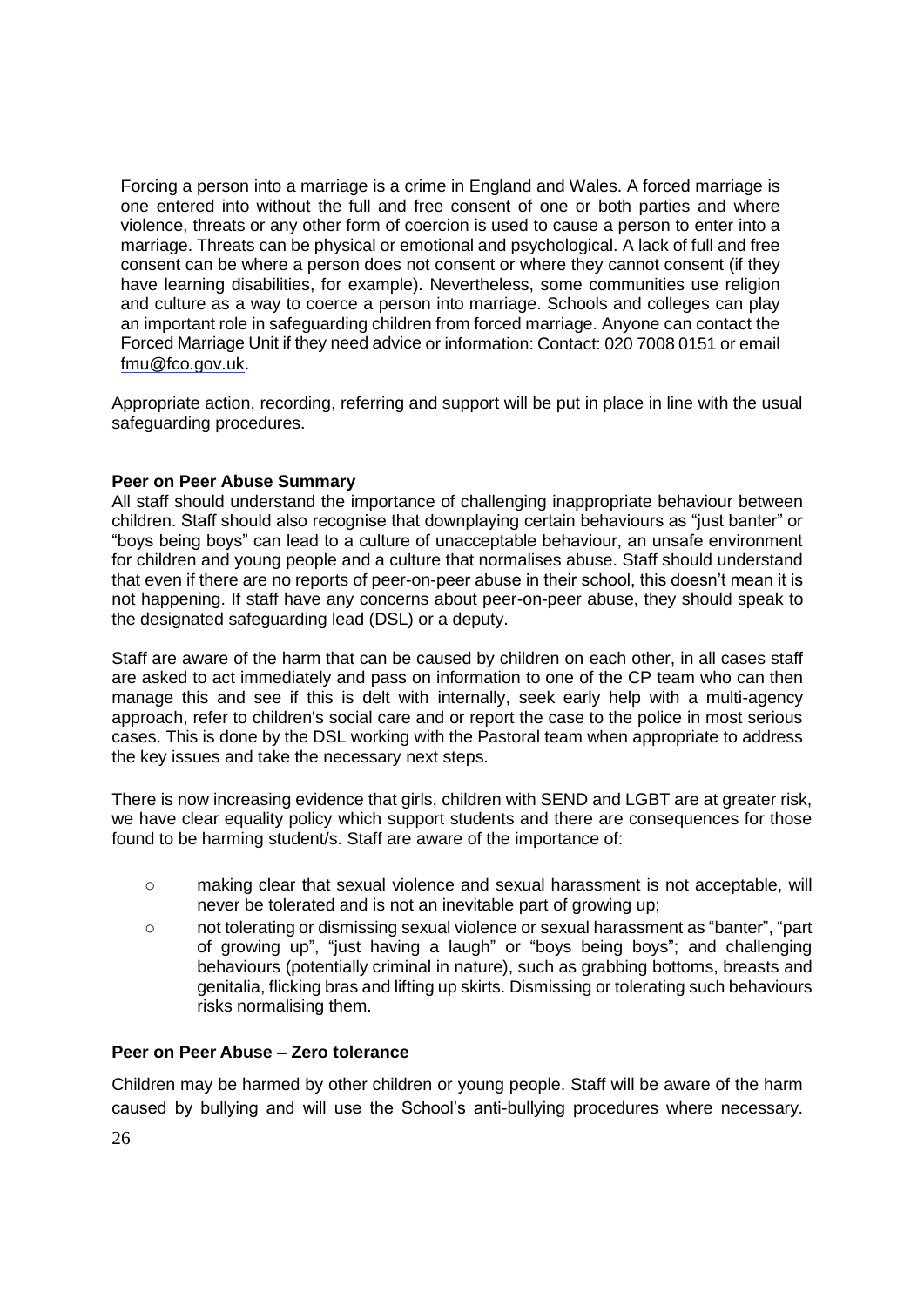Forcing a person into a marriage is a crime in England and Wales. A forced marriage is one entered into without the full and free consent of one or both parties and where violence, threats or any other form of coercion is used to cause a person to enter into a marriage. Threats can be physical or emotional and psychological. A lack of full and free consent can be where a person does not consent or where they cannot consent (if they have learning disabilities, for example). Nevertheless, some communities use religion and culture as a way to coerce a person into marriage. Schools and colleges can play an important role in safeguarding children from forced marriage. Anyone can contact the Forced Marriage Unit if they need advice or information: Contact: 020 7008 0151 or email [fmu@fco.gov.uk.](mailto:fmu@fco.gov.uk)

Appropriate action, recording, referring and support will be put in place in line with the usual safeguarding procedures.

#### **Peer on Peer Abuse Summary**

All staff should understand the importance of challenging inappropriate behaviour between children. Staff should also recognise that downplaying certain behaviours as "just banter" or "boys being boys" can lead to a culture of unacceptable behaviour, an unsafe environment for children and young people and a culture that normalises abuse. Staff should understand that even if there are no reports of peer-on-peer abuse in their school, this doesn't mean it is not happening. If staff have any concerns about peer-on-peer abuse, they should speak to the designated safeguarding lead (DSL) or a deputy.

Staff are aware of the harm that can be caused by children on each other, in all cases staff are asked to act immediately and pass on information to one of the CP team who can then manage this and see if this is delt with internally, seek early help with a multi-agency approach, refer to children's social care and or report the case to the police in most serious cases. This is done by the DSL working with the Pastoral team when appropriate to address the key issues and take the necessary next steps.

There is now increasing evidence that girls, children with SEND and LGBT are at greater risk, we have clear equality policy which support students and there are consequences for those found to be harming student/s. Staff are aware of the importance of:

- o making clear that sexual violence and sexual harassment is not acceptable, will never be tolerated and is not an inevitable part of growing up;
- o not tolerating or dismissing sexual violence or sexual harassment as "banter", "part of growing up", "just having a laugh" or "boys being boys"; and challenging behaviours (potentially criminal in nature), such as grabbing bottoms, breasts and genitalia, flicking bras and lifting up skirts. Dismissing or tolerating such behaviours risks normalising them.

#### **Peer on Peer Abuse – Zero tolerance**

Children may be harmed by other children or young people. Staff will be aware of the harm caused by bullying and will use the School's anti-bullying procedures where necessary.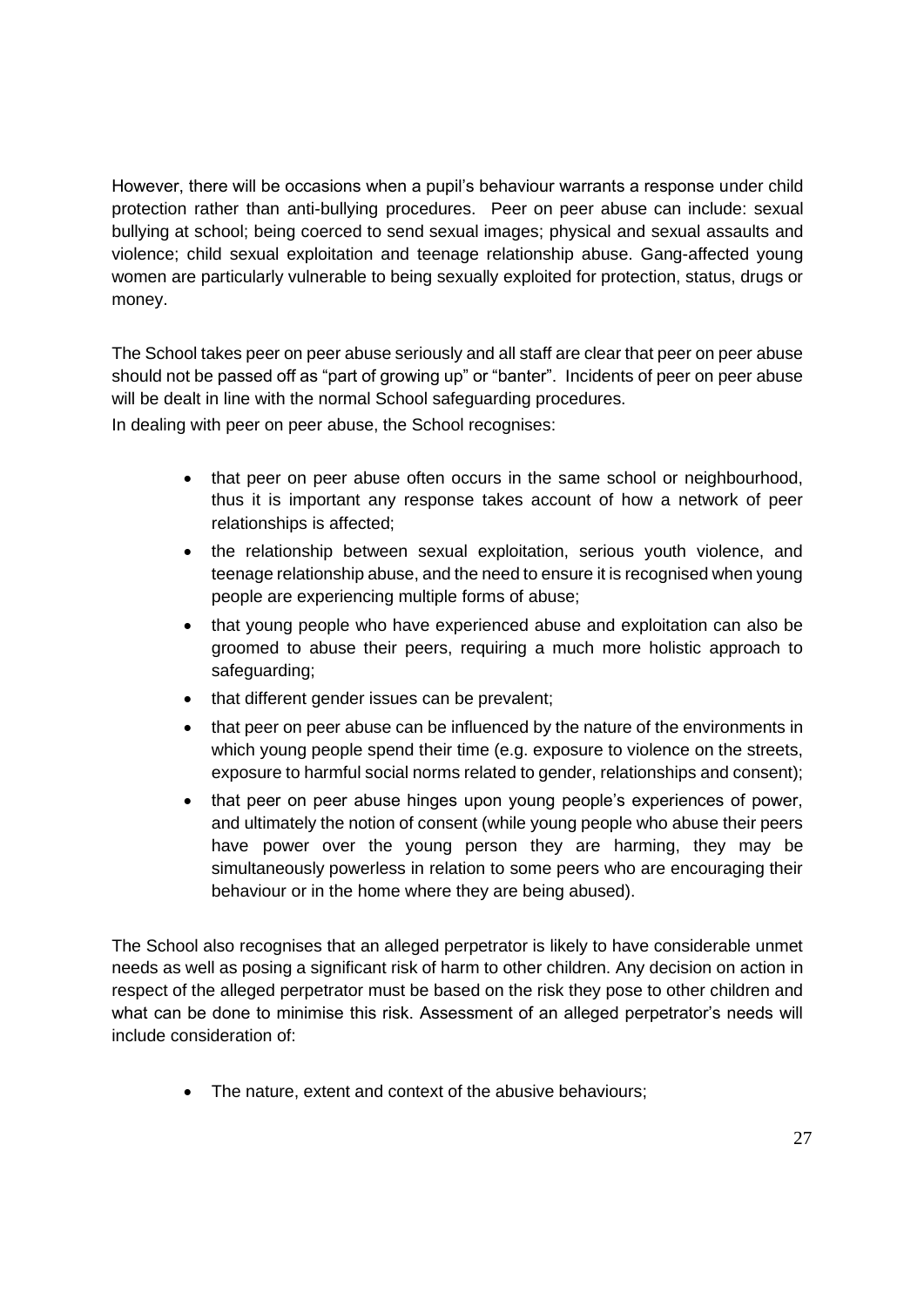However, there will be occasions when a pupil's behaviour warrants a response under child protection rather than anti-bullying procedures. Peer on peer abuse can include: sexual bullying at school; being coerced to send sexual images; physical and sexual assaults and violence; child sexual exploitation and teenage relationship abuse. Gang-affected young women are particularly vulnerable to being sexually exploited for protection, status, drugs or money.

The School takes peer on peer abuse seriously and all staff are clear that peer on peer abuse should not be passed off as "part of growing up" or "banter". Incidents of peer on peer abuse will be dealt in line with the normal School safeguarding procedures.

In dealing with peer on peer abuse, the School recognises:

- that peer on peer abuse often occurs in the same school or neighbourhood, thus it is important any response takes account of how a network of peer relationships is affected;
- the relationship between sexual exploitation, serious youth violence, and teenage relationship abuse, and the need to ensure it is recognised when young people are experiencing multiple forms of abuse;
- that young people who have experienced abuse and exploitation can also be groomed to abuse their peers, requiring a much more holistic approach to safeguarding;
- that different gender issues can be prevalent;
- that peer on peer abuse can be influenced by the nature of the environments in which young people spend their time (e.g. exposure to violence on the streets, exposure to harmful social norms related to gender, relationships and consent);
- that peer on peer abuse hinges upon young people's experiences of power, and ultimately the notion of consent (while young people who abuse their peers have power over the young person they are harming, they may be simultaneously powerless in relation to some peers who are encouraging their behaviour or in the home where they are being abused).

The School also recognises that an alleged perpetrator is likely to have considerable unmet needs as well as posing a significant risk of harm to other children. Any decision on action in respect of the alleged perpetrator must be based on the risk they pose to other children and what can be done to minimise this risk. Assessment of an alleged perpetrator's needs will include consideration of:

• The nature, extent and context of the abusive behaviours;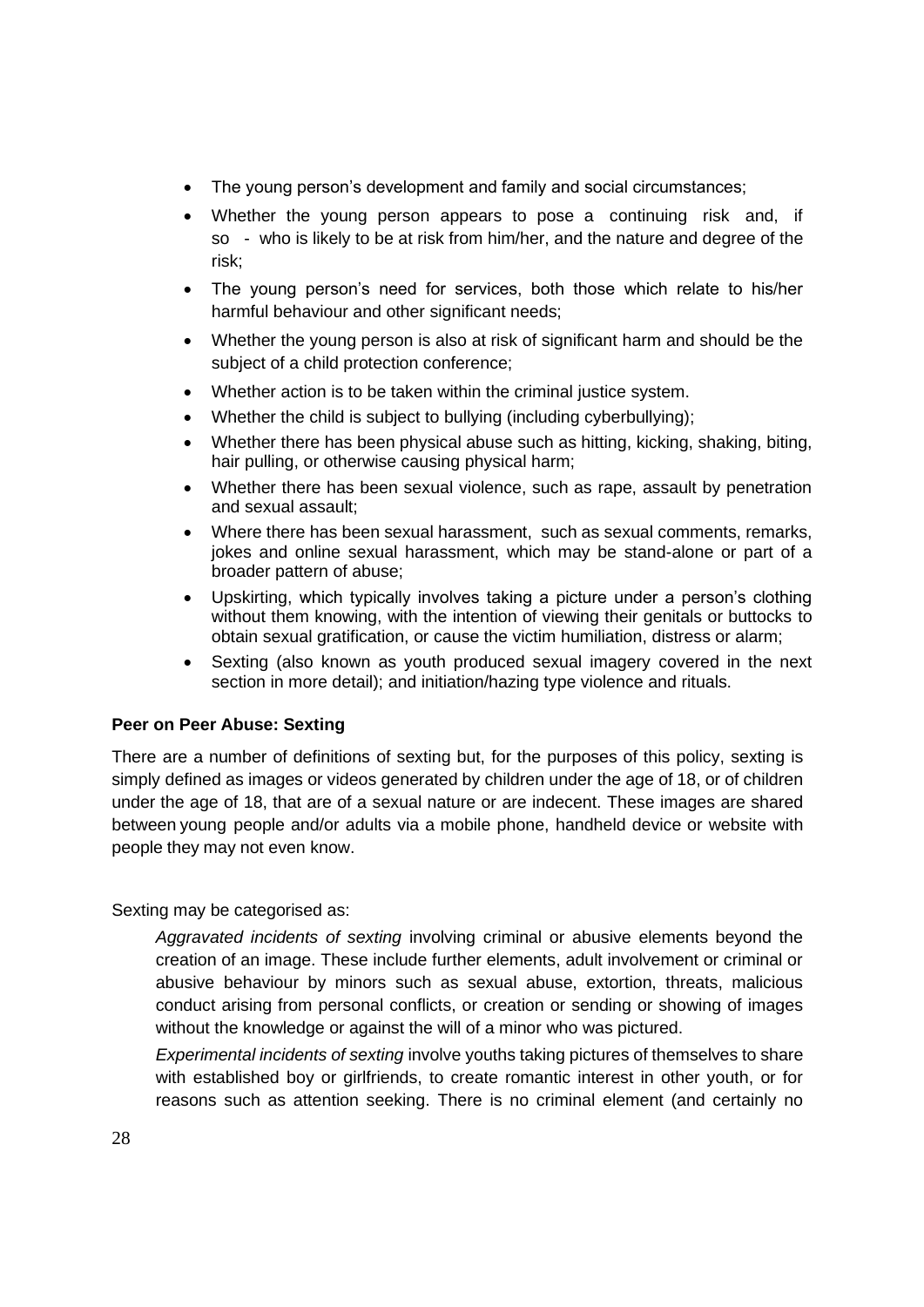- The young person's development and family and social circumstances;
- Whether the young person appears to pose a continuing risk and, if so - who is likely to be at risk from him/her, and the nature and degree of the risk;
- The young person's need for services, both those which relate to his/her harmful behaviour and other significant needs;
- Whether the young person is also at risk of significant harm and should be the subject of a child protection conference;
- Whether action is to be taken within the criminal justice system.
- Whether the child is subject to bullying (including cyberbullying);
- Whether there has been physical abuse such as hitting, kicking, shaking, biting, hair pulling, or otherwise causing physical harm;
- Whether there has been sexual violence, such as rape, assault by penetration and sexual assault;
- Where there has been sexual harassment, such as sexual comments, remarks, jokes and online sexual harassment, which may be stand-alone or part of a broader pattern of abuse;
- Upskirting, which typically involves taking a picture under a person's clothing without them knowing, with the intention of viewing their genitals or buttocks to obtain sexual gratification, or cause the victim humiliation, distress or alarm;
- Sexting (also known as youth produced sexual imagery covered in the next section in more detail); and initiation/hazing type violence and rituals.

#### **Peer on Peer Abuse: Sexting**

There are a number of definitions of sexting but, for the purposes of this policy, sexting is simply defined as images or videos generated by children under the age of 18, or of children under the age of 18, that are of a sexual nature or are indecent. These images are shared between young people and/or adults via a mobile phone, handheld device or website with people they may not even know.

Sexting may be categorised as:

*Aggravated incidents of sexting* involving criminal or abusive elements beyond the creation of an image. These include further elements, adult involvement or criminal or abusive behaviour by minors such as sexual abuse, extortion, threats, malicious conduct arising from personal conflicts, or creation or sending or showing of images without the knowledge or against the will of a minor who was pictured.

*Experimental incidents of sexting* involve youths taking pictures of themselves to share with established boy or girlfriends, to create romantic interest in other youth, or for reasons such as attention seeking. There is no criminal element (and certainly no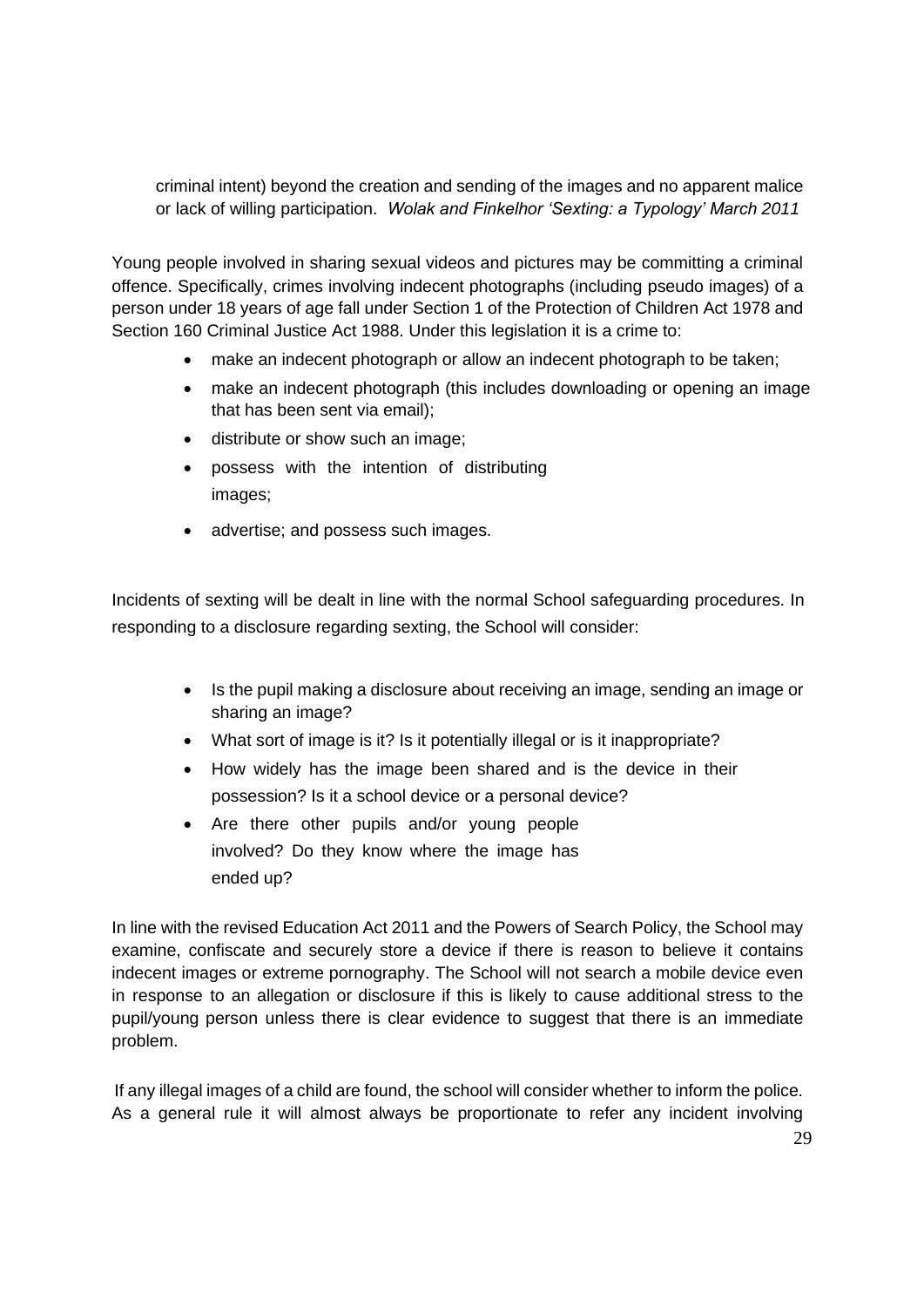criminal intent) beyond the creation and sending of the images and no apparent malice or lack of willing participation. *Wolak and Finkelhor 'Sexting: a Typology' March 2011*

Young people involved in sharing sexual videos and pictures may be committing a criminal offence. Specifically, crimes involving indecent photographs (including pseudo images) of a person under 18 years of age fall under Section 1 of the Protection of Children Act 1978 and Section 160 Criminal Justice Act 1988. Under this legislation it is a crime to:

- make an indecent photograph or allow an indecent photograph to be taken;
- make an indecent photograph (this includes downloading or opening an image that has been sent via email);
- distribute or show such an image:
- possess with the intention of distributing images;
- advertise; and possess such images.

Incidents of sexting will be dealt in line with the normal School safeguarding procedures. In responding to a disclosure regarding sexting, the School will consider:

- Is the pupil making a disclosure about receiving an image, sending an image or sharing an image?
- What sort of image is it? Is it potentially illegal or is it inappropriate?
- How widely has the image been shared and is the device in their possession? Is it a school device or a personal device?
- Are there other pupils and/or young people involved? Do they know where the image has ended up?

In line with the revised Education Act 2011 and the Powers of Search Policy, the School may examine, confiscate and securely store a device if there is reason to believe it contains indecent images or extreme pornography. The School will not search a mobile device even in response to an allegation or disclosure if this is likely to cause additional stress to the pupil/young person unless there is clear evidence to suggest that there is an immediate problem.

 If any illegal images of a child are found, the school will consider whether to inform the police. As a general rule it will almost always be proportionate to refer any incident involving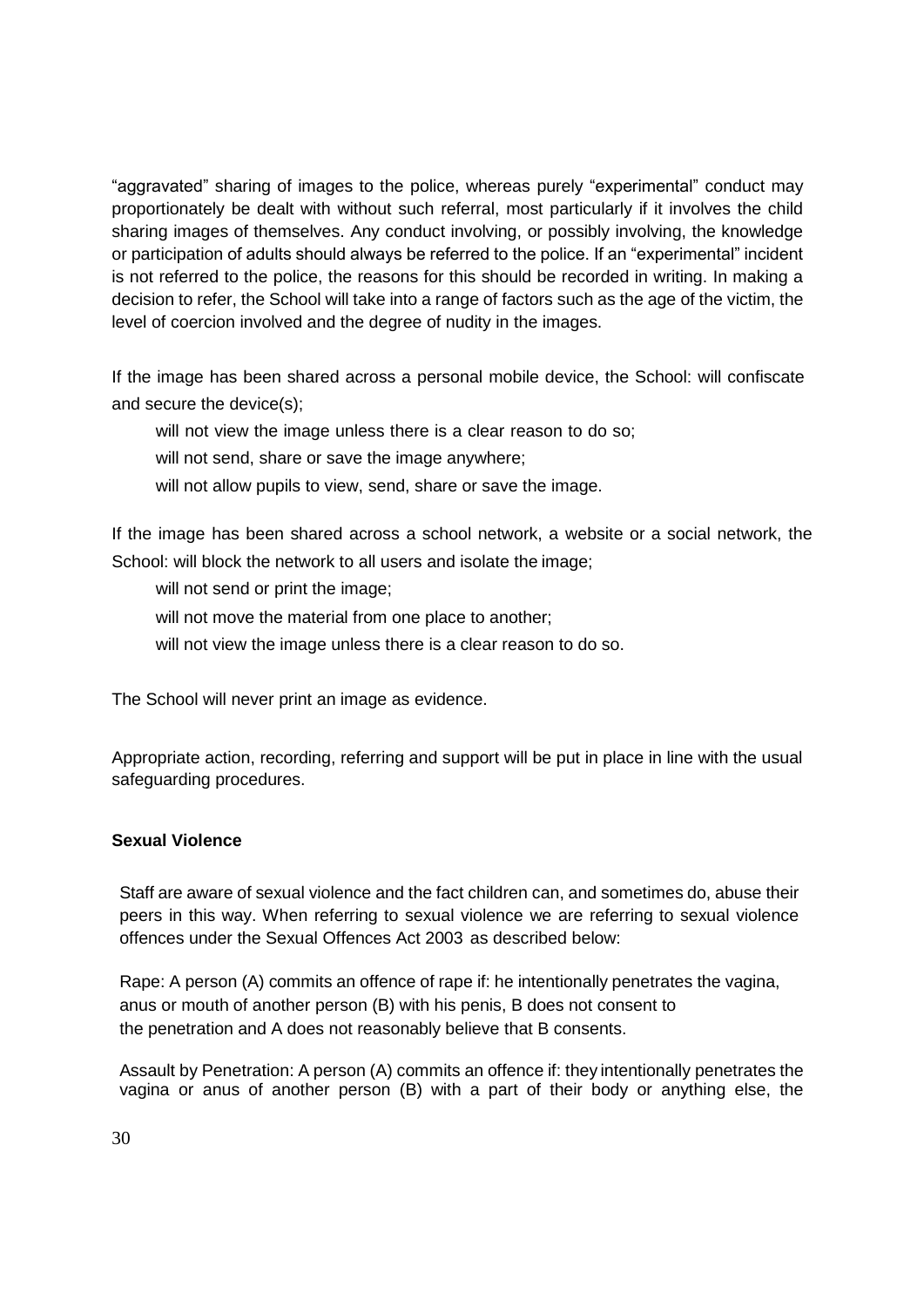"aggravated" sharing of images to the police, whereas purely "experimental" conduct may proportionately be dealt with without such referral, most particularly if it involves the child sharing images of themselves. Any conduct involving, or possibly involving, the knowledge or participation of adults should always be referred to the police. If an "experimental" incident is not referred to the police, the reasons for this should be recorded in writing. In making a decision to refer, the School will take into a range of factors such as the age of the victim, the level of coercion involved and the degree of nudity in the images.

If the image has been shared across a personal mobile device, the School: will confiscate and secure the device(s);

will not view the image unless there is a clear reason to do so;

will not send, share or save the image anywhere:

will not allow pupils to view, send, share or save the image.

If the image has been shared across a school network, a website or a social network, the School: will block the network to all users and isolate the image;

will not send or print the image:

will not move the material from one place to another;

will not view the image unless there is a clear reason to do so.

The School will never print an image as evidence.

Appropriate action, recording, referring and support will be put in place in line with the usual safeguarding procedures.

#### **Sexual Violence**

Staff are aware of sexual violence and the fact children can, and sometimes do, abuse their peers in this way. When referring to sexual violence we are referring to sexual violence offences under the Sexual Offences Act 2003 as described below:

Rape: A person (A) commits an offence of rape if: he intentionally penetrates the vagina, anus or mouth of another person (B) with his penis, B does not consent to the penetration and A does not reasonably believe that B consents.

Assault by Penetration: A person (A) commits an offence if: they intentionally penetrates the vagina or anus of another person (B) with a part of their body or anything else, the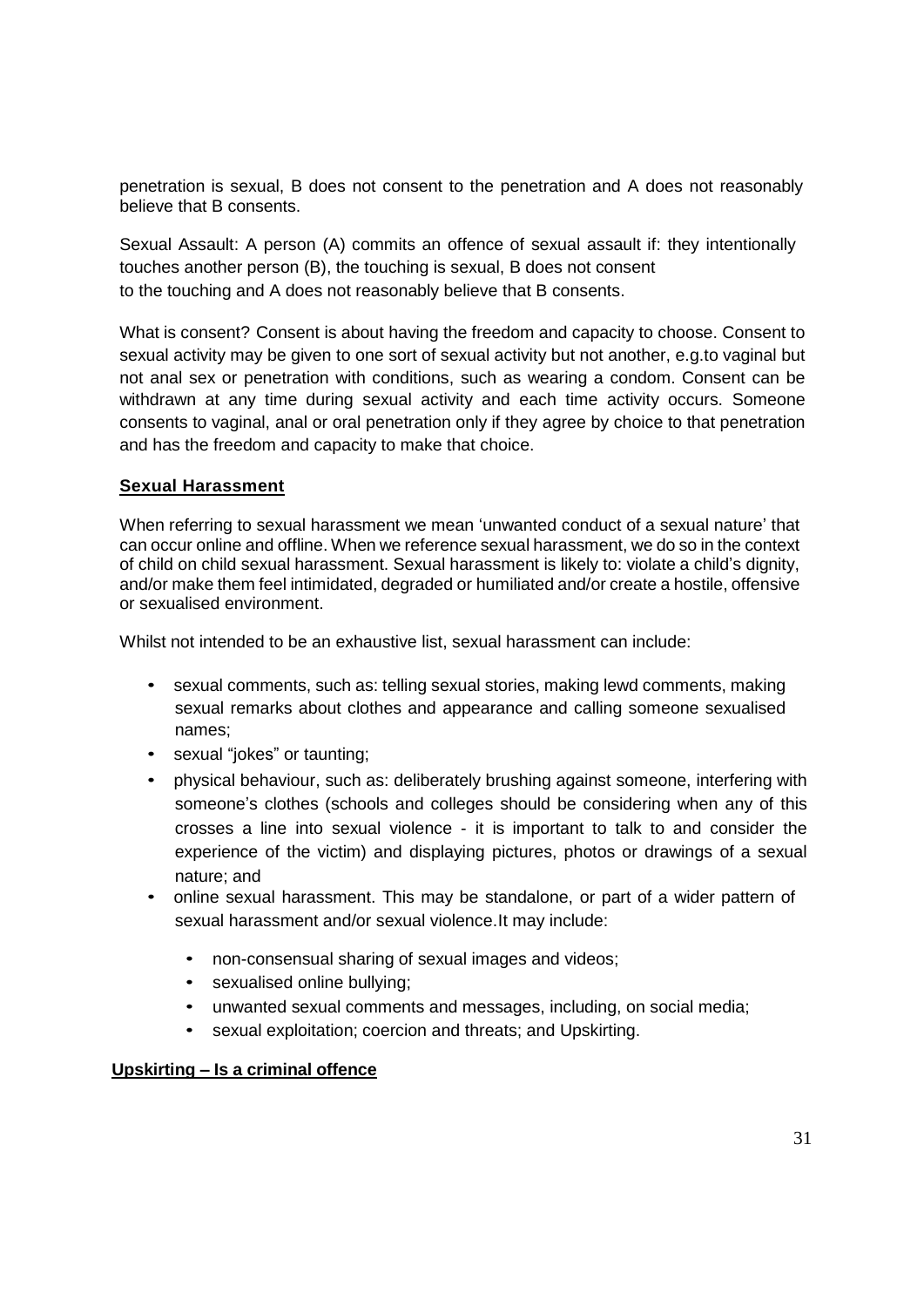penetration is sexual, B does not consent to the penetration and A does not reasonably believe that B consents.

Sexual Assault: A person (A) commits an offence of sexual assault if: they intentionally touches another person (B), the touching is sexual, B does not consent to the touching and A does not reasonably believe that B consents.

What is consent? Consent is about having the freedom and capacity to choose. Consent to sexual activity may be given to one sort of sexual activity but not another, e.g.to vaginal but not anal sex or penetration with conditions, such as wearing a condom. Consent can be withdrawn at any time during sexual activity and each time activity occurs. Someone consents to vaginal, anal or oral penetration only if they agree by choice to that penetration and has the freedom and capacity to make that choice.

# **Sexual Harassment**

When referring to sexual harassment we mean 'unwanted conduct of a sexual nature' that can occur online and offline. When we reference sexual harassment, we do so in the context of child on child sexual harassment. Sexual harassment is likely to: violate a child's dignity, and/or make them feel intimidated, degraded or humiliated and/or create a hostile, offensive or sexualised environment.

Whilst not intended to be an exhaustive list, sexual harassment can include:

- sexual comments, such as: telling sexual stories, making lewd comments, making sexual remarks about clothes and appearance and calling someone sexualised names;
- sexual "jokes" or taunting;
- physical behaviour, such as: deliberately brushing against someone, interfering with someone's clothes (schools and colleges should be considering when any of this crosses a line into sexual violence - it is important to talk to and consider the experience of the victim) and displaying pictures, photos or drawings of a sexual nature; and
- online sexual harassment. This may be standalone, or part of a wider pattern of sexual harassment and/or sexual violence.It may include:
	- non-consensual sharing of sexual images and videos;
	- sexualised online bullying;
	- unwanted sexual comments and messages, including, on social media;
	- sexual exploitation; coercion and threats; and Upskirting.

#### **Upskirting – Is a criminal offence**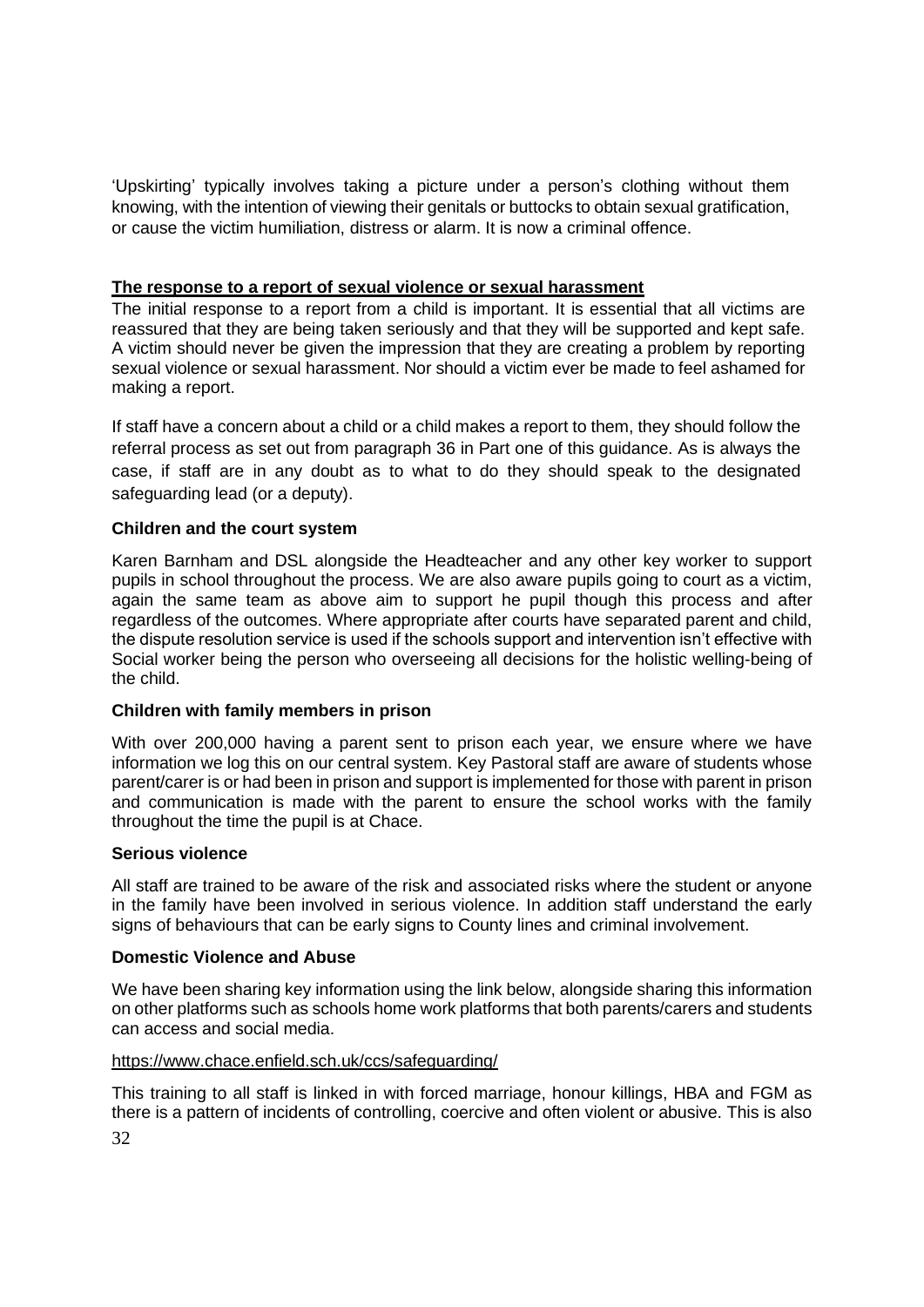'Upskirting' typically involves taking a picture under a person's clothing without them knowing, with the intention of viewing their genitals or buttocks to obtain sexual gratification, or cause the victim humiliation, distress or alarm. It is now a criminal offence.

#### **The response to a report of sexual violence or sexual harassment**

The initial response to a report from a child is important. It is essential that all victims are reassured that they are being taken seriously and that they will be supported and kept safe. A victim should never be given the impression that they are creating a problem by reporting sexual violence or sexual harassment. Nor should a victim ever be made to feel ashamed for making a report.

If staff have a concern about a child or a child makes a report to them, they should follow the referral process as set out from paragraph 36 in Part one of this guidance. As is always the case, if staff are in any doubt as to what to do they should speak to the designated safeguarding lead (or a deputy).

#### **Children and the court system**

Karen Barnham and DSL alongside the Headteacher and any other key worker to support pupils in school throughout the process. We are also aware pupils going to court as a victim, again the same team as above aim to support he pupil though this process and after regardless of the outcomes. Where appropriate after courts have separated parent and child, the dispute resolution service is used if the schools support and intervention isn't effective with Social worker being the person who overseeing all decisions for the holistic welling-being of the child.

#### **Children with family members in prison**

With over 200,000 having a parent sent to prison each year, we ensure where we have information we log this on our central system. Key Pastoral staff are aware of students whose parent/carer is or had been in prison and support is implemented for those with parent in prison and communication is made with the parent to ensure the school works with the family throughout the time the pupil is at Chace.

#### **Serious violence**

All staff are trained to be aware of the risk and associated risks where the student or anyone in the family have been involved in serious violence. In addition staff understand the early signs of behaviours that can be early signs to County lines and criminal involvement.

#### **Domestic Violence and Abuse**

We have been sharing key information using the link below, alongside sharing this information on other platforms such as schools home work platforms that both parents/carers and students can access and social media.

#### <https://www.chace.enfield.sch.uk/ccs/safeguarding/>

32 This training to all staff is linked in with forced marriage, honour killings, HBA and FGM as there is a pattern of incidents of controlling, coercive and often violent or abusive. This is also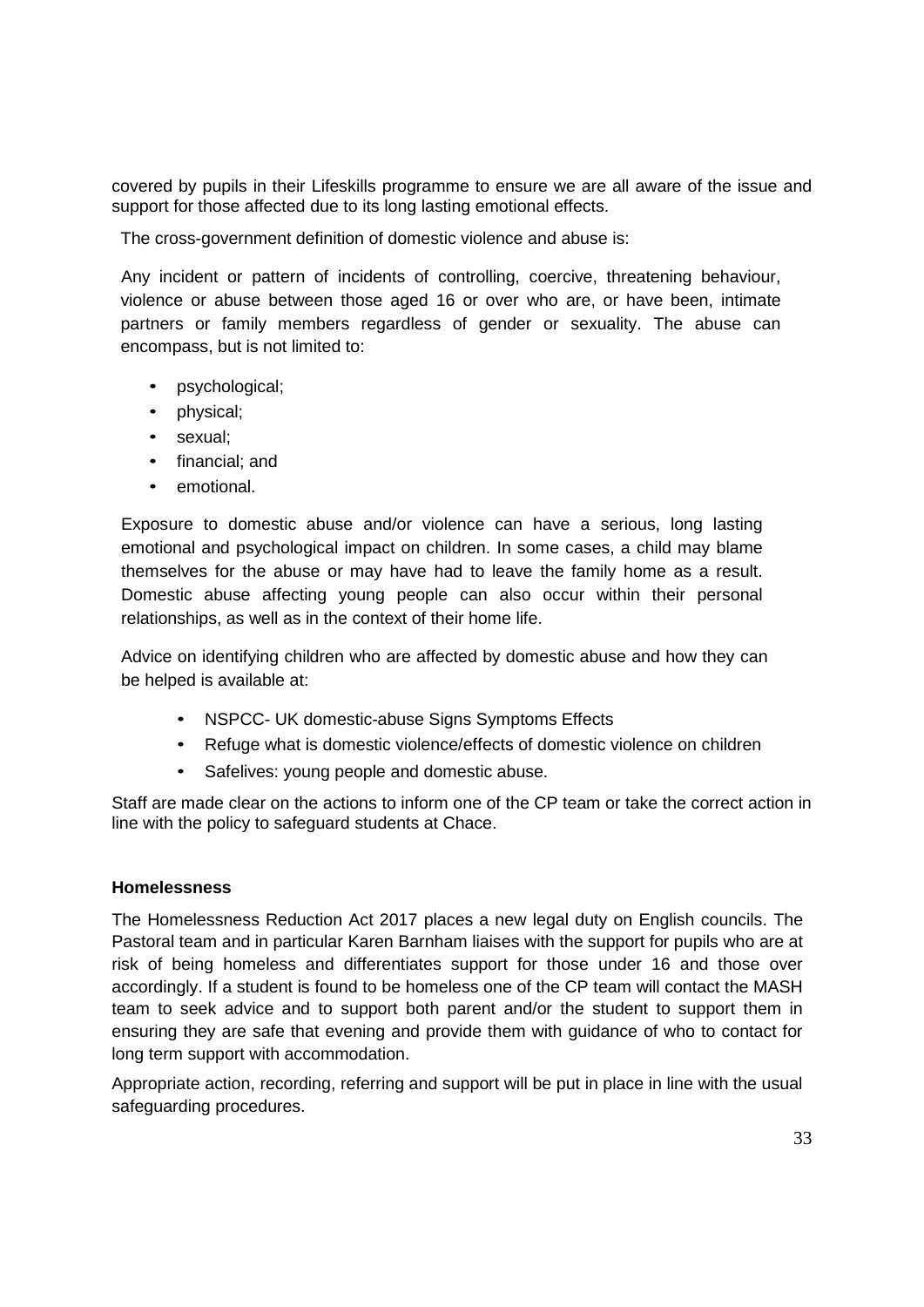covered by pupils in their Lifeskills programme to ensure we are all aware of the issue and support for those affected due to its long lasting emotional effects.

The cross-government definition of domestic violence and abuse is:

Any incident or pattern of incidents of controlling, coercive, threatening behaviour, violence or abuse between those aged 16 or over who are, or have been, intimate partners or family members regardless of gender or sexuality. The abuse can encompass, but is not limited to:

- psychological;
- physical;
- sexual;
- financial; and
- emotional.

Exposure to domestic abuse and/or violence can have a serious, long lasting emotional and psychological impact on children. In some cases, a child may blame themselves for the abuse or may have had to leave the family home as a result. Domestic abuse affecting young people can also occur within their personal relationships, as well as in the context of their home life.

Advice on identifying children who are affected by domestic abuse and how they can be helped is available at:

- NSPCC- UK [domestic-abuse Signs](https://www.nspcc.org.uk/preventing-abuse/child-abuse-and-neglect/domestic-abuse/signs-symptoms-effects/) Symptoms Effects
- Refuge what [is domestic violence/effects of](http://www.refuge.org.uk/get-help-now/what-is-domestic-violence/effects-of-domestic-violence-on-children/) domestic violence on [children](http://www.refuge.org.uk/get-help-now/what-is-domestic-violence/effects-of-domestic-violence-on-children/)
- [Safelives:](http://www.safelives.org.uk/knowledge-hub/spotlights/spotlight-3-young-people-and-domestic-abuse) young people and domestic abuse.

Staff are made clear on the actions to inform one of the CP team or take the correct action in line with the policy to safeguard students at Chace.

#### **Homelessness**

The Homelessness Reduction Act 2017 places a new legal duty on English councils. The Pastoral team and in particular Karen Barnham liaises with the support for pupils who are at risk of being homeless and differentiates support for those under 16 and those over accordingly. If a student is found to be homeless one of the CP team will contact the MASH team to seek advice and to support both parent and/or the student to support them in ensuring they are safe that evening and provide them with guidance of who to contact for long term support with accommodation.

Appropriate action, recording, referring and support will be put in place in line with the usual safeguarding procedures.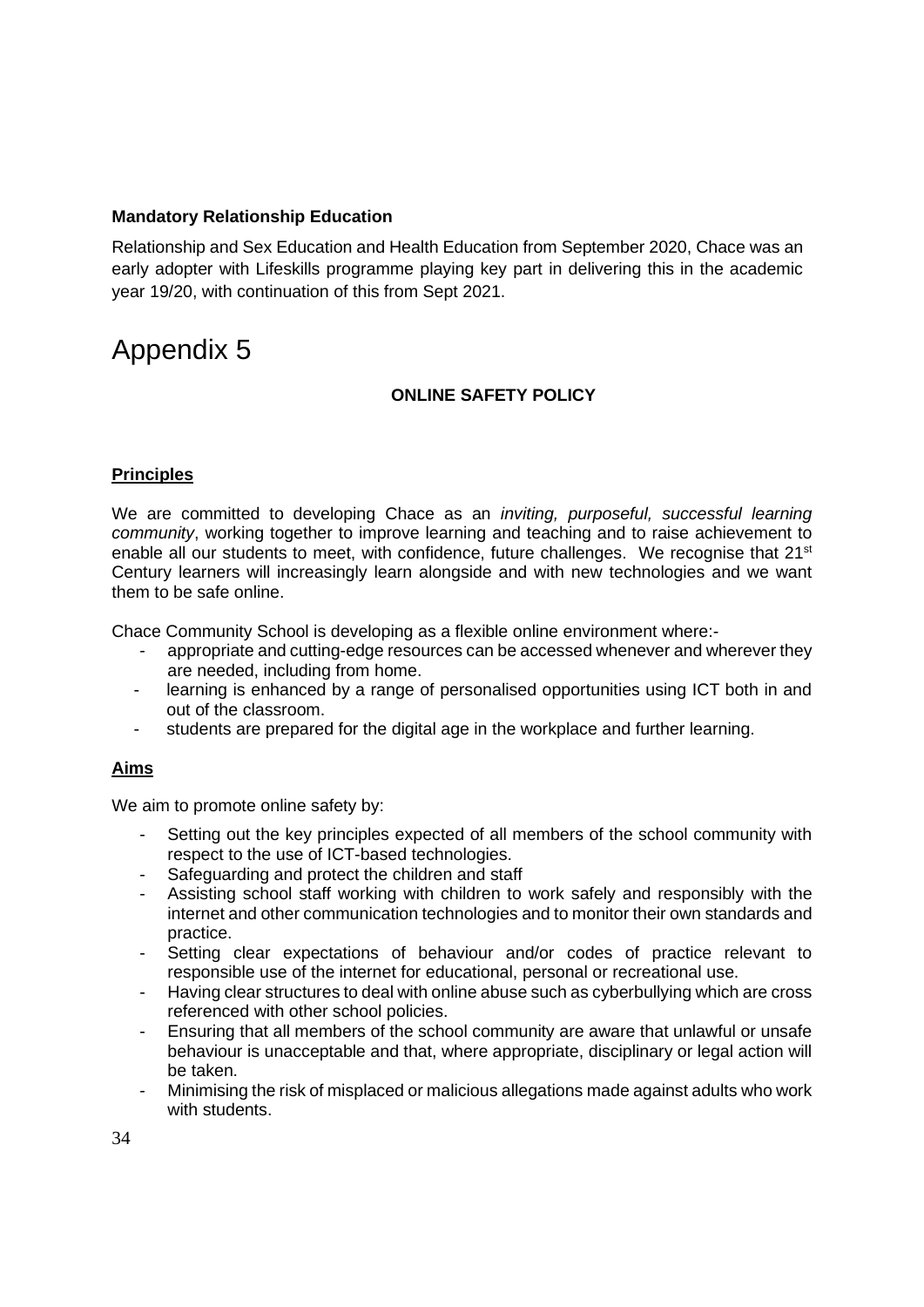# **Mandatory Relationship Education**

Relationship and Sex Education and Health Education from September 2020, Chace was an early adopter with Lifeskills programme playing key part in delivering this in the academic year 19/20, with continuation of this from Sept 2021.

# Appendix 5

# **ONLINE SAFETY POLICY**

# **Principles**

We are committed to developing Chace as an *inviting, purposeful, successful learning community*, working together to improve learning and teaching and to raise achievement to enable all our students to meet, with confidence, future challenges. We recognise that  $21^{st}$ Century learners will increasingly learn alongside and with new technologies and we want them to be safe online.

Chace Community School is developing as a flexible online environment where:-

- appropriate and cutting-edge resources can be accessed whenever and wherever they are needed, including from home.
- learning is enhanced by a range of personalised opportunities using ICT both in and out of the classroom.
- students are prepared for the digital age in the workplace and further learning.

# **Aims**

We aim to promote online safety by:

- Setting out the key principles expected of all members of the school community with respect to the use of ICT-based technologies.
- Safeguarding and protect the children and staff
- Assisting school staff working with children to work safely and responsibly with the internet and other communication technologies and to monitor their own standards and practice.
- Setting clear expectations of behaviour and/or codes of practice relevant to responsible use of the internet for educational, personal or recreational use.
- Having clear structures to deal with online abuse such as cyberbullying which are cross referenced with other school policies.
- Ensuring that all members of the school community are aware that unlawful or unsafe behaviour is unacceptable and that, where appropriate, disciplinary or legal action will be taken.
- Minimising the risk of misplaced or malicious allegations made against adults who work with students.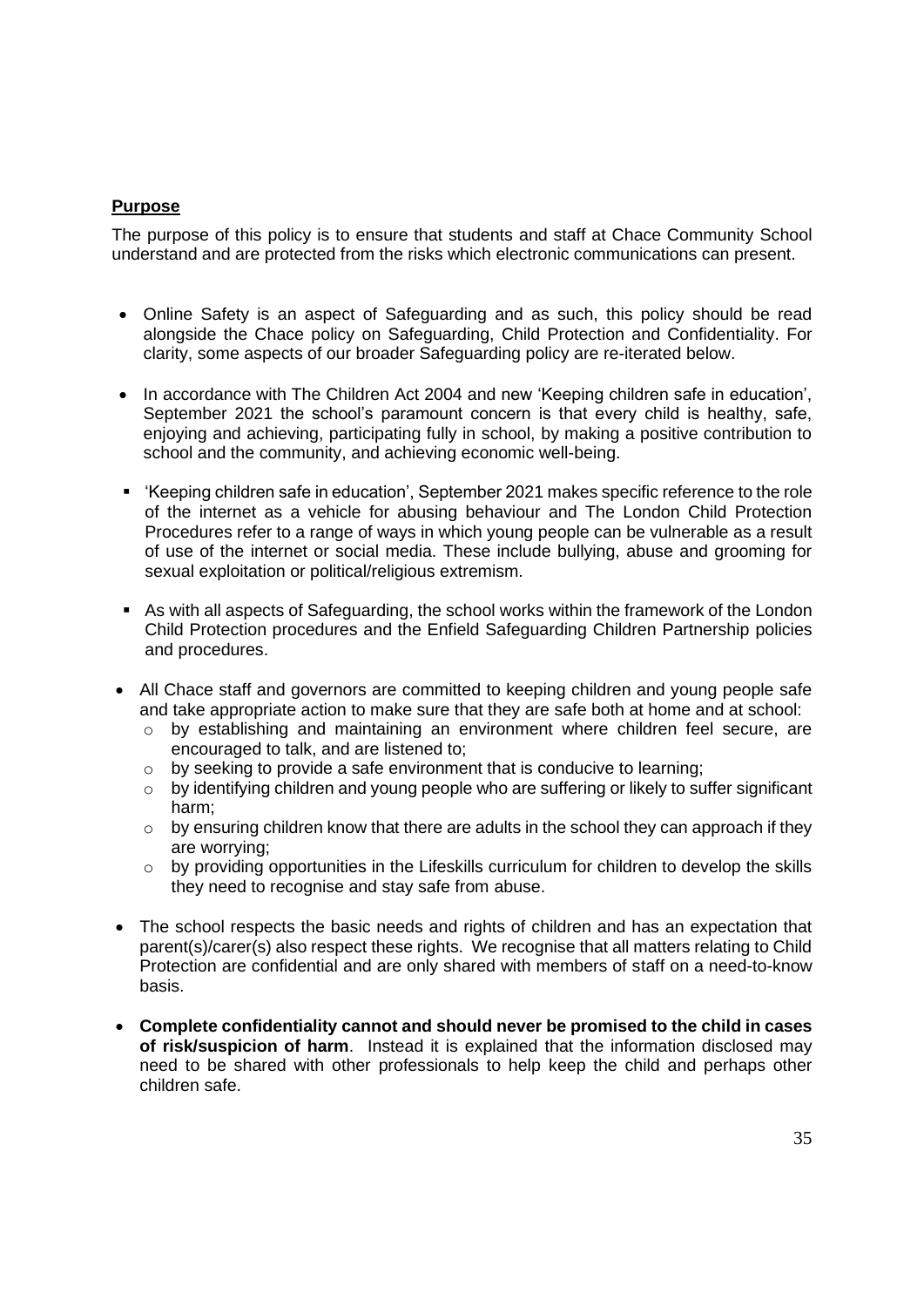## **Purpose**

The purpose of this policy is to ensure that students and staff at Chace Community School understand and are protected from the risks which electronic communications can present.

- Online Safety is an aspect of Safeguarding and as such, this policy should be read alongside the Chace policy on Safeguarding, Child Protection and Confidentiality. For clarity, some aspects of our broader Safeguarding policy are re-iterated below.
- In accordance with The Children Act 2004 and new 'Keeping children safe in education', September 2021 the school's paramount concern is that every child is healthy, safe, enjoying and achieving, participating fully in school, by making a positive contribution to school and the community, and achieving economic well-being.
- Keeping children safe in education', September 2021 makes specific reference to the role of the internet as a vehicle for abusing behaviour and The London Child Protection Procedures refer to a range of ways in which young people can be vulnerable as a result of use of the internet or social media. These include bullying, abuse and grooming for sexual exploitation or political/religious extremism.
- As with all aspects of Safeguarding, the school works within the framework of the London Child Protection procedures and the Enfield Safeguarding Children Partnership policies and procedures.
- All Chace staff and governors are committed to keeping children and young people safe and take appropriate action to make sure that they are safe both at home and at school:
	- $\circ$  by establishing and maintaining an environment where children feel secure, are encouraged to talk, and are listened to;
	- o by seeking to provide a safe environment that is conducive to learning;
	- o by identifying children and young people who are suffering or likely to suffer significant harm;
	- o by ensuring children know that there are adults in the school they can approach if they are worrying;
	- $\circ$  by providing opportunities in the Lifeskills curriculum for children to develop the skills they need to recognise and stay safe from abuse.
- The school respects the basic needs and rights of children and has an expectation that parent(s)/carer(s) also respect these rights. We recognise that all matters relating to Child Protection are confidential and are only shared with members of staff on a need-to-know basis.
- **Complete confidentiality cannot and should never be promised to the child in cases of risk/suspicion of harm**. Instead it is explained that the information disclosed may need to be shared with other professionals to help keep the child and perhaps other children safe.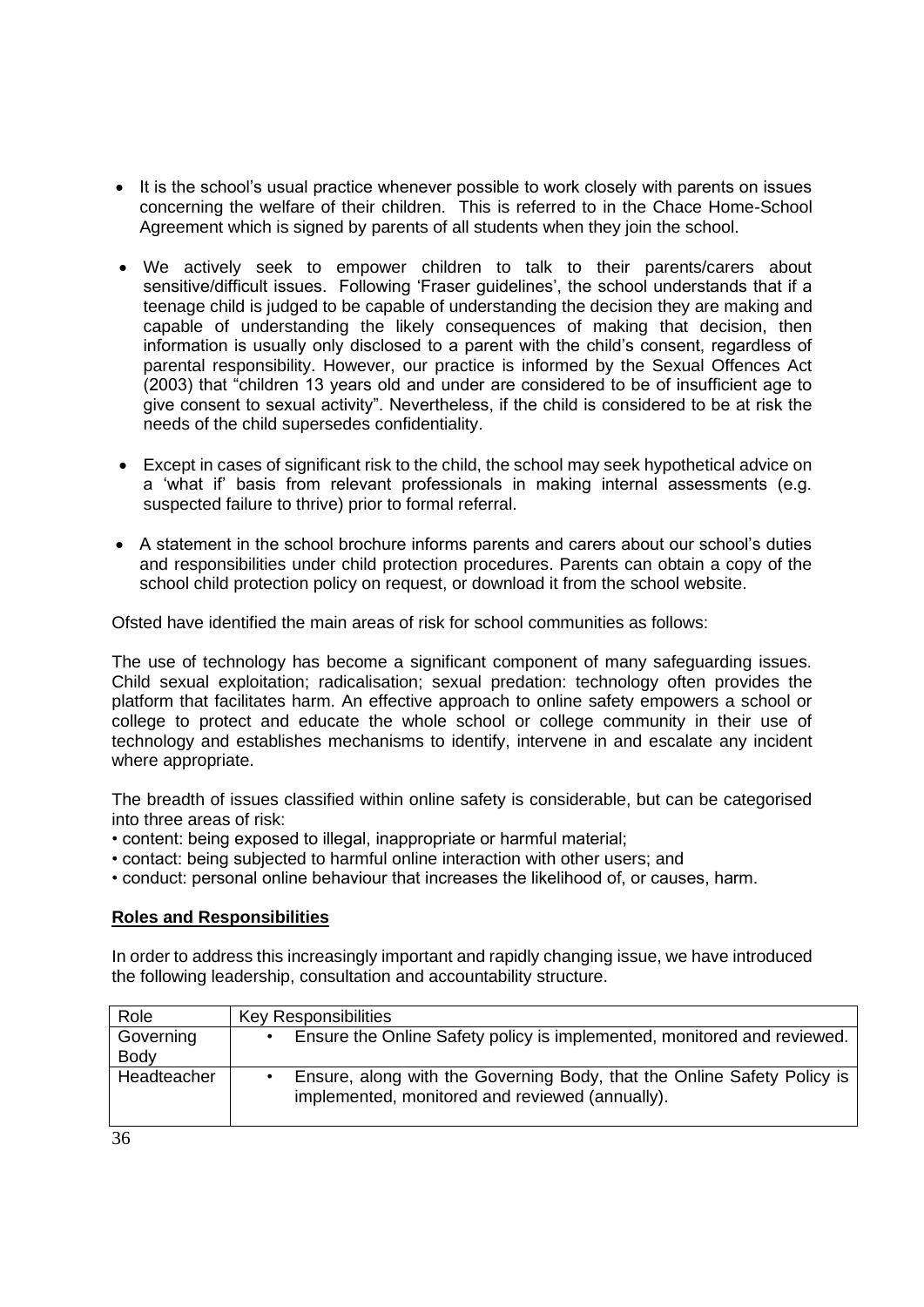- It is the school's usual practice whenever possible to work closely with parents on issues concerning the welfare of their children. This is referred to in the Chace Home-School Agreement which is signed by parents of all students when they join the school.
- We actively seek to empower children to talk to their parents/carers about sensitive/difficult issues. Following 'Fraser guidelines', the school understands that if a teenage child is judged to be capable of understanding the decision they are making and capable of understanding the likely consequences of making that decision, then information is usually only disclosed to a parent with the child's consent, regardless of parental responsibility. However, our practice is informed by the Sexual Offences Act (2003) that "children 13 years old and under are considered to be of insufficient age to give consent to sexual activity". Nevertheless, if the child is considered to be at risk the needs of the child supersedes confidentiality.
- Except in cases of significant risk to the child, the school may seek hypothetical advice on a 'what if' basis from relevant professionals in making internal assessments (e.g. suspected failure to thrive) prior to formal referral.
- A statement in the school brochure informs parents and carers about our school's duties and responsibilities under child protection procedures. Parents can obtain a copy of the school child protection policy on request, or download it from the school website.

Ofsted have identified the main areas of risk for school communities as follows:

The use of technology has become a significant component of many safeguarding issues. Child sexual exploitation; radicalisation; sexual predation: technology often provides the platform that facilitates harm. An effective approach to online safety empowers a school or college to protect and educate the whole school or college community in their use of technology and establishes mechanisms to identify, intervene in and escalate any incident where appropriate.

The breadth of issues classified within online safety is considerable, but can be categorised into three areas of risk:

- content: being exposed to illegal, inappropriate or harmful material;
- contact: being subjected to harmful online interaction with other users; and
- conduct: personal online behaviour that increases the likelihood of, or causes, harm.

#### **Roles and Responsibilities**

In order to address this increasingly important and rapidly changing issue, we have introduced the following leadership, consultation and accountability structure.

| Role        | <b>Key Responsibilities</b>                                                                                                |
|-------------|----------------------------------------------------------------------------------------------------------------------------|
| Governing   | Ensure the Online Safety policy is implemented, monitored and reviewed.<br>٠                                               |
| Body        |                                                                                                                            |
| Headteacher | Ensure, along with the Governing Body, that the Online Safety Policy is<br>implemented, monitored and reviewed (annually). |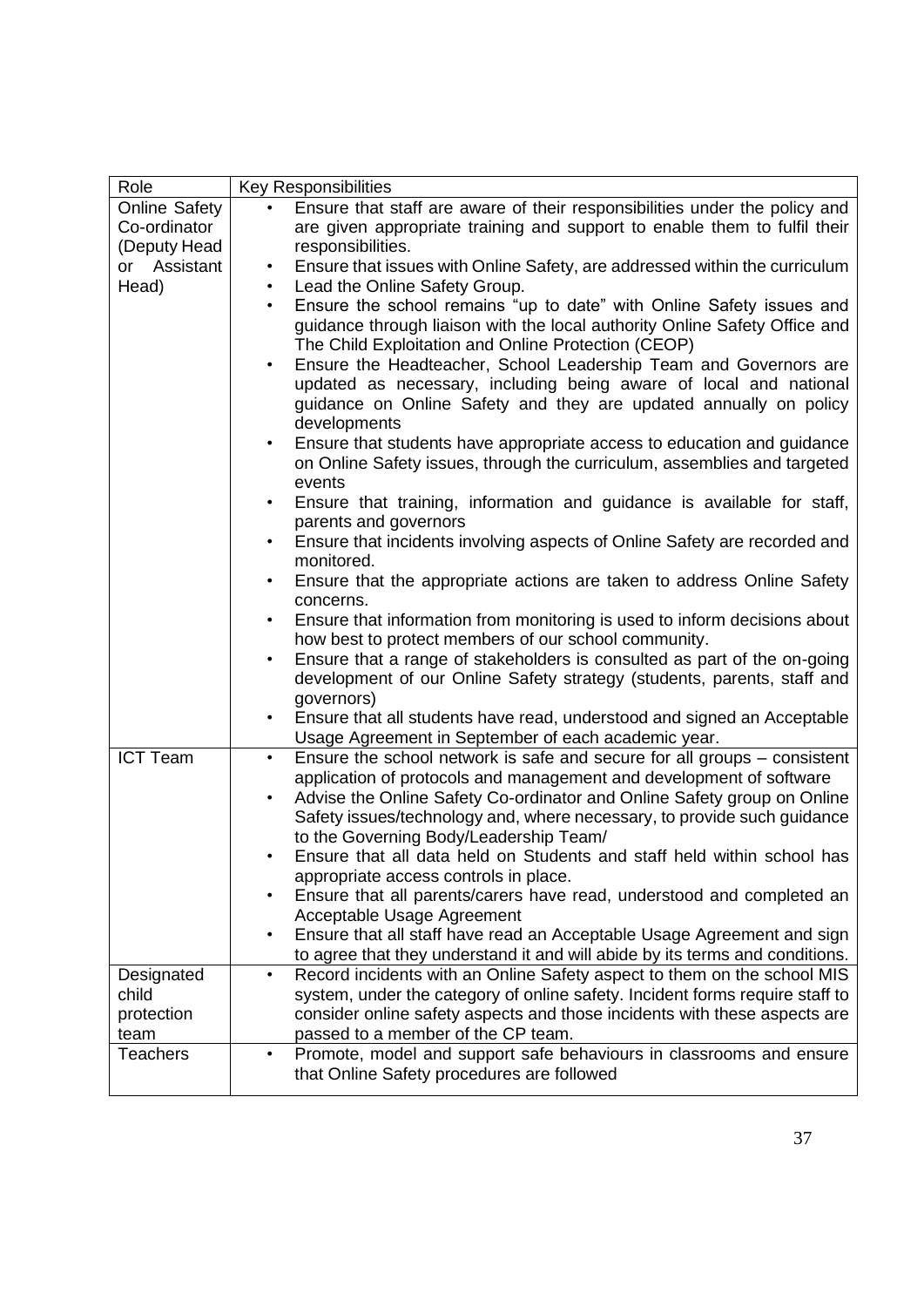| Role                                                 | <b>Key Responsibilities</b>                                                                                                                                                                                                                                                                                                                                                                                                                                                                                                                                                                                                                                                                                                                                                                                                                                                                                                                                                                                                                                                                                                                                                                                                                                                                                                                                                                                                                                                                                                                     |
|------------------------------------------------------|-------------------------------------------------------------------------------------------------------------------------------------------------------------------------------------------------------------------------------------------------------------------------------------------------------------------------------------------------------------------------------------------------------------------------------------------------------------------------------------------------------------------------------------------------------------------------------------------------------------------------------------------------------------------------------------------------------------------------------------------------------------------------------------------------------------------------------------------------------------------------------------------------------------------------------------------------------------------------------------------------------------------------------------------------------------------------------------------------------------------------------------------------------------------------------------------------------------------------------------------------------------------------------------------------------------------------------------------------------------------------------------------------------------------------------------------------------------------------------------------------------------------------------------------------|
| <b>Online Safety</b><br>Co-ordinator<br>(Deputy Head | Ensure that staff are aware of their responsibilities under the policy and<br>$\bullet$<br>are given appropriate training and support to enable them to fulfil their<br>responsibilities.                                                                                                                                                                                                                                                                                                                                                                                                                                                                                                                                                                                                                                                                                                                                                                                                                                                                                                                                                                                                                                                                                                                                                                                                                                                                                                                                                       |
| or Assistant<br>Head)                                | Ensure that issues with Online Safety, are addressed within the curriculum<br>$\bullet$<br>Lead the Online Safety Group.<br>$\bullet$<br>Ensure the school remains "up to date" with Online Safety issues and<br>$\bullet$<br>guidance through liaison with the local authority Online Safety Office and<br>The Child Exploitation and Online Protection (CEOP)<br>Ensure the Headteacher, School Leadership Team and Governors are<br>$\bullet$<br>updated as necessary, including being aware of local and national<br>guidance on Online Safety and they are updated annually on policy<br>developments<br>Ensure that students have appropriate access to education and guidance<br>$\bullet$<br>on Online Safety issues, through the curriculum, assemblies and targeted<br>events<br>Ensure that training, information and guidance is available for staff,<br>$\bullet$<br>parents and governors<br>Ensure that incidents involving aspects of Online Safety are recorded and<br>$\bullet$<br>monitored.<br>Ensure that the appropriate actions are taken to address Online Safety<br>$\bullet$<br>concerns.<br>Ensure that information from monitoring is used to inform decisions about<br>$\bullet$<br>how best to protect members of our school community.<br>Ensure that a range of stakeholders is consulted as part of the on-going<br>$\bullet$<br>development of our Online Safety strategy (students, parents, staff and<br>governors)<br>Ensure that all students have read, understood and signed an Acceptable<br>$\bullet$ |
| <b>ICT Team</b>                                      | Usage Agreement in September of each academic year.<br>Ensure the school network is safe and secure for all groups - consistent<br>$\bullet$                                                                                                                                                                                                                                                                                                                                                                                                                                                                                                                                                                                                                                                                                                                                                                                                                                                                                                                                                                                                                                                                                                                                                                                                                                                                                                                                                                                                    |
|                                                      | application of protocols and management and development of software<br>Advise the Online Safety Co-ordinator and Online Safety group on Online<br>Safety issues/technology and, where necessary, to provide such guidance<br>to the Governing Body/Leadership Team/<br>Ensure that all data held on Students and staff held within school has<br>appropriate access controls in place.<br>Ensure that all parents/carers have read, understood and completed an<br>Acceptable Usage Agreement<br>Ensure that all staff have read an Acceptable Usage Agreement and sign<br>$\bullet$<br>to agree that they understand it and will abide by its terms and conditions.                                                                                                                                                                                                                                                                                                                                                                                                                                                                                                                                                                                                                                                                                                                                                                                                                                                                            |
| Designated<br>child<br>protection                    | Record incidents with an Online Safety aspect to them on the school MIS<br>$\bullet$<br>system, under the category of online safety. Incident forms require staff to<br>consider online safety aspects and those incidents with these aspects are                                                                                                                                                                                                                                                                                                                                                                                                                                                                                                                                                                                                                                                                                                                                                                                                                                                                                                                                                                                                                                                                                                                                                                                                                                                                                               |
| team                                                 | passed to a member of the CP team.                                                                                                                                                                                                                                                                                                                                                                                                                                                                                                                                                                                                                                                                                                                                                                                                                                                                                                                                                                                                                                                                                                                                                                                                                                                                                                                                                                                                                                                                                                              |
| <b>Teachers</b>                                      | Promote, model and support safe behaviours in classrooms and ensure<br>$\bullet$<br>that Online Safety procedures are followed                                                                                                                                                                                                                                                                                                                                                                                                                                                                                                                                                                                                                                                                                                                                                                                                                                                                                                                                                                                                                                                                                                                                                                                                                                                                                                                                                                                                                  |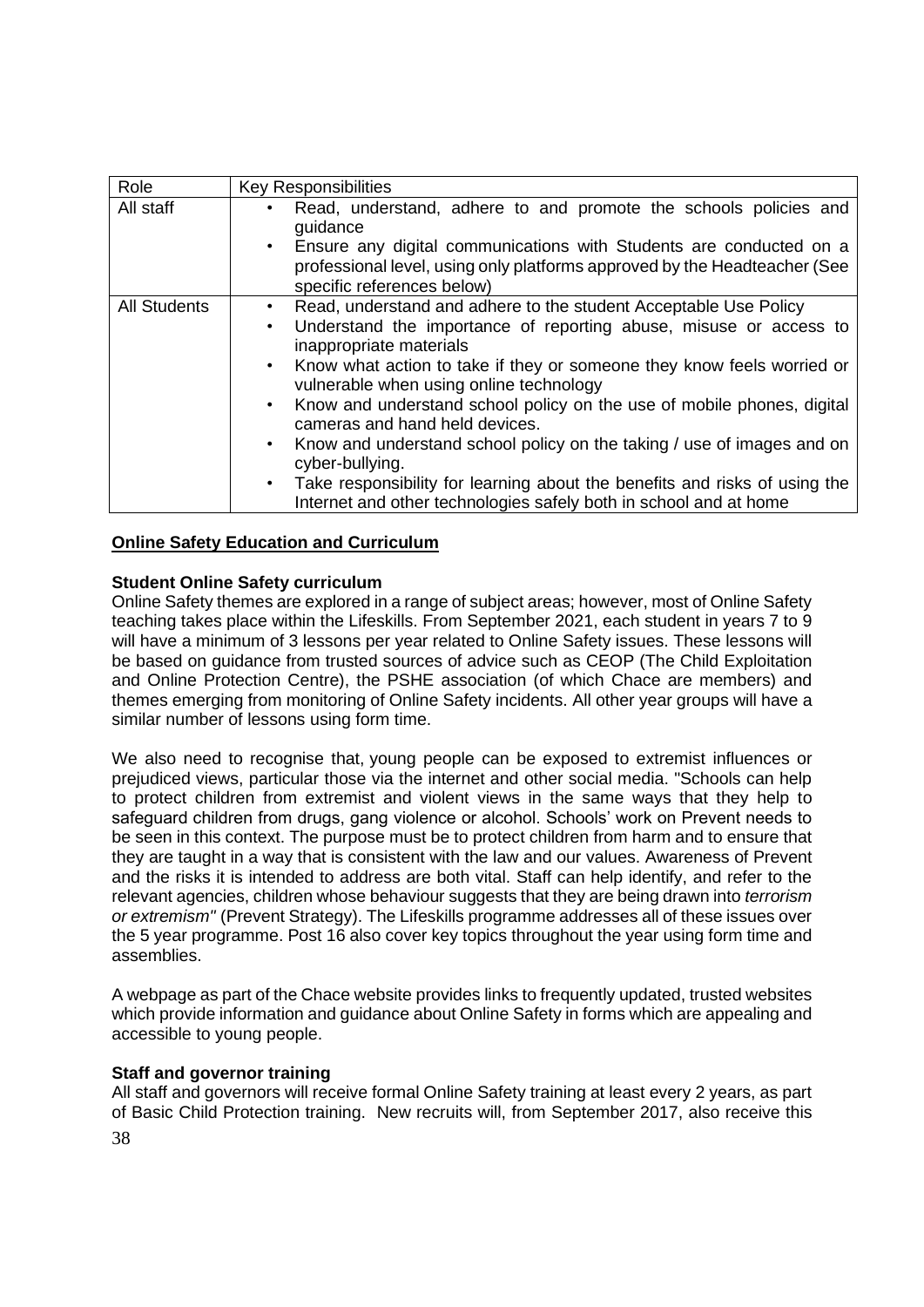| Role                | <b>Key Responsibilities</b>                                                                                                                                                                                                                                                                                                                                                                                                                                                                                                                                                                                                                                                                                                     |
|---------------------|---------------------------------------------------------------------------------------------------------------------------------------------------------------------------------------------------------------------------------------------------------------------------------------------------------------------------------------------------------------------------------------------------------------------------------------------------------------------------------------------------------------------------------------------------------------------------------------------------------------------------------------------------------------------------------------------------------------------------------|
| All staff           | Read, understand, adhere to and promote the schools policies and<br>guidance<br>Ensure any digital communications with Students are conducted on a<br>professional level, using only platforms approved by the Headteacher (See<br>specific references below)                                                                                                                                                                                                                                                                                                                                                                                                                                                                   |
| <b>All Students</b> | Read, understand and adhere to the student Acceptable Use Policy<br>$\bullet$<br>Understand the importance of reporting abuse, misuse or access to<br>$\bullet$<br>inappropriate materials<br>Know what action to take if they or someone they know feels worried or<br>$\bullet$<br>vulnerable when using online technology<br>Know and understand school policy on the use of mobile phones, digital<br>$\bullet$<br>cameras and hand held devices.<br>Know and understand school policy on the taking / use of images and on<br>$\bullet$<br>cyber-bullying.<br>Take responsibility for learning about the benefits and risks of using the<br>$\bullet$<br>Internet and other technologies safely both in school and at home |

# **Online Safety Education and Curriculum**

#### **Student Online Safety curriculum**

Online Safety themes are explored in a range of subject areas; however, most of Online Safety teaching takes place within the Lifeskills. From September 2021, each student in years 7 to 9 will have a minimum of 3 lessons per year related to Online Safety issues. These lessons will be based on guidance from trusted sources of advice such as CEOP (The Child Exploitation and Online Protection Centre), the PSHE association (of which Chace are members) and themes emerging from monitoring of Online Safety incidents. All other year groups will have a similar number of lessons using form time.

We also need to recognise that, young people can be exposed to extremist influences or prejudiced views, particular those via the internet and other social media. "Schools can help to protect children from extremist and violent views in the same ways that they help to safeguard children from drugs, gang violence or alcohol. Schools' work on Prevent needs to be seen in this context. The purpose must be to protect children from harm and to ensure that they are taught in a way that is consistent with the law and our values. Awareness of Prevent and the risks it is intended to address are both vital. Staff can help identify, and refer to the relevant agencies, children whose behaviour suggests that they are being drawn into *terrorism or extremism"* (Prevent Strategy). The Lifeskills programme addresses all of these issues over the 5 year programme. Post 16 also cover key topics throughout the year using form time and assemblies.

A webpage as part of the Chace website provides links to frequently updated, trusted websites which provide information and guidance about Online Safety in forms which are appealing and accessible to young people.

#### **Staff and governor training**

38 All staff and governors will receive formal Online Safety training at least every 2 years, as part of Basic Child Protection training. New recruits will, from September 2017, also receive this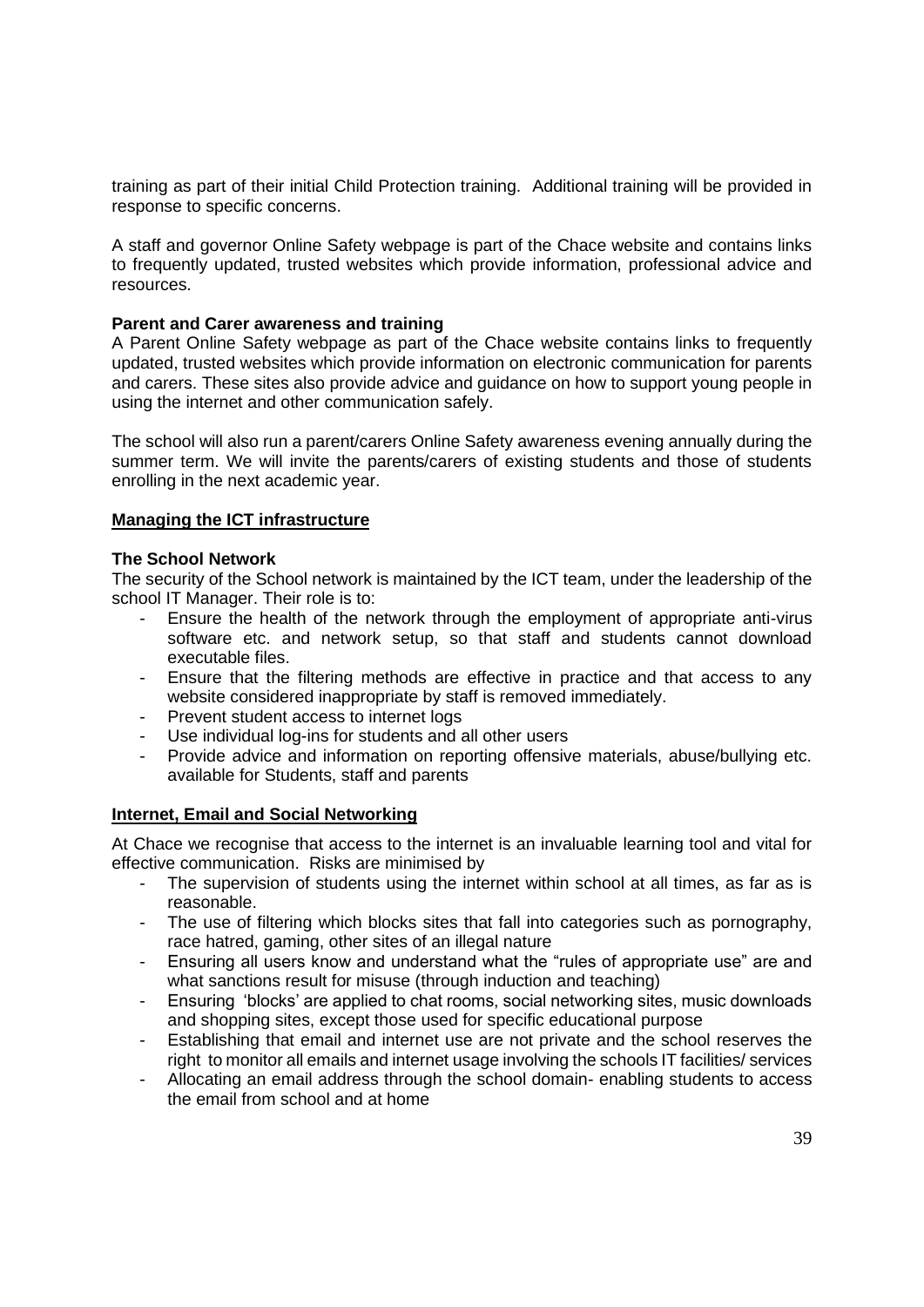training as part of their initial Child Protection training. Additional training will be provided in response to specific concerns.

A staff and governor Online Safety webpage is part of the Chace website and contains links to frequently updated, trusted websites which provide information, professional advice and resources.

#### **Parent and Carer awareness and training**

A Parent Online Safety webpage as part of the Chace website contains links to frequently updated, trusted websites which provide information on electronic communication for parents and carers. These sites also provide advice and guidance on how to support young people in using the internet and other communication safely.

The school will also run a parent/carers Online Safety awareness evening annually during the summer term. We will invite the parents/carers of existing students and those of students enrolling in the next academic year.

#### **Managing the ICT infrastructure**

#### **The School Network**

The security of the School network is maintained by the ICT team, under the leadership of the school IT Manager. Their role is to:

- Ensure the health of the network through the employment of appropriate anti-virus software etc. and network setup, so that staff and students cannot download executable files.
- Ensure that the filtering methods are effective in practice and that access to any website considered inappropriate by staff is removed immediately.
- Prevent student access to internet logs
- Use individual log-ins for students and all other users
- Provide advice and information on reporting offensive materials, abuse/bullying etc. available for Students, staff and parents

#### **Internet, Email and Social Networking**

At Chace we recognise that access to the internet is an invaluable learning tool and vital for effective communication. Risks are minimised by

- The supervision of students using the internet within school at all times, as far as is reasonable.
- The use of filtering which blocks sites that fall into categories such as pornography, race hatred, gaming, other sites of an illegal nature
- Ensuring all users know and understand what the "rules of appropriate use" are and what sanctions result for misuse (through induction and teaching)
- Ensuring 'blocks' are applied to chat rooms, social networking sites, music downloads and shopping sites, except those used for specific educational purpose
- Establishing that email and internet use are not private and the school reserves the right to monitor all emails and internet usage involving the schools IT facilities/ services
- Allocating an email address through the school domain- enabling students to access the email from school and at home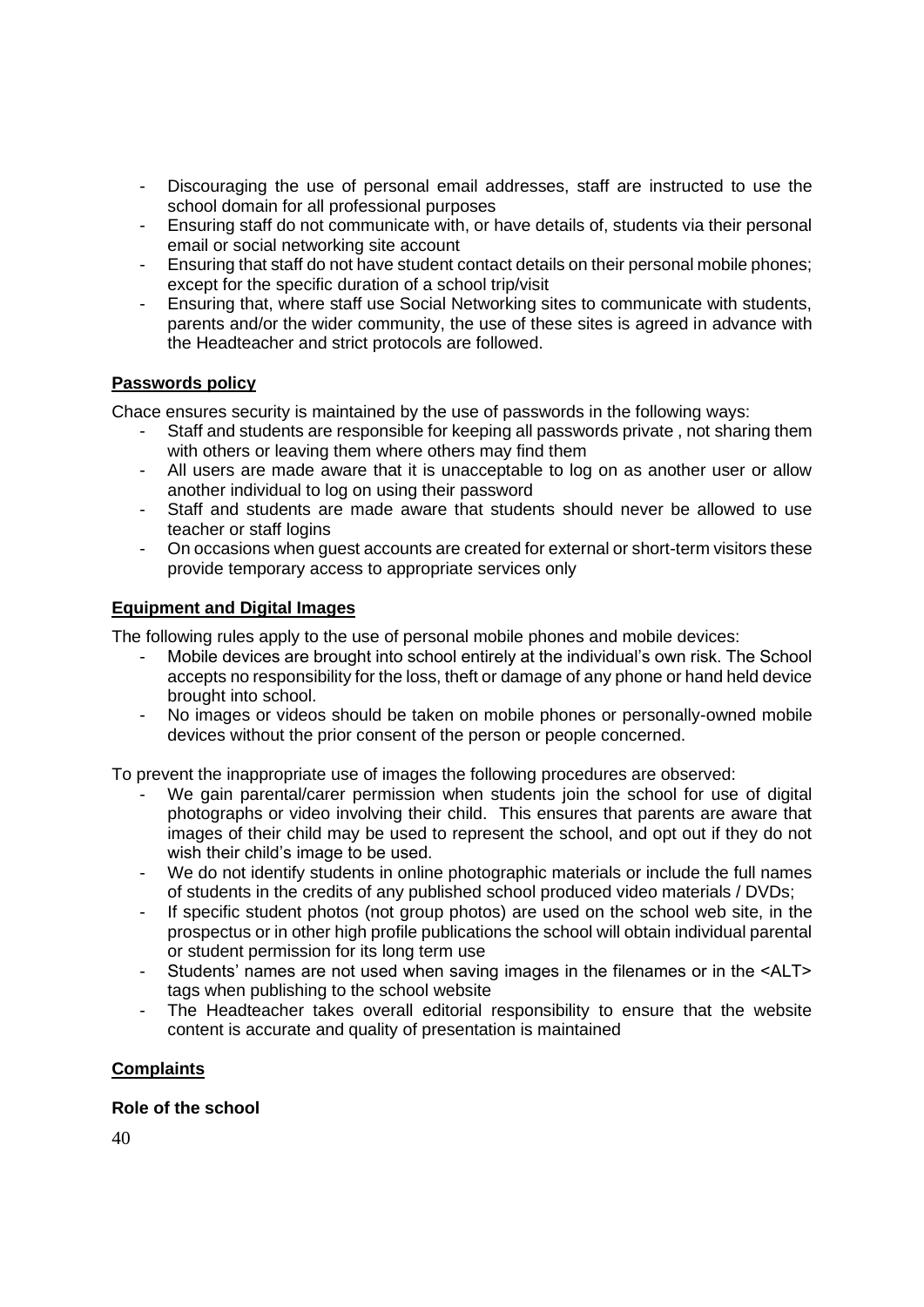- Discouraging the use of personal email addresses, staff are instructed to use the school domain for all professional purposes
- Ensuring staff do not communicate with, or have details of, students via their personal email or social networking site account
- Ensuring that staff do not have student contact details on their personal mobile phones; except for the specific duration of a school trip/visit
- Ensuring that, where staff use Social Networking sites to communicate with students, parents and/or the wider community, the use of these sites is agreed in advance with the Headteacher and strict protocols are followed.

#### **Passwords policy**

Chace ensures security is maintained by the use of passwords in the following ways:

- Staff and students are responsible for keeping all passwords private , not sharing them with others or leaving them where others may find them
- All users are made aware that it is unacceptable to log on as another user or allow another individual to log on using their password
- Staff and students are made aware that students should never be allowed to use teacher or staff logins
- On occasions when guest accounts are created for external or short-term visitors these provide temporary access to appropriate services only

#### **Equipment and Digital Images**

The following rules apply to the use of personal mobile phones and mobile devices:

- Mobile devices are brought into school entirely at the individual's own risk. The School accepts no responsibility for the loss, theft or damage of any phone or hand held device brought into school.
- No images or videos should be taken on mobile phones or personally-owned mobile devices without the prior consent of the person or people concerned.

To prevent the inappropriate use of images the following procedures are observed:

- We gain parental/carer permission when students join the school for use of digital photographs or video involving their child. This ensures that parents are aware that images of their child may be used to represent the school, and opt out if they do not wish their child's image to be used.
- We do not identify students in online photographic materials or include the full names of students in the credits of any published school produced video materials / DVDs;
- If specific student photos (not group photos) are used on the school web site, in the prospectus or in other high profile publications the school will obtain individual parental or student permission for its long term use
- Students' names are not used when saving images in the filenames or in the <ALT> tags when publishing to the school website
- The Headteacher takes overall editorial responsibility to ensure that the website content is accurate and quality of presentation is maintained

#### **Complaints**

#### **Role of the school**

40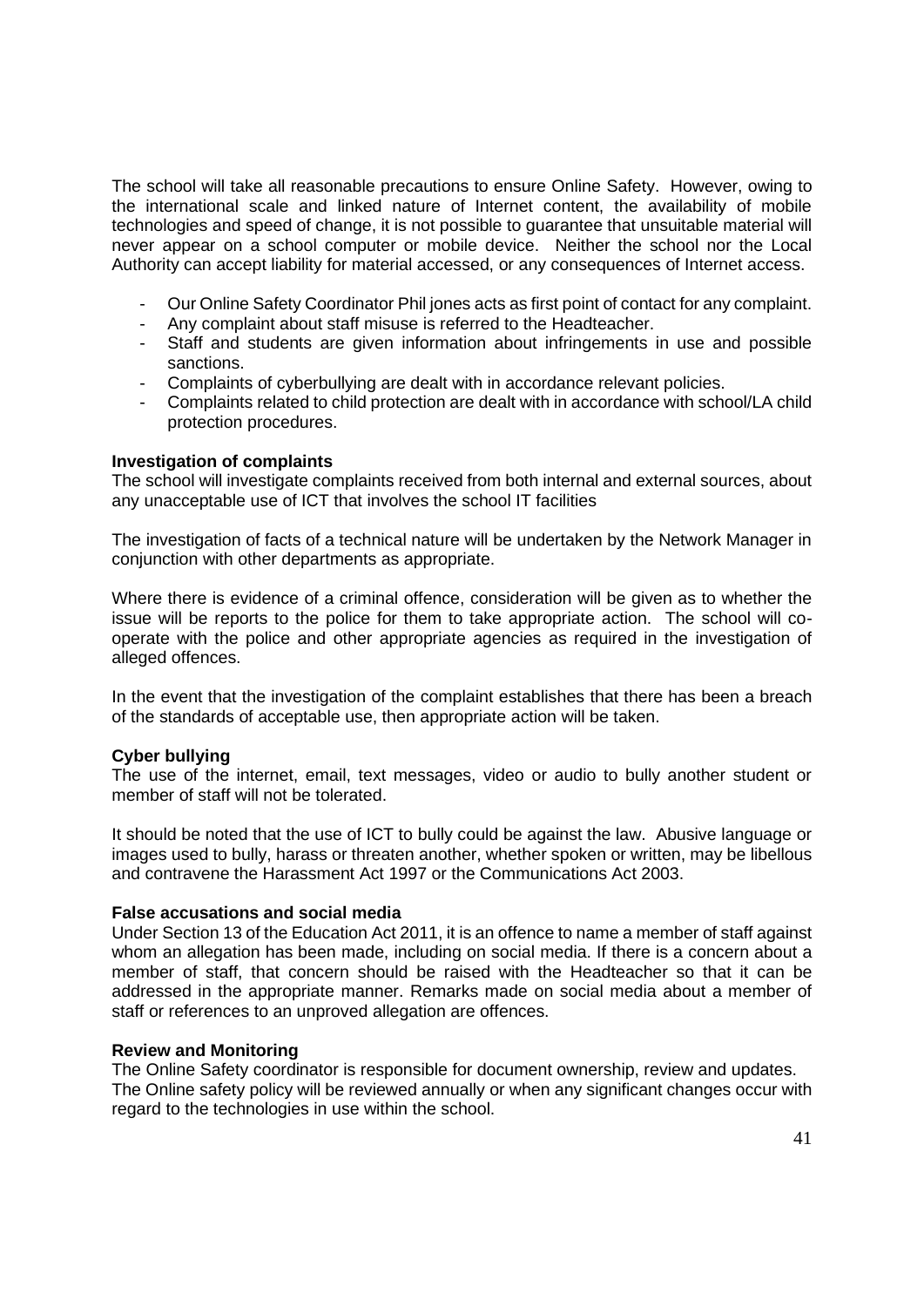The school will take all reasonable precautions to ensure Online Safety. However, owing to the international scale and linked nature of Internet content, the availability of mobile technologies and speed of change, it is not possible to guarantee that unsuitable material will never appear on a school computer or mobile device. Neither the school nor the Local Authority can accept liability for material accessed, or any consequences of Internet access.

- Our Online Safety Coordinator Phil jones acts as first point of contact for any complaint.
- Any complaint about staff misuse is referred to the Headteacher.
- Staff and students are given information about infringements in use and possible sanctions.
- Complaints of cyberbullying are dealt with in accordance relevant policies.
- Complaints related to child protection are dealt with in accordance with school/LA child protection procedures.

#### **Investigation of complaints**

The school will investigate complaints received from both internal and external sources, about any unacceptable use of ICT that involves the school IT facilities

The investigation of facts of a technical nature will be undertaken by the Network Manager in conjunction with other departments as appropriate.

Where there is evidence of a criminal offence, consideration will be given as to whether the issue will be reports to the police for them to take appropriate action. The school will cooperate with the police and other appropriate agencies as required in the investigation of alleged offences.

In the event that the investigation of the complaint establishes that there has been a breach of the standards of acceptable use, then appropriate action will be taken.

#### **Cyber bullying**

The use of the internet, email, text messages, video or audio to bully another student or member of staff will not be tolerated.

It should be noted that the use of ICT to bully could be against the law. Abusive language or images used to bully, harass or threaten another, whether spoken or written, may be libellous and contravene the Harassment Act 1997 or the Communications Act 2003.

#### **False accusations and social media**

Under Section 13 of the Education Act 2011, it is an offence to name a member of staff against whom an allegation has been made, including on social media. If there is a concern about a member of staff, that concern should be raised with the Headteacher so that it can be addressed in the appropriate manner. Remarks made on social media about a member of staff or references to an unproved allegation are offences.

#### **Review and Monitoring**

The Online Safety coordinator is responsible for document ownership, review and updates. The Online safety policy will be reviewed annually or when any significant changes occur with regard to the technologies in use within the school.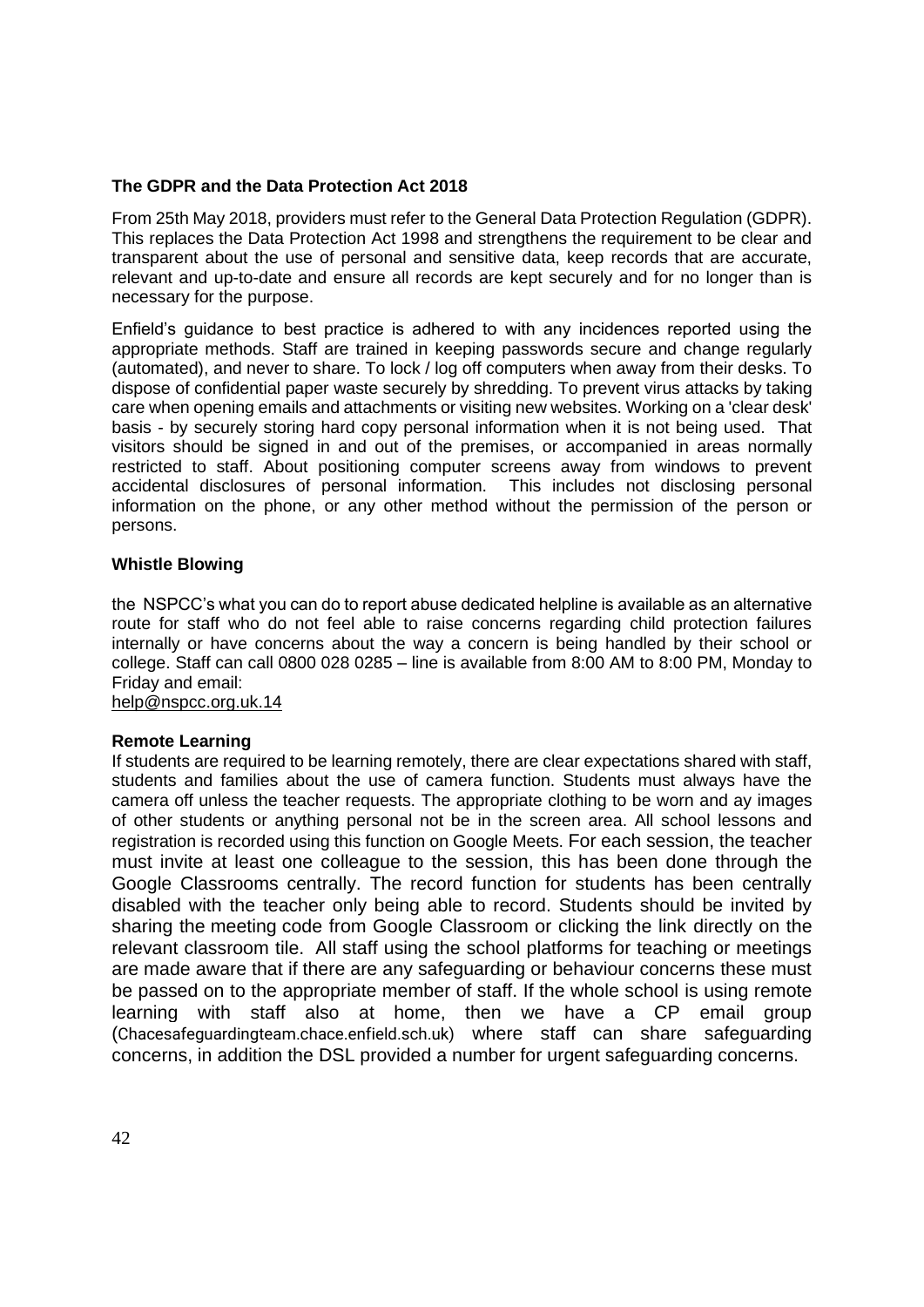#### **The GDPR and the Data Protection Act 2018**

From 25th May 2018, providers must refer to the General Data Protection Regulation (GDPR). This replaces the Data Protection Act 1998 and strengthens the requirement to be clear and transparent about the use of personal and sensitive data, keep records that are accurate, relevant and up-to-date and ensure all records are kept securely and for no longer than is necessary for the purpose.

Enfield's guidance to best practice is adhered to with any incidences reported using the appropriate methods. Staff are trained in keeping passwords secure and change regularly (automated), and never to share. To lock / log off computers when away from their desks. To dispose of confidential paper waste securely by shredding. To prevent virus attacks by taking care when opening emails and attachments or visiting new websites. Working on a 'clear desk' basis - by securely storing hard copy personal information when it is not being used. That visitors should be signed in and out of the premises, or accompanied in areas normally restricted to staff. About positioning computer screens away from windows to prevent accidental disclosures of personal information. This includes not disclosing personal information on the phone, or any other method without the permission of the person or persons.

#### **Whistle Blowing**

the NSPCC's what you can do to report abuse dedicated helpline is available as an alternative route for staff who do not feel able to raise concerns regarding child protection failures internally or have concerns about the way a concern is being handled by their school or college. Staff can call 0800 028 0285 – line is available from 8:00 AM to 8:00 PM, Monday to Friday and email:

[help@nspcc.org.uk.14](mailto:help@nspcc.org.uk.14)

#### **Remote Learning**

If students are required to be learning remotely, there are clear expectations shared with staff, students and families about the use of camera function. Students must always have the camera off unless the teacher requests. The appropriate clothing to be worn and ay images of other students or anything personal not be in the screen area. All school lessons and registration is recorded using this function on Google Meets. For each session, the teacher must invite at least one colleague to the session, this has been done through the Google Classrooms centrally. The record function for students has been centrally disabled with the teacher only being able to record. Students should be invited by sharing the meeting code from Google Classroom or clicking the link directly on the relevant classroom tile. All staff using the school platforms for teaching or meetings are made aware that if there are any safeguarding or behaviour concerns these must be passed on to the appropriate member of staff. If the whole school is using remote learning with staff also at home, then we have a CP email group (Chacesafeguardingteam.chace.enfield.sch.uk) where staff can share safeguarding concerns, in addition the DSL provided a number for urgent safeguarding concerns.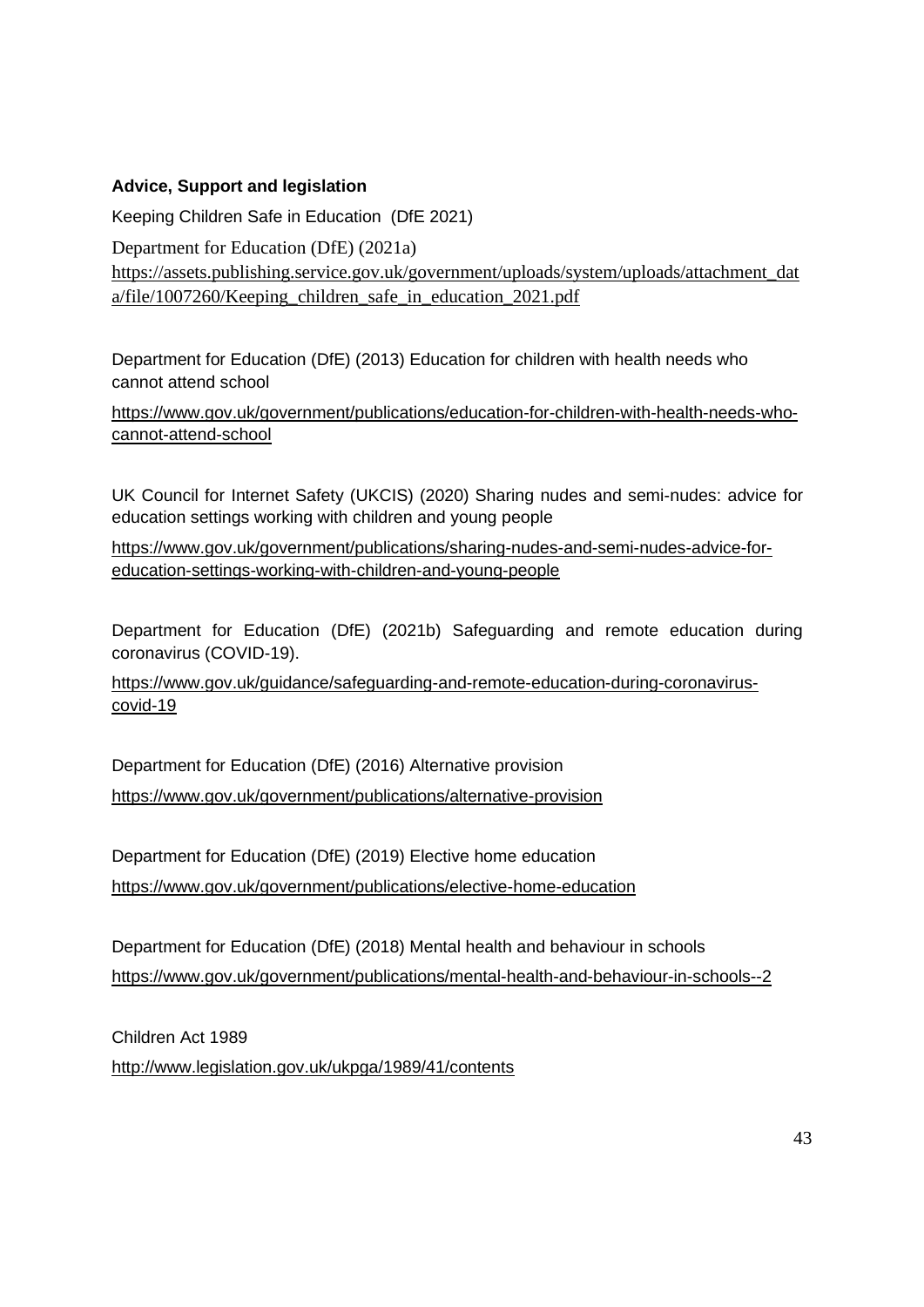# **Advice, Support and legislation**

Keeping Children Safe in Education (DfE 2021)

Department for Education (DfE) (2021a) [https://assets.publishing.service.gov.uk/government/uploads/system/uploads/attachment\\_dat](https://assets.publishing.service.gov.uk/government/uploads/system/uploads/attachment_data/file/1007260/Keeping_children_safe_in_education_2021.pdf) [a/file/1007260/Keeping\\_children\\_safe\\_in\\_education\\_2021.pdf](https://assets.publishing.service.gov.uk/government/uploads/system/uploads/attachment_data/file/1007260/Keeping_children_safe_in_education_2021.pdf)

Department for Education (DfE) (2013) Education for children with health needs who cannot attend school

[https://www.gov.uk/government/publications/education-for-children-with-health-needs-who](https://www.gov.uk/government/publications/education-for-children-with-health-needs-who-cannot-attend-school)[cannot-attend-school](https://www.gov.uk/government/publications/education-for-children-with-health-needs-who-cannot-attend-school)

UK Council for Internet Safety (UKCIS) (2020) Sharing nudes and semi-nudes: advice for education settings working with children and young people

[https://www.gov.uk/government/publications/sharing-nudes-and-semi-nudes-advice-for](https://www.gov.uk/government/publications/sharing-nudes-and-semi-nudes-advice-for-education-settings-working-with-children-and-young-people)[education-settings-working-with-children-and-young-people](https://www.gov.uk/government/publications/sharing-nudes-and-semi-nudes-advice-for-education-settings-working-with-children-and-young-people)

Department for Education (DfE) (2021b) Safeguarding and remote education during coronavirus (COVID-19).

[https://www.gov.uk/guidance/safeguarding-and-remote-education-during-coronavirus](https://www.gov.uk/guidance/safeguarding-and-remote-education-during-coronavirus-covid-19)[covid-19](https://www.gov.uk/guidance/safeguarding-and-remote-education-during-coronavirus-covid-19)

Department for Education (DfE) (2016) Alternative provision <https://www.gov.uk/government/publications/alternative-provision>

Department for Education (DfE) (2019) Elective home education <https://www.gov.uk/government/publications/elective-home-education>

Department for Education (DfE) (2018) Mental health and behaviour in schools <https://www.gov.uk/government/publications/mental-health-and-behaviour-in-schools--2>

Children Act 1989 <http://www.legislation.gov.uk/ukpga/1989/41/contents>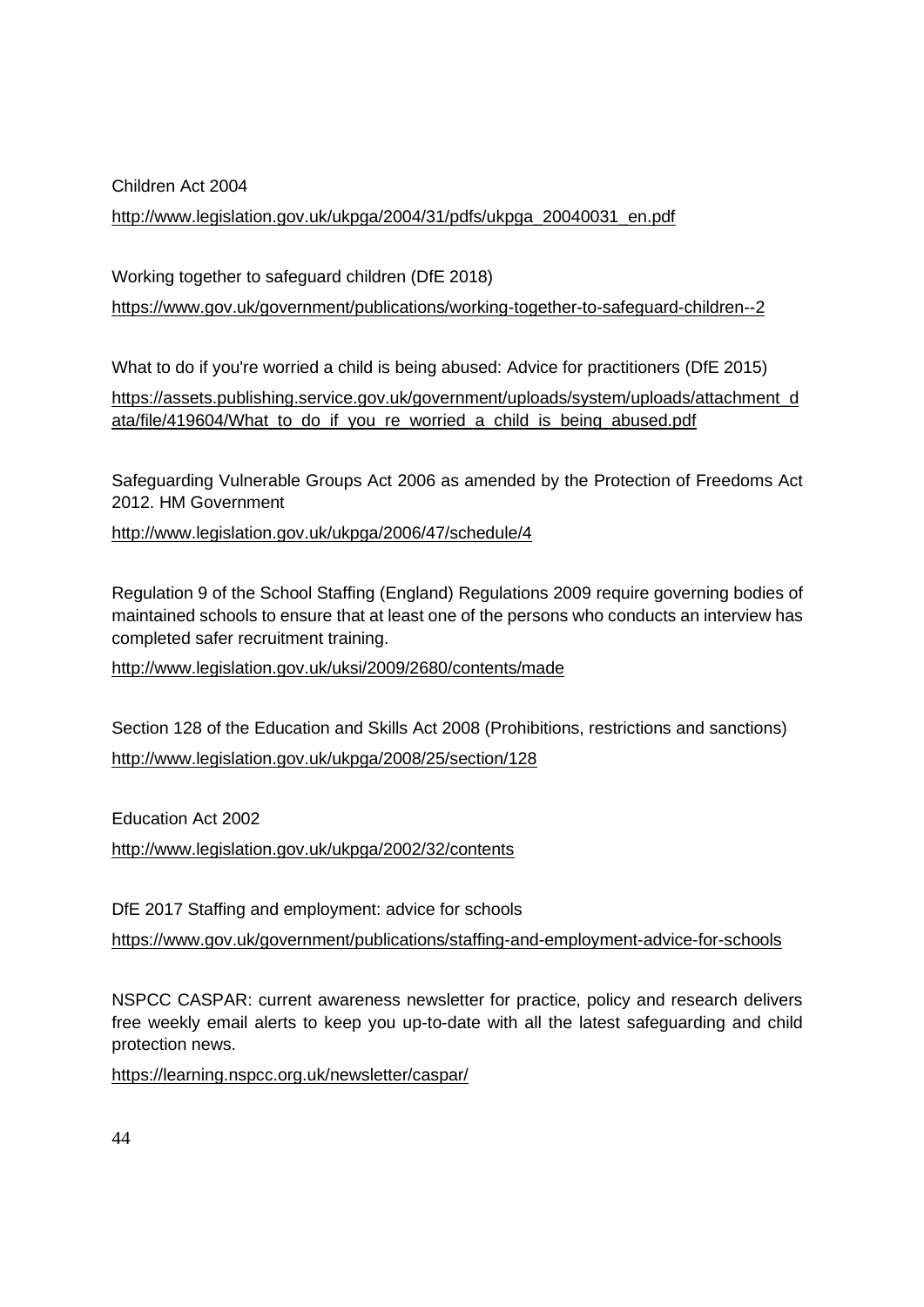Children Act 2004

[http://www.legislation.gov.uk/ukpga/2004/31/pdfs/ukpga\\_20040031\\_en.pdf](http://www.legislation.gov.uk/ukpga/2004/31/pdfs/ukpga_20040031_en.pdf) 

Working together to safeguard children (DfE 2018)

<https://www.gov.uk/government/publications/working-together-to-safeguard-children--2>

What to do if you're worried a child is being abused: Advice for practitioners (DfE 2015) [https://assets.publishing.service.gov.uk/government/uploads/system/uploads/attachment\\_d](https://assets.publishing.service.gov.uk/government/uploads/system/uploads/attachment_data/file/419604/What_to_do_if_you_re_worried_a_child_is_being_abused.pdf) ata/file/419604/What to do if you re worried a child is being abused.pdf

Safeguarding Vulnerable Groups Act 2006 as amended by the Protection of Freedoms Act 2012. HM Government

<http://www.legislation.gov.uk/ukpga/2006/47/schedule/4>

Regulation 9 of the School Staffing (England) Regulations 2009 require governing bodies of maintained schools to ensure that at least one of the persons who conducts an interview has completed safer recruitment training.

<http://www.legislation.gov.uk/uksi/2009/2680/contents/made>

Section 128 of the Education and Skills Act 2008 (Prohibitions, restrictions and sanctions) <http://www.legislation.gov.uk/ukpga/2008/25/section/128>

Education Act 2002

<http://www.legislation.gov.uk/ukpga/2002/32/contents>

DfE 2017 Staffing and employment: advice for schools

<https://www.gov.uk/government/publications/staffing-and-employment-advice-for-schools>

NSPCC CASPAR: current awareness newsletter for practice, policy and research delivers free weekly email alerts to keep you up-to-date with all the latest safeguarding and child protection news.

<https://learning.nspcc.org.uk/newsletter/caspar/>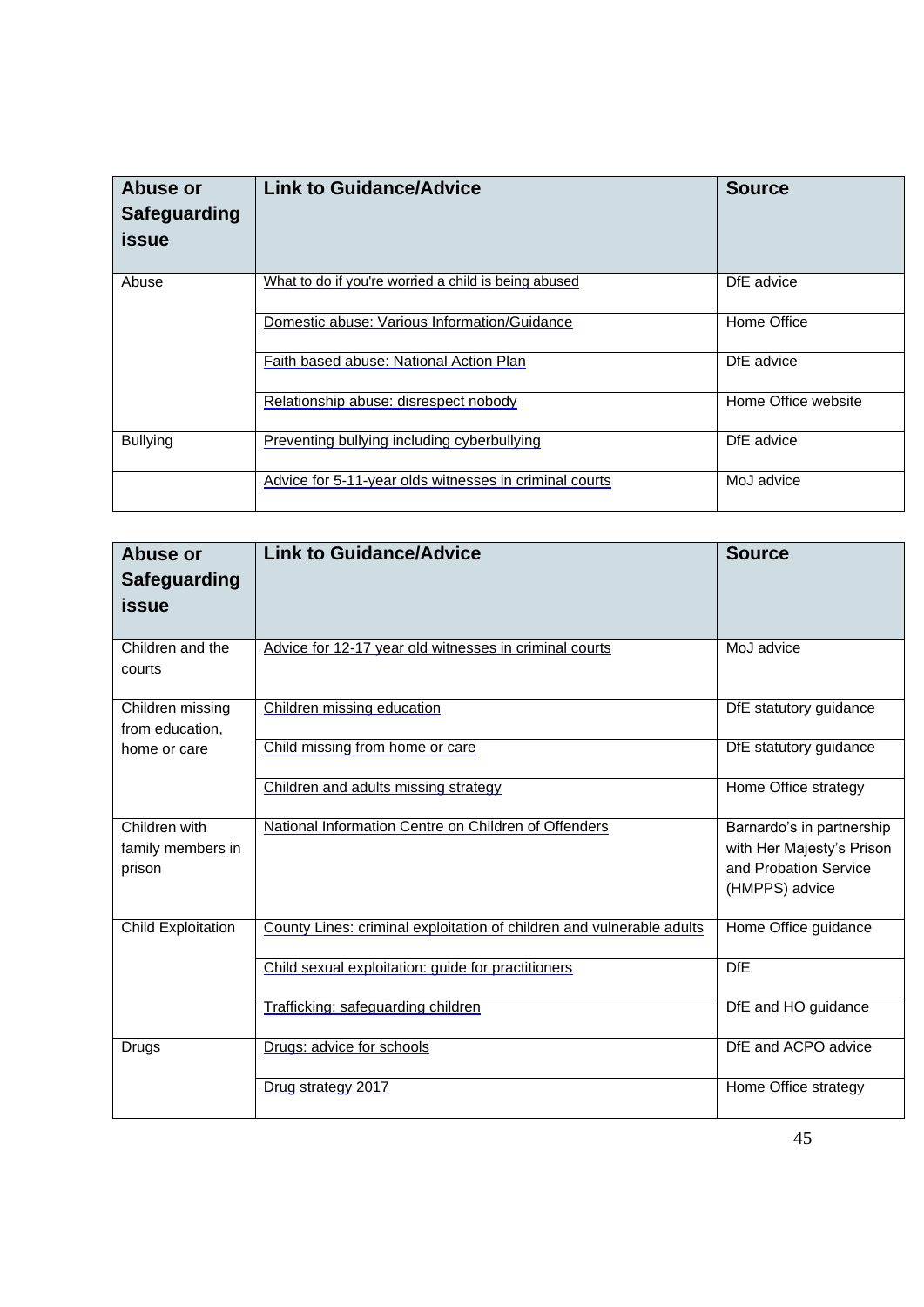| Abuse or<br>Safeguarding<br>issue | <b>Link to Guidance/Advice</b>                         | <b>Source</b>       |
|-----------------------------------|--------------------------------------------------------|---------------------|
| Abuse                             | What to do if you're worried a child is being abused   | DfE advice          |
|                                   | Domestic abuse: Various Information/Guidance           | Home Office         |
|                                   | Faith based abuse: National Action Plan                | DfE advice          |
|                                   | Relationship abuse: disrespect nobody                  | Home Office website |
| <b>Bullying</b>                   | Preventing bullying including cyberbullying            | DfE advice          |
|                                   | Advice for 5-11-year olds witnesses in criminal courts | MoJ advice          |

| Abuse or                                     | <b>Link to Guidance/Advice</b>                                        | <b>Source</b>                                                                                     |
|----------------------------------------------|-----------------------------------------------------------------------|---------------------------------------------------------------------------------------------------|
| <b>Safeguarding</b>                          |                                                                       |                                                                                                   |
| issue                                        |                                                                       |                                                                                                   |
| Children and the<br>courts                   | Advice for 12-17 year old witnesses in criminal courts                | MoJ advice                                                                                        |
| Children missing<br>from education,          | Children missing education                                            | DfE statutory guidance                                                                            |
| home or care                                 | Child missing from home or care                                       | DfE statutory guidance                                                                            |
|                                              | Children and adults missing strategy                                  | Home Office strategy                                                                              |
| Children with<br>family members in<br>prison | National Information Centre on Children of Offenders                  | Barnardo's in partnership<br>with Her Majesty's Prison<br>and Probation Service<br>(HMPPS) advice |
| <b>Child Exploitation</b>                    | County Lines: criminal exploitation of children and vulnerable adults | Home Office guidance                                                                              |
|                                              | Child sexual exploitation: guide for practitioners                    | <b>DfE</b>                                                                                        |
|                                              | Trafficking: safeguarding children                                    | DfE and HO guidance                                                                               |
| Drugs                                        | Drugs: advice for schools                                             | DfE and ACPO advice                                                                               |
|                                              | Drug strategy 2017                                                    | Home Office strategy                                                                              |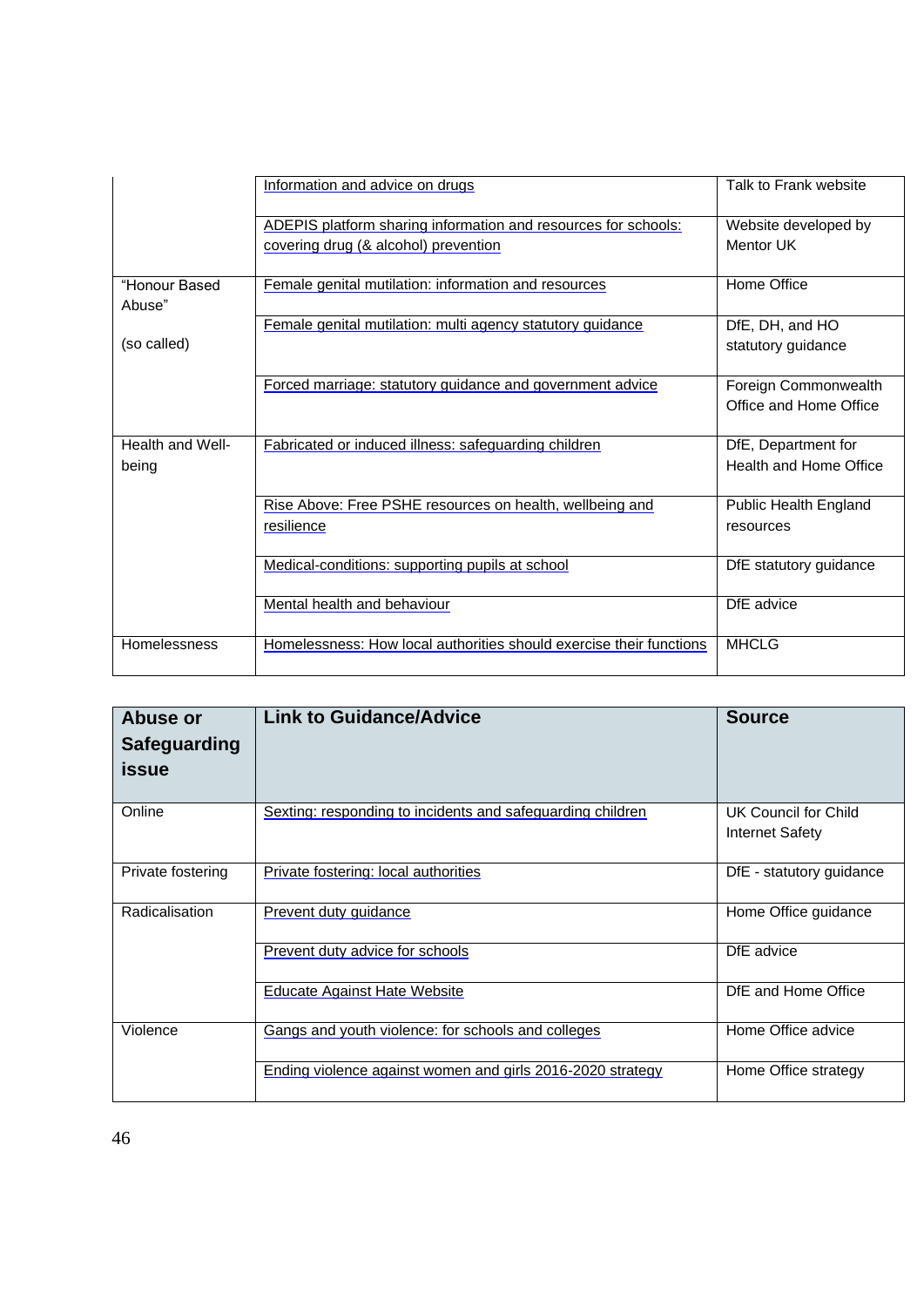|                           | Information and advice on drugs                                                                        | Talk to Frank website                          |
|---------------------------|--------------------------------------------------------------------------------------------------------|------------------------------------------------|
|                           | ADEPIS platform sharing information and resources for schools:<br>covering drug (& alcohol) prevention | Website developed by<br><b>Mentor UK</b>       |
| "Honour Based<br>Abuse"   | Female genital mutilation: information and resources                                                   | <b>Home Office</b>                             |
| (so called)               | Female genital mutilation: multi agency statutory guidance                                             | DfE, DH, and HO<br>statutory guidance          |
|                           | Forced marriage: statutory guidance and government advice                                              | Foreign Commonwealth<br>Office and Home Office |
| Health and Well-<br>being | Fabricated or induced illness: safeguarding children                                                   | DfE, Department for<br>Health and Home Office  |
|                           | Rise Above: Free PSHE resources on health, wellbeing and<br>resilience                                 | Public Health England<br>resources             |
|                           | Medical-conditions: supporting pupils at school                                                        | DfE statutory guidance                         |
|                           | Mental health and behaviour                                                                            | DfE advice                                     |
| Homelessness              | Homelessness: How local authorities should exercise their functions                                    | <b>MHCLG</b>                                   |

| Abuse or<br><b>Safeguarding</b><br>issue | <b>Link to Guidance/Advice</b>                             | <b>Source</b>                                  |
|------------------------------------------|------------------------------------------------------------|------------------------------------------------|
| Online                                   | Sexting: responding to incidents and safeguarding children | UK Council for Child<br><b>Internet Safety</b> |
| Private fostering                        | <b>Private fostering: local authorities</b>                | DfE - statutory guidance                       |
| Radicalisation                           | Prevent duty guidance                                      | Home Office guidance                           |
|                                          | Prevent duty advice for schools                            | DfE advice                                     |
|                                          | <b>Educate Against Hate Website</b>                        | DfE and Home Office                            |
| Violence                                 | Gangs and youth violence: for schools and colleges         | Home Office advice                             |
|                                          | Ending violence against women and girls 2016-2020 strategy | Home Office strategy                           |